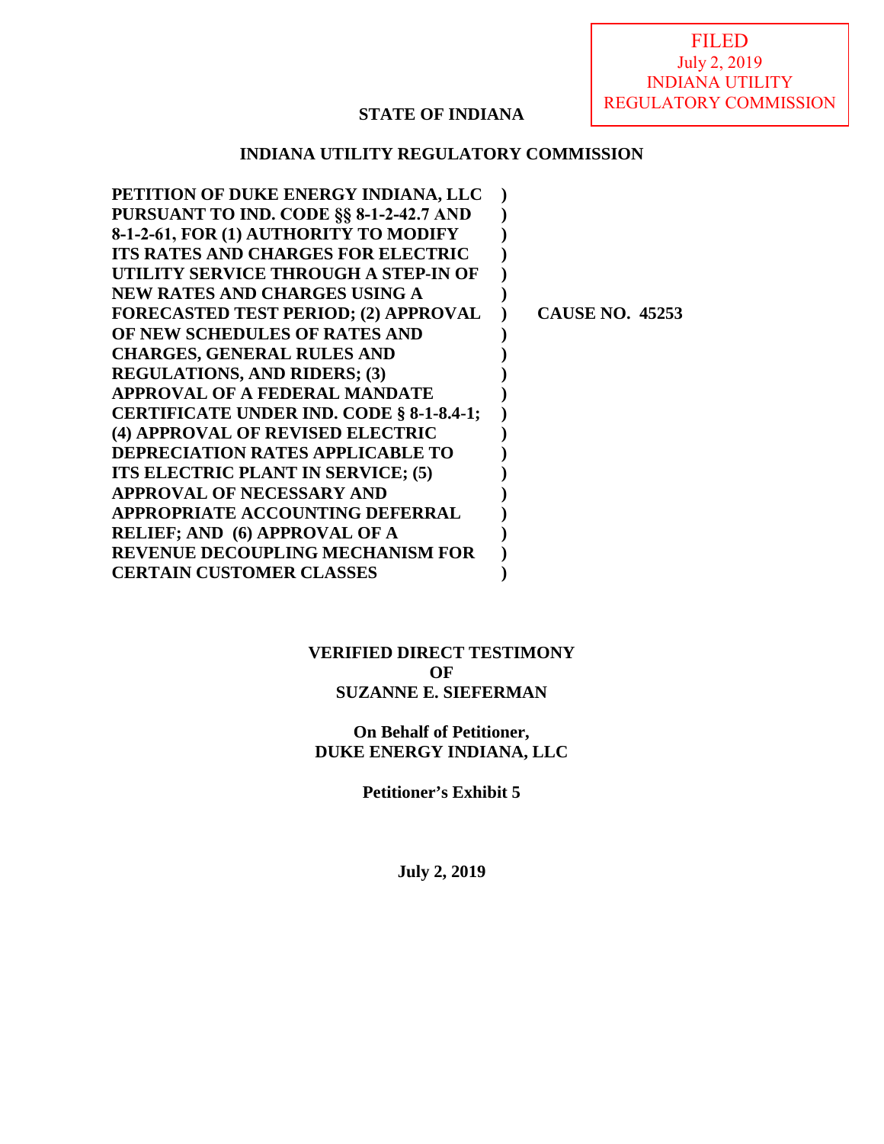FILED July 2, 2019 INDIANA UTILITY REGULATORY COMMISSION

# **STATE OF INDIANA**

# **INDIANA UTILITY REGULATORY COMMISSION**

| <b>CAUSE NO. 45253</b> |
|------------------------|
|                        |
|                        |
|                        |
|                        |
|                        |
|                        |
|                        |
|                        |
|                        |
|                        |
|                        |
|                        |
|                        |
|                        |

# **VERIFIED DIRECT TESTIMONY OF SUZANNE E. SIEFERMAN**

# **On Behalf of Petitioner, DUKE ENERGY INDIANA, LLC**

**Petitioner's Exhibit 5** 

**July 2, 2019**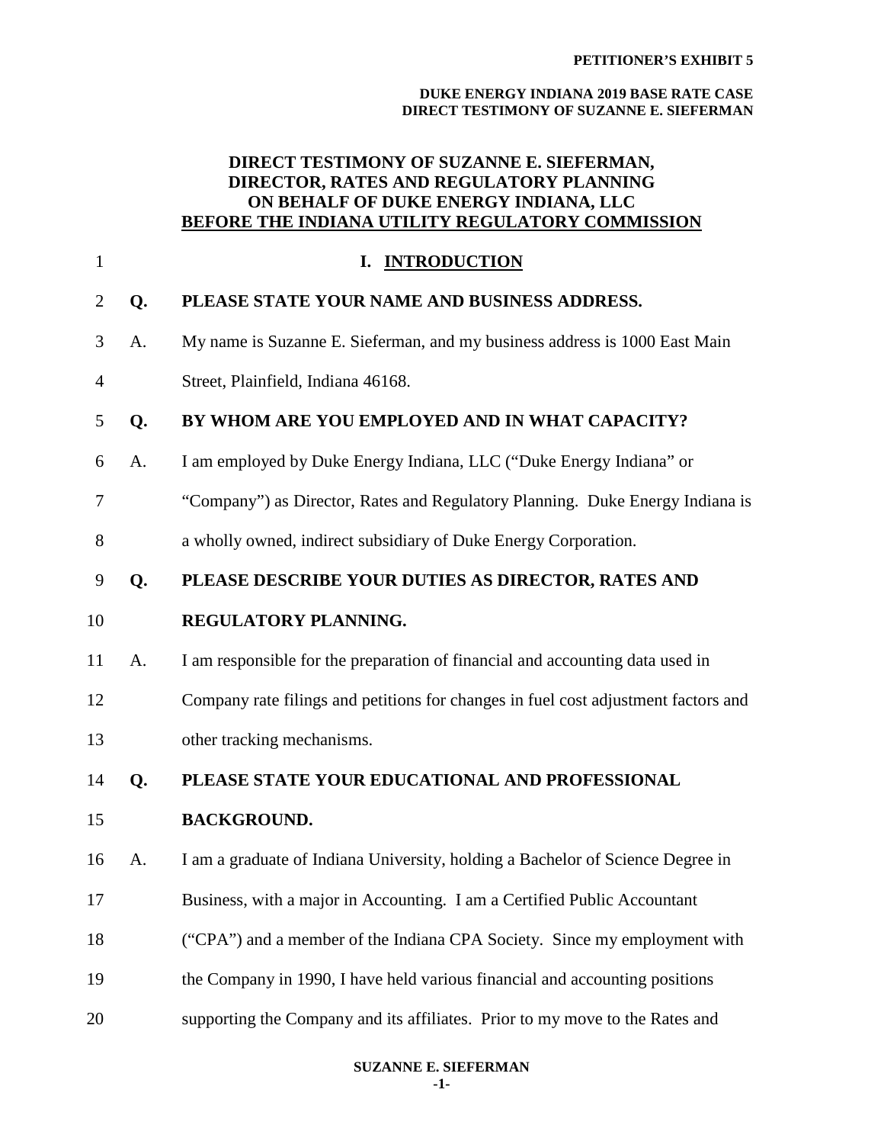# **DIRECT TESTIMONY OF SUZANNE E. SIEFERMAN, DIRECTOR, RATES AND REGULATORY PLANNING ON BEHALF OF DUKE ENERGY INDIANA, LLC BEFORE THE INDIANA UTILITY REGULATORY COMMISSION**

| $\mathbf{1}$   |    | I. INTRODUCTION                                                                    |
|----------------|----|------------------------------------------------------------------------------------|
| $\overline{2}$ | Q. | PLEASE STATE YOUR NAME AND BUSINESS ADDRESS.                                       |
| 3              | A. | My name is Suzanne E. Sieferman, and my business address is 1000 East Main         |
| 4              |    | Street, Plainfield, Indiana 46168.                                                 |
| 5              | Q. | BY WHOM ARE YOU EMPLOYED AND IN WHAT CAPACITY?                                     |
| 6              | A. | I am employed by Duke Energy Indiana, LLC ("Duke Energy Indiana" or                |
| 7              |    | "Company") as Director, Rates and Regulatory Planning. Duke Energy Indiana is      |
| 8              |    | a wholly owned, indirect subsidiary of Duke Energy Corporation.                    |
| 9              | Q. | PLEASE DESCRIBE YOUR DUTIES AS DIRECTOR, RATES AND                                 |
| 10             |    | REGULATORY PLANNING.                                                               |
| 11             | A. | I am responsible for the preparation of financial and accounting data used in      |
| 12             |    | Company rate filings and petitions for changes in fuel cost adjustment factors and |
| 13             |    | other tracking mechanisms.                                                         |
| 14             | Q. | PLEASE STATE YOUR EDUCATIONAL AND PROFESSIONAL                                     |
| 15             |    | <b>BACKGROUND.</b>                                                                 |
| 16             | A. | I am a graduate of Indiana University, holding a Bachelor of Science Degree in     |
| 17             |    | Business, with a major in Accounting. I am a Certified Public Accountant           |
| 18             |    | ("CPA") and a member of the Indiana CPA Society. Since my employment with          |
| 19             |    | the Company in 1990, I have held various financial and accounting positions        |
| 20             |    | supporting the Company and its affiliates. Prior to my move to the Rates and       |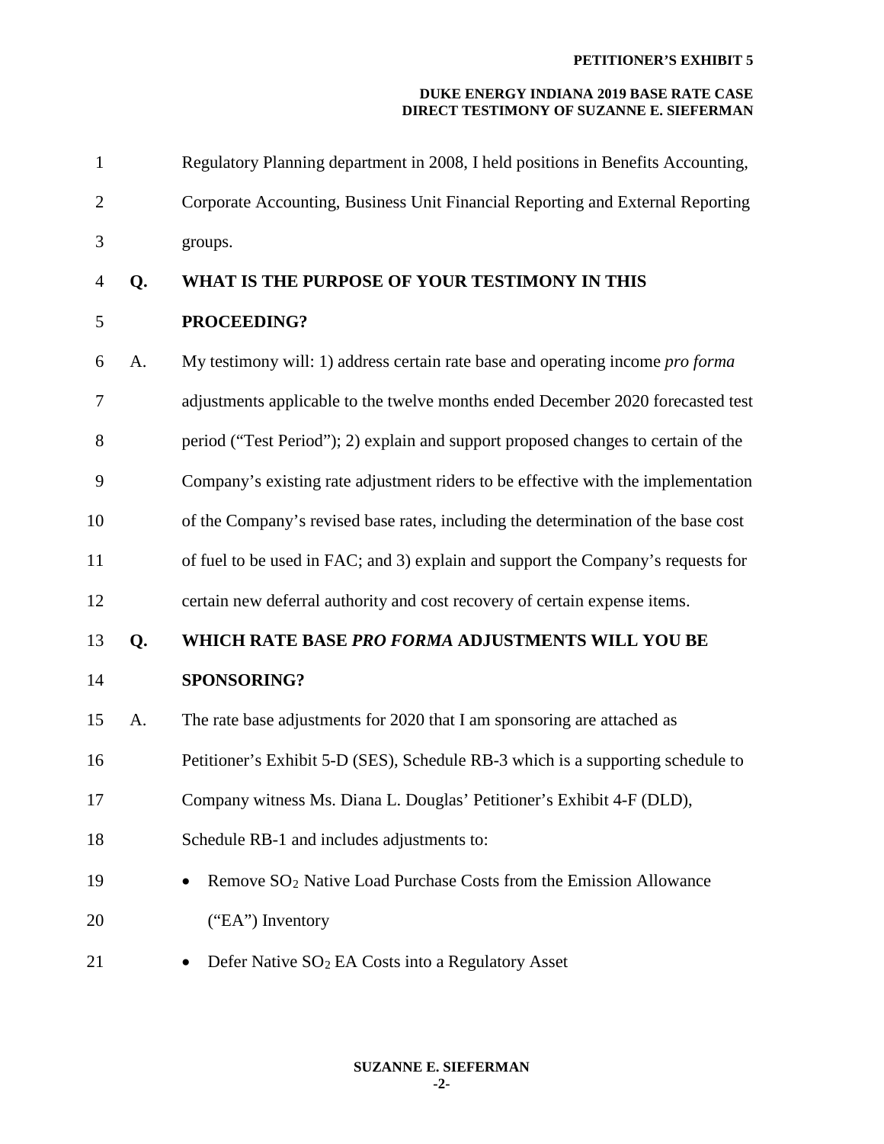| $\mathbf{1}$   |    | Regulatory Planning department in 2008, I held positions in Benefits Accounting,  |
|----------------|----|-----------------------------------------------------------------------------------|
| $\overline{2}$ |    | Corporate Accounting, Business Unit Financial Reporting and External Reporting    |
| 3              |    | groups.                                                                           |
| $\overline{4}$ | Q. | WHAT IS THE PURPOSE OF YOUR TESTIMONY IN THIS                                     |
| $\mathfrak s$  |    | PROCEEDING?                                                                       |
| 6              | A. | My testimony will: 1) address certain rate base and operating income pro forma    |
| 7              |    | adjustments applicable to the twelve months ended December 2020 forecasted test   |
| 8              |    | period ("Test Period"); 2) explain and support proposed changes to certain of the |
| 9              |    | Company's existing rate adjustment riders to be effective with the implementation |
| 10             |    | of the Company's revised base rates, including the determination of the base cost |
| 11             |    | of fuel to be used in FAC; and 3) explain and support the Company's requests for  |
| 12             |    | certain new deferral authority and cost recovery of certain expense items.        |
| 13             | Q. | WHICH RATE BASE PRO FORMA ADJUSTMENTS WILL YOU BE                                 |
| 14             |    | <b>SPONSORING?</b>                                                                |
| 15             | A. | The rate base adjustments for 2020 that I am sponsoring are attached as           |
| 16             |    | Petitioner's Exhibit 5-D (SES), Schedule RB-3 which is a supporting schedule to   |
| 17             |    | Company witness Ms. Diana L. Douglas' Petitioner's Exhibit 4-F (DLD),             |
| 18             |    | Schedule RB-1 and includes adjustments to:                                        |
| 19             |    | Remove SO <sub>2</sub> Native Load Purchase Costs from the Emission Allowance     |
| 20             |    | ("EA") Inventory                                                                  |
| 21             |    | Defer Native SO <sub>2</sub> EA Costs into a Regulatory Asset<br>$\bullet$        |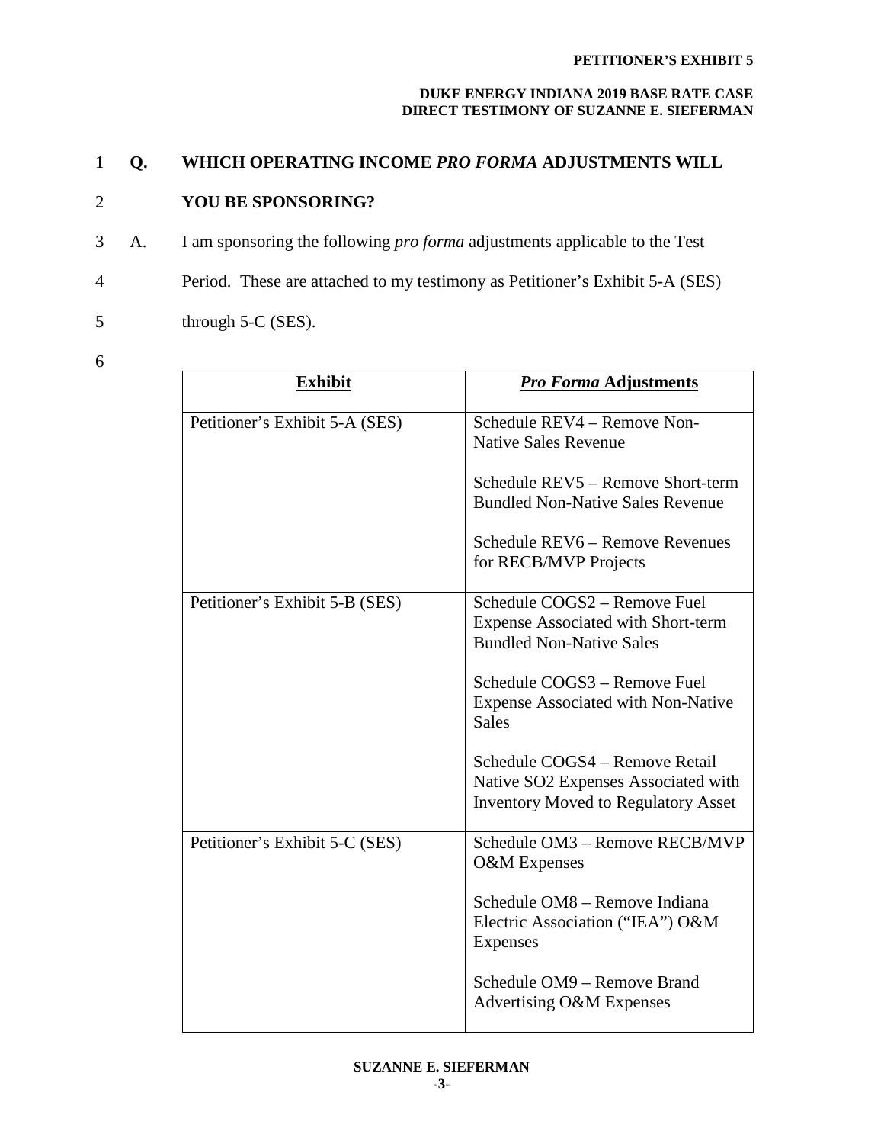# 1 **Q. WHICH OPERATING INCOME** *PRO FORMA* **ADJUSTMENTS WILL**

# 2 **YOU BE SPONSORING?**

3 A. I am sponsoring the following *pro forma* adjustments applicable to the Test

4 Period. These are attached to my testimony as Petitioner's Exhibit 5-A (SES)

5 through 5-C (SES).

6

| <b>Exhibit</b>                 | <b>Pro Forma Adjustments</b>                                                                                        |
|--------------------------------|---------------------------------------------------------------------------------------------------------------------|
| Petitioner's Exhibit 5-A (SES) | Schedule REV4 - Remove Non-<br><b>Native Sales Revenue</b>                                                          |
|                                | Schedule REV5 - Remove Short-term<br><b>Bundled Non-Native Sales Revenue</b>                                        |
|                                | Schedule REV6 - Remove Revenues<br>for RECB/MVP Projects                                                            |
| Petitioner's Exhibit 5-B (SES) | Schedule COGS2 - Remove Fuel<br><b>Expense Associated with Short-term</b><br><b>Bundled Non-Native Sales</b>        |
|                                | Schedule COGS3 - Remove Fuel<br><b>Expense Associated with Non-Native</b><br><b>Sales</b>                           |
|                                | Schedule COGS4 - Remove Retail<br>Native SO2 Expenses Associated with<br><b>Inventory Moved to Regulatory Asset</b> |
| Petitioner's Exhibit 5-C (SES) | Schedule OM3 - Remove RECB/MVP<br>O&M Expenses                                                                      |
|                                | Schedule OM8 - Remove Indiana<br>Electric Association ("IEA") O&M<br>Expenses                                       |
|                                | Schedule OM9 - Remove Brand<br>Advertising O&M Expenses                                                             |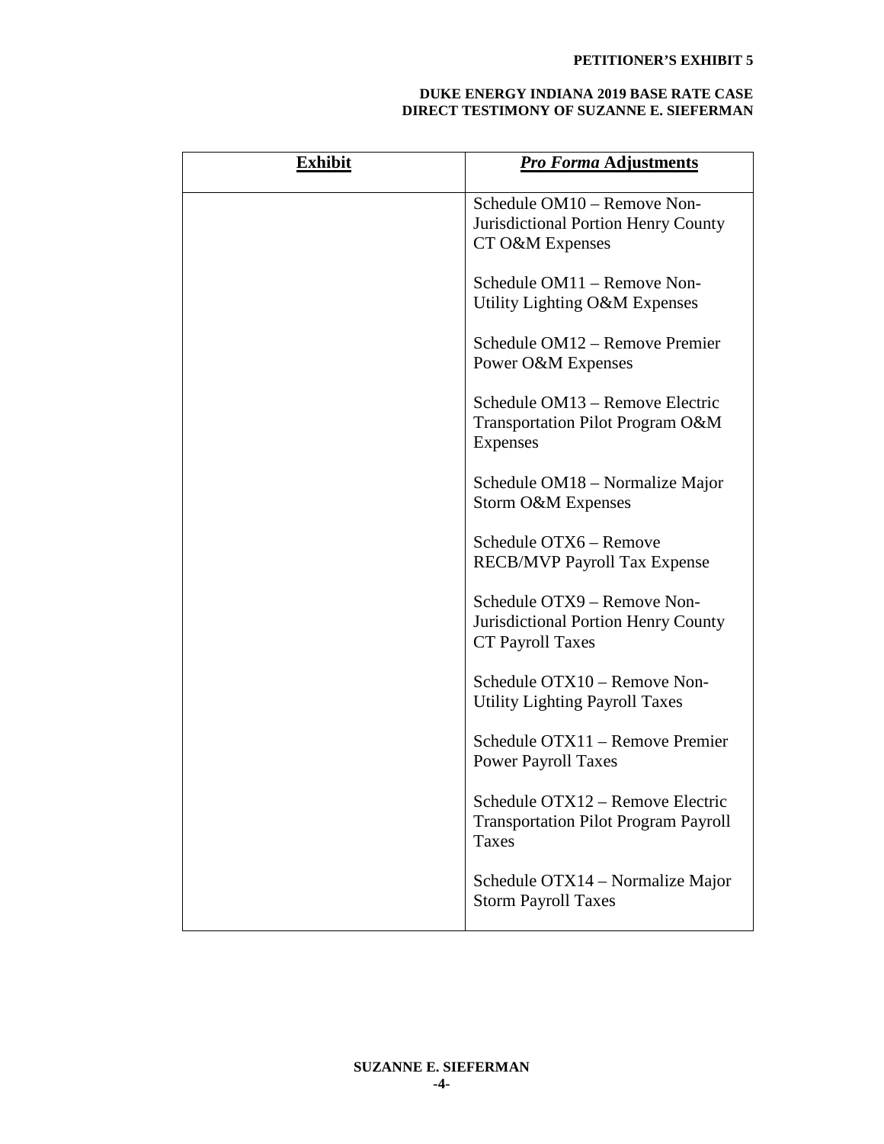| <b>Exhibit</b> | <b>Pro Forma Adjustments</b>                                                                         |
|----------------|------------------------------------------------------------------------------------------------------|
|                | Schedule OM10 – Remove Non-<br><b>Jurisdictional Portion Henry County</b><br>CT O&M Expenses         |
|                | Schedule OM11 – Remove Non-<br>Utility Lighting O&M Expenses                                         |
|                | Schedule OM12 – Remove Premier<br>Power O&M Expenses                                                 |
|                | Schedule OM13 – Remove Electric<br>Transportation Pilot Program O&M<br><b>Expenses</b>               |
|                | Schedule OM18 – Normalize Major<br>Storm O&M Expenses                                                |
|                | Schedule OTX6 - Remove<br><b>RECB/MVP Payroll Tax Expense</b>                                        |
|                | Schedule OTX9 - Remove Non-<br><b>Jurisdictional Portion Henry County</b><br><b>CT Payroll Taxes</b> |
|                | Schedule OTX10 - Remove Non-<br>Utility Lighting Payroll Taxes                                       |
|                | Schedule OTX11 - Remove Premier<br><b>Power Payroll Taxes</b>                                        |
|                | Schedule OTX12 - Remove Electric<br><b>Transportation Pilot Program Payroll</b><br>Taxes             |
|                | Schedule OTX14 – Normalize Major<br><b>Storm Payroll Taxes</b>                                       |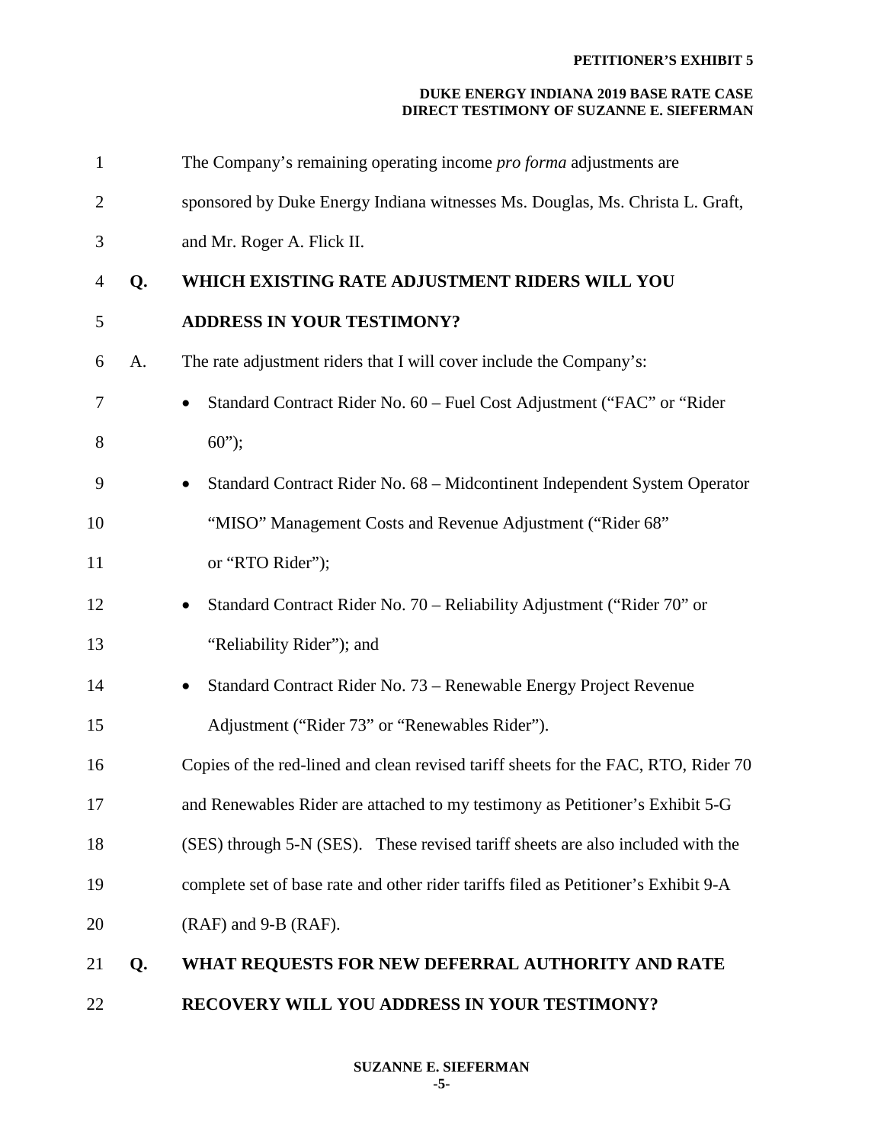| $\mathbf{1}$   |    | The Company's remaining operating income <i>pro forma</i> adjustments are           |
|----------------|----|-------------------------------------------------------------------------------------|
| $\overline{2}$ |    | sponsored by Duke Energy Indiana witnesses Ms. Douglas, Ms. Christa L. Graft,       |
| 3              |    | and Mr. Roger A. Flick II.                                                          |
| $\overline{4}$ | Q. | WHICH EXISTING RATE ADJUSTMENT RIDERS WILL YOU                                      |
| 5              |    | <b>ADDRESS IN YOUR TESTIMONY?</b>                                                   |
| 6              | A. | The rate adjustment riders that I will cover include the Company's:                 |
| 7              |    | Standard Contract Rider No. 60 - Fuel Cost Adjustment ("FAC" or "Rider              |
| 8              |    | $60$ ");                                                                            |
| 9              |    | Standard Contract Rider No. 68 - Midcontinent Independent System Operator<br>٠      |
| 10             |    | "MISO" Management Costs and Revenue Adjustment ("Rider 68"                          |
| 11             |    | or "RTO Rider");                                                                    |
| 12             |    | Standard Contract Rider No. 70 - Reliability Adjustment ("Rider 70" or<br>$\bullet$ |
| 13             |    | "Reliability Rider"); and                                                           |
| 14             |    | Standard Contract Rider No. 73 - Renewable Energy Project Revenue                   |
| 15             |    | Adjustment ("Rider 73" or "Renewables Rider").                                      |
| 16             |    | Copies of the red-lined and clean revised tariff sheets for the FAC, RTO, Rider 70  |
| 17             |    | and Renewables Rider are attached to my testimony as Petitioner's Exhibit 5-G       |
| 18             |    | (SES) through 5-N (SES). These revised tariff sheets are also included with the     |
| 19             |    | complete set of base rate and other rider tariffs filed as Petitioner's Exhibit 9-A |
| 20             |    | (RAF) and 9-B (RAF).                                                                |
| 21             | Q. | WHAT REQUESTS FOR NEW DEFERRAL AUTHORITY AND RATE                                   |
| 22             |    | RECOVERY WILL YOU ADDRESS IN YOUR TESTIMONY?                                        |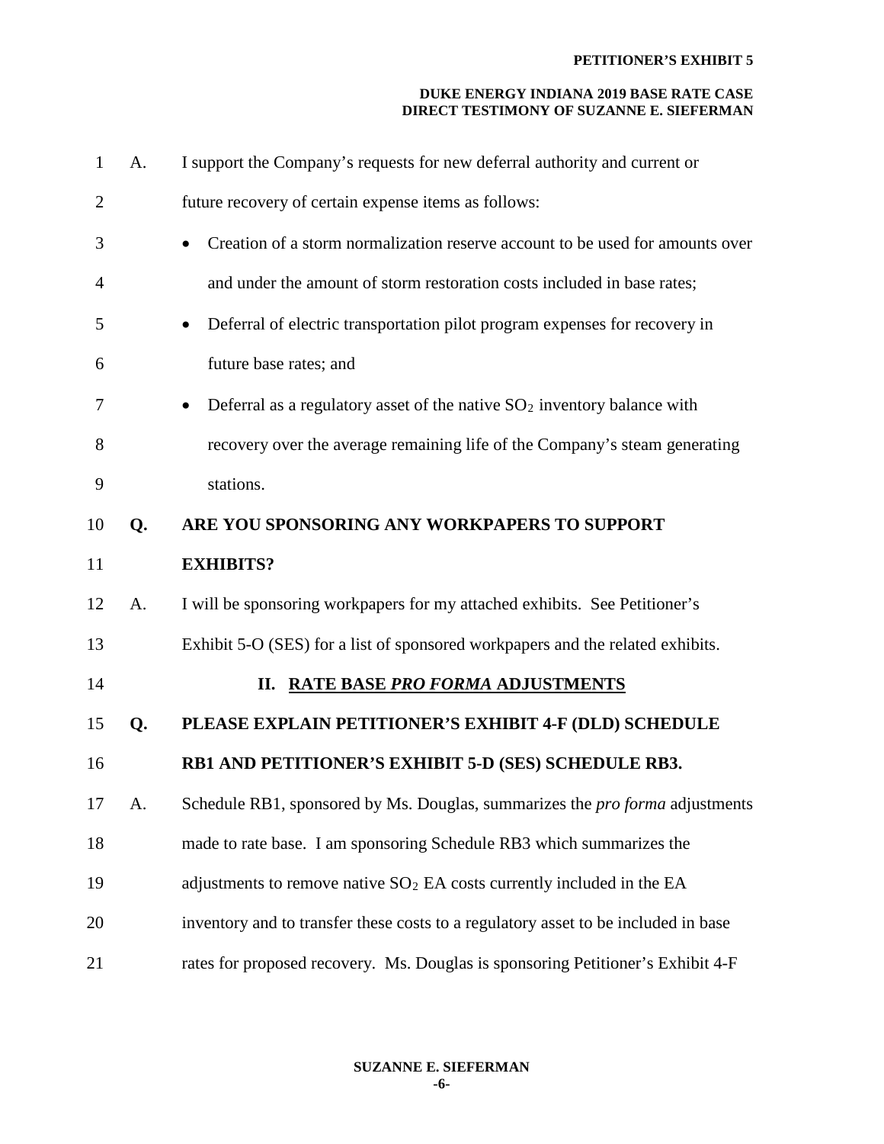| $\mathbf{1}$   | A. | I support the Company's requests for new deferral authority and current or         |
|----------------|----|------------------------------------------------------------------------------------|
| $\overline{2}$ |    | future recovery of certain expense items as follows:                               |
| 3              |    | Creation of a storm normalization reserve account to be used for amounts over      |
| $\overline{4}$ |    | and under the amount of storm restoration costs included in base rates;            |
| 5              |    | Deferral of electric transportation pilot program expenses for recovery in         |
| 6              |    | future base rates; and                                                             |
| 7              |    | Deferral as a regulatory asset of the native $SO_2$ inventory balance with         |
| 8              |    | recovery over the average remaining life of the Company's steam generating         |
| 9              |    | stations.                                                                          |
| 10             | Q. | ARE YOU SPONSORING ANY WORKPAPERS TO SUPPORT                                       |
| 11             |    | <b>EXHIBITS?</b>                                                                   |
| 12             | A. | I will be sponsoring workpapers for my attached exhibits. See Petitioner's         |
| 13             |    | Exhibit 5-O (SES) for a list of sponsored workpapers and the related exhibits.     |
| 14             |    | II. RATE BASE PRO FORMA ADJUSTMENTS                                                |
| 15             | Q. | PLEASE EXPLAIN PETITIONER'S EXHIBIT 4-F (DLD) SCHEDULE                             |
| 16             |    | RB1 AND PETITIONER'S EXHIBIT 5-D (SES) SCHEDULE RB3.                               |
| 17             | A. | Schedule RB1, sponsored by Ms. Douglas, summarizes the pro forma adjustments       |
| 18             |    | made to rate base. I am sponsoring Schedule RB3 which summarizes the               |
| 19             |    | adjustments to remove native $SO2$ EA costs currently included in the EA           |
| 20             |    | inventory and to transfer these costs to a regulatory asset to be included in base |
| 21             |    | rates for proposed recovery. Ms. Douglas is sponsoring Petitioner's Exhibit 4-F    |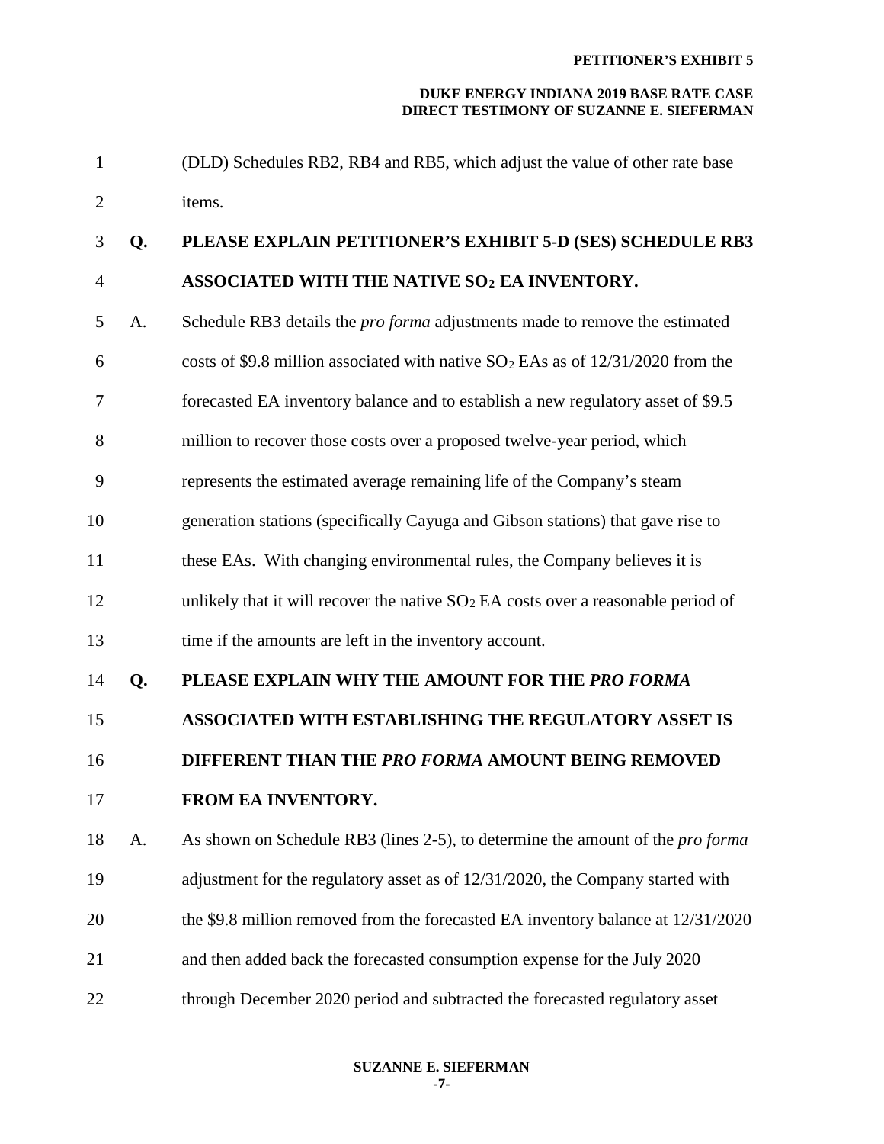| $\mathbf{1}$   |    | (DLD) Schedules RB2, RB4 and RB5, which adjust the value of other rate base           |
|----------------|----|---------------------------------------------------------------------------------------|
| $\overline{2}$ |    | items.                                                                                |
| 3              | Q. | PLEASE EXPLAIN PETITIONER'S EXHIBIT 5-D (SES) SCHEDULE RB3                            |
| $\overline{4}$ |    | ASSOCIATED WITH THE NATIVE SO <sub>2</sub> EA INVENTORY.                              |
| 5              | A. | Schedule RB3 details the <i>pro forma</i> adjustments made to remove the estimated    |
| 6              |    | costs of \$9.8 million associated with native $SO_2$ EAs as of 12/31/2020 from the    |
| 7              |    | forecasted EA inventory balance and to establish a new regulatory asset of \$9.5      |
| 8              |    | million to recover those costs over a proposed twelve-year period, which              |
| 9              |    | represents the estimated average remaining life of the Company's steam                |
| 10             |    | generation stations (specifically Cayuga and Gibson stations) that gave rise to       |
| 11             |    | these EAs. With changing environmental rules, the Company believes it is              |
| 12             |    | unlikely that it will recover the native $SO2EA$ costs over a reasonable period of    |
| 13             |    | time if the amounts are left in the inventory account.                                |
| 14             | Q. | PLEASE EXPLAIN WHY THE AMOUNT FOR THE PRO FORMA                                       |
| 15             |    | <b>ASSOCIATED WITH ESTABLISHING THE REGULATORY ASSET IS</b>                           |
| 16             |    | DIFFERENT THAN THE PRO FORMA AMOUNT BEING REMOVED                                     |
| 17             |    | FROM EA INVENTORY.                                                                    |
| 18             | A. | As shown on Schedule RB3 (lines 2-5), to determine the amount of the <i>pro forma</i> |
| 19             |    | adjustment for the regulatory asset as of 12/31/2020, the Company started with        |
| 20             |    | the \$9.8 million removed from the forecasted EA inventory balance at 12/31/2020      |
| 21             |    | and then added back the forecasted consumption expense for the July 2020              |
| 22             |    | through December 2020 period and subtracted the forecasted regulatory asset           |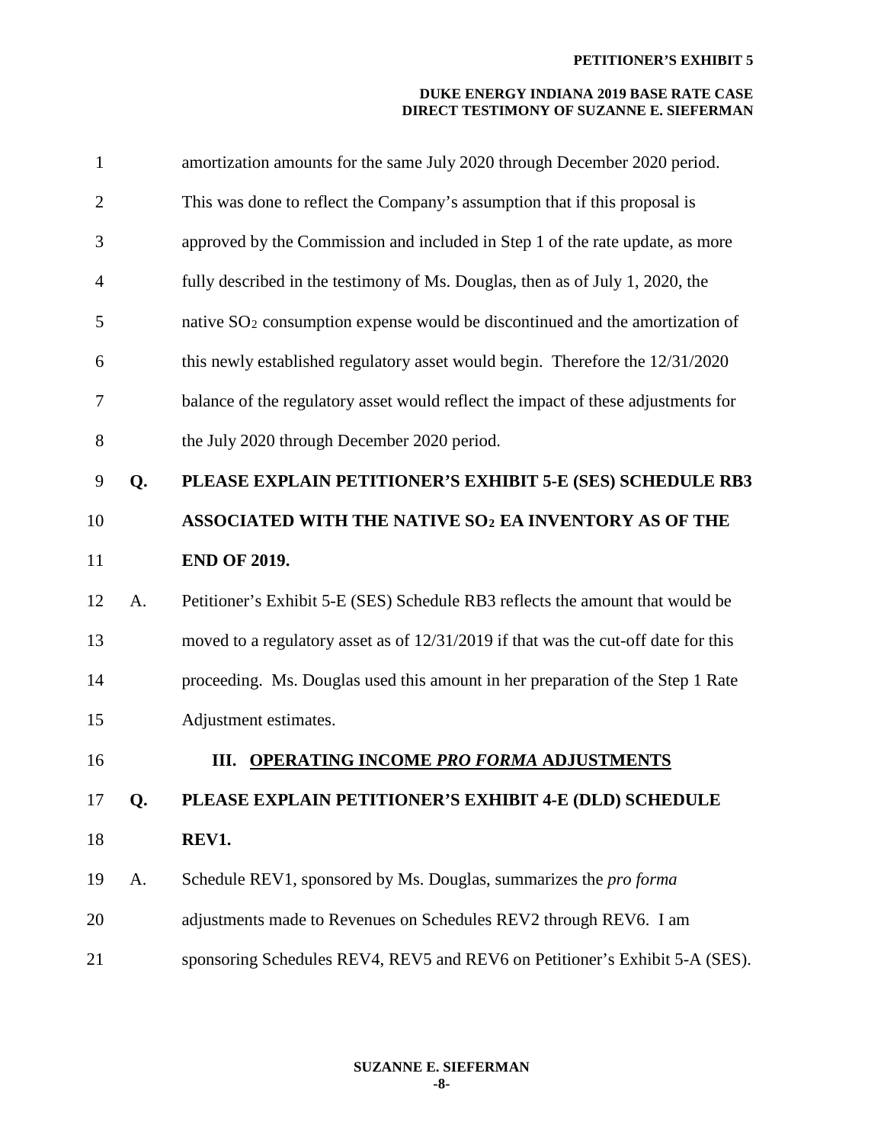| $\mathbf{1}$   |    | amortization amounts for the same July 2020 through December 2020 period.          |
|----------------|----|------------------------------------------------------------------------------------|
| $\overline{2}$ |    | This was done to reflect the Company's assumption that if this proposal is         |
| 3              |    | approved by the Commission and included in Step 1 of the rate update, as more      |
| 4              |    | fully described in the testimony of Ms. Douglas, then as of July 1, 2020, the      |
| 5              |    | native $SO_2$ consumption expense would be discontinued and the amortization of    |
| 6              |    | this newly established regulatory asset would begin. Therefore the 12/31/2020      |
| 7              |    | balance of the regulatory asset would reflect the impact of these adjustments for  |
| 8              |    | the July 2020 through December 2020 period.                                        |
| 9              | Q. | PLEASE EXPLAIN PETITIONER'S EXHIBIT 5-E (SES) SCHEDULE RB3                         |
| 10             |    | ASSOCIATED WITH THE NATIVE SO <sub>2</sub> EA INVENTORY AS OF THE                  |
| 11             |    | <b>END OF 2019.</b>                                                                |
| 12             | A. | Petitioner's Exhibit 5-E (SES) Schedule RB3 reflects the amount that would be      |
| 13             |    | moved to a regulatory asset as of 12/31/2019 if that was the cut-off date for this |
| 14             |    | proceeding. Ms. Douglas used this amount in her preparation of the Step 1 Rate     |
| 15             |    | Adjustment estimates.                                                              |
| 16             |    | III. OPERATING INCOME PRO FORMA ADJUSTMENTS                                        |
| 17             | Q. | PLEASE EXPLAIN PETITIONER'S EXHIBIT 4-E (DLD) SCHEDULE                             |
| 18             |    | REV1.                                                                              |
| 19             | A. | Schedule REV1, sponsored by Ms. Douglas, summarizes the <i>pro forma</i>           |
| 20             |    | adjustments made to Revenues on Schedules REV2 through REV6. I am                  |
| 21             |    | sponsoring Schedules REV4, REV5 and REV6 on Petitioner's Exhibit 5-A (SES).        |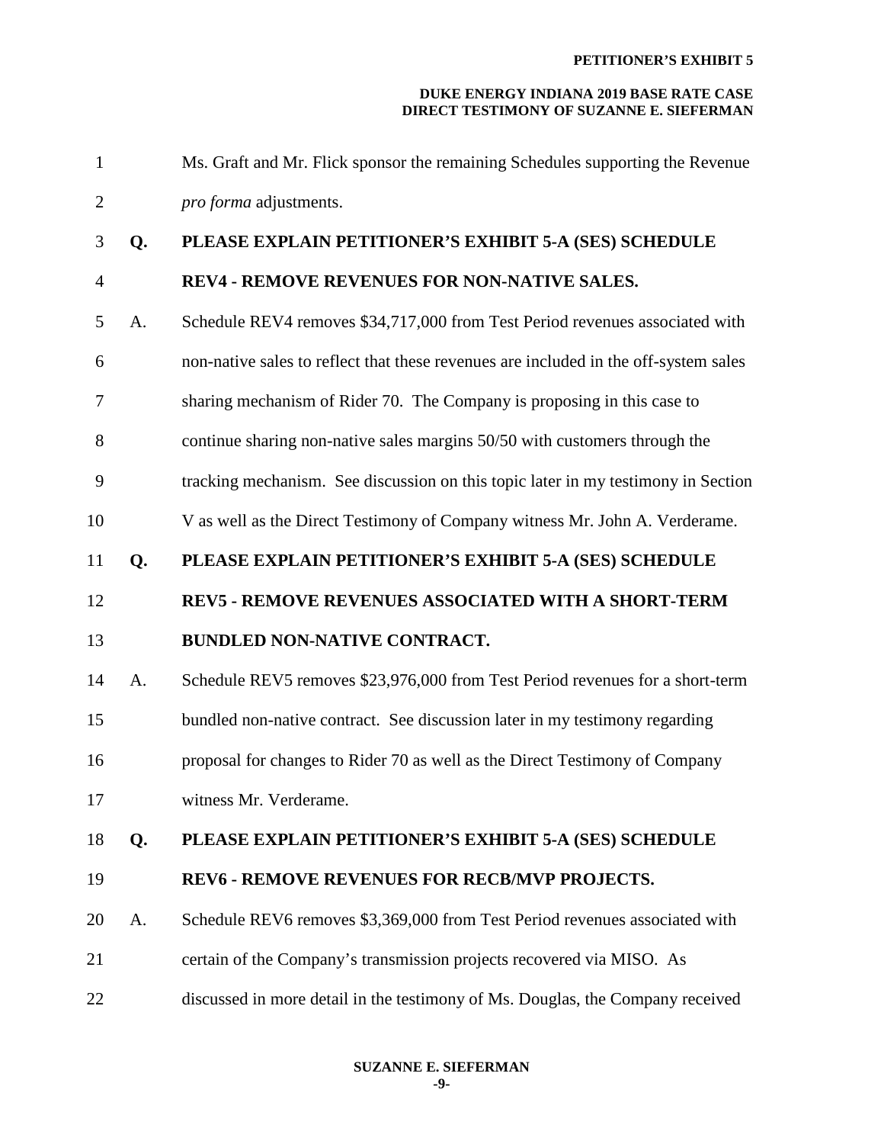| $\mathbf{1}$   |    | Ms. Graft and Mr. Flick sponsor the remaining Schedules supporting the Revenue       |
|----------------|----|--------------------------------------------------------------------------------------|
| $\mathbf{2}$   |    | pro forma adjustments.                                                               |
| 3              | Q. | PLEASE EXPLAIN PETITIONER'S EXHIBIT 5-A (SES) SCHEDULE                               |
| $\overline{4}$ |    | REV4 - REMOVE REVENUES FOR NON-NATIVE SALES.                                         |
| 5              | A. | Schedule REV4 removes \$34,717,000 from Test Period revenues associated with         |
| 6              |    | non-native sales to reflect that these revenues are included in the off-system sales |
| 7              |    | sharing mechanism of Rider 70. The Company is proposing in this case to              |
| 8              |    | continue sharing non-native sales margins 50/50 with customers through the           |
| 9              |    | tracking mechanism. See discussion on this topic later in my testimony in Section    |
| 10             |    | V as well as the Direct Testimony of Company witness Mr. John A. Verderame.          |
| 11             | Q. | PLEASE EXPLAIN PETITIONER'S EXHIBIT 5-A (SES) SCHEDULE                               |
|                |    |                                                                                      |
| 12             |    | REV5 - REMOVE REVENUES ASSOCIATED WITH A SHORT-TERM                                  |
| 13             |    | <b>BUNDLED NON-NATIVE CONTRACT.</b>                                                  |
| 14             | A. | Schedule REV5 removes \$23,976,000 from Test Period revenues for a short-term        |
| 15             |    | bundled non-native contract. See discussion later in my testimony regarding          |
| 16             |    | proposal for changes to Rider 70 as well as the Direct Testimony of Company          |
| 17             |    | witness Mr. Verderame.                                                               |
| 18             | Q. | PLEASE EXPLAIN PETITIONER'S EXHIBIT 5-A (SES) SCHEDULE                               |
| 19             |    | <b>REV6 - REMOVE REVENUES FOR RECB/MVP PROJECTS.</b>                                 |
| 20             | A. | Schedule REV6 removes \$3,369,000 from Test Period revenues associated with          |
| 21             |    | certain of the Company's transmission projects recovered via MISO. As                |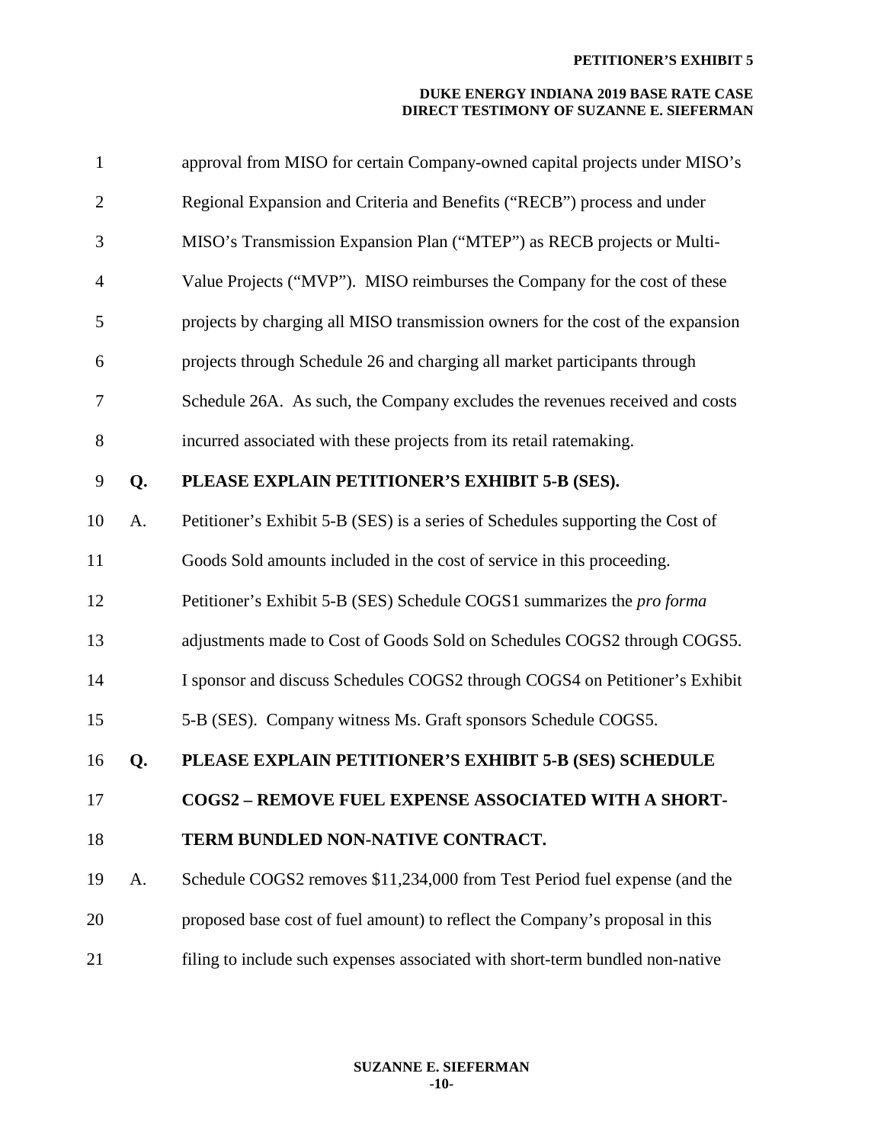| $\mathbf{1}$   |    | approval from MISO for certain Company-owned capital projects under MISO's      |
|----------------|----|---------------------------------------------------------------------------------|
| $\overline{2}$ |    | Regional Expansion and Criteria and Benefits ("RECB") process and under         |
| 3              |    | MISO's Transmission Expansion Plan ("MTEP") as RECB projects or Multi-          |
| $\overline{4}$ |    | Value Projects ("MVP"). MISO reimburses the Company for the cost of these       |
| 5              |    | projects by charging all MISO transmission owners for the cost of the expansion |
| 6              |    | projects through Schedule 26 and charging all market participants through       |
| 7              |    | Schedule 26A. As such, the Company excludes the revenues received and costs     |
| 8              |    | incurred associated with these projects from its retail ratemaking.             |
| 9              | Q. | PLEASE EXPLAIN PETITIONER'S EXHIBIT 5-B (SES).                                  |
| 10             | A. | Petitioner's Exhibit 5-B (SES) is a series of Schedules supporting the Cost of  |
| 11             |    | Goods Sold amounts included in the cost of service in this proceeding.          |
| 12             |    | Petitioner's Exhibit 5-B (SES) Schedule COGS1 summarizes the pro forma          |
| 13             |    | adjustments made to Cost of Goods Sold on Schedules COGS2 through COGS5.        |
| 14             |    | I sponsor and discuss Schedules COGS2 through COGS4 on Petitioner's Exhibit     |
| 15             |    | 5-B (SES). Company witness Ms. Graft sponsors Schedule COGS5.                   |
| 16             | Q. | PLEASE EXPLAIN PETITIONER'S EXHIBIT 5-B (SES) SCHEDULE                          |
| 17             |    | <b>COGS2 - REMOVE FUEL EXPENSE ASSOCIATED WITH A SHORT-</b>                     |
| 18             |    | TERM BUNDLED NON-NATIVE CONTRACT.                                               |
| 19             | A. | Schedule COGS2 removes \$11,234,000 from Test Period fuel expense (and the      |
| 20             |    | proposed base cost of fuel amount) to reflect the Company's proposal in this    |
| 21             |    | filing to include such expenses associated with short-term bundled non-native   |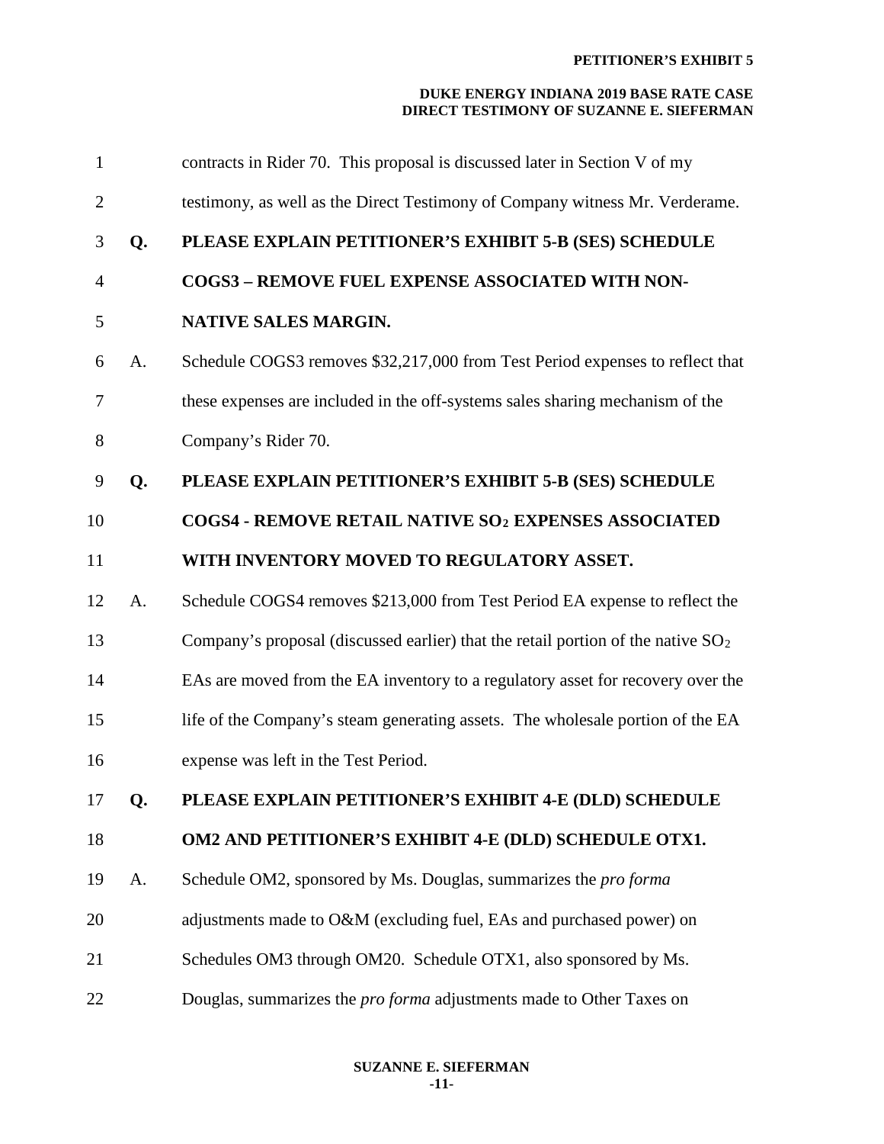| $\mathbf{1}$   |    | contracts in Rider 70. This proposal is discussed later in Section V of my          |
|----------------|----|-------------------------------------------------------------------------------------|
| $\overline{2}$ |    | testimony, as well as the Direct Testimony of Company witness Mr. Verderame.        |
| 3              | Q. | PLEASE EXPLAIN PETITIONER'S EXHIBIT 5-B (SES) SCHEDULE                              |
| $\overline{4}$ |    | <b>COGS3 - REMOVE FUEL EXPENSE ASSOCIATED WITH NON-</b>                             |
| 5              |    | NATIVE SALES MARGIN.                                                                |
| 6              | A. | Schedule COGS3 removes \$32,217,000 from Test Period expenses to reflect that       |
| 7              |    | these expenses are included in the off-systems sales sharing mechanism of the       |
| 8              |    | Company's Rider 70.                                                                 |
| 9              | Q. | PLEASE EXPLAIN PETITIONER'S EXHIBIT 5-B (SES) SCHEDULE                              |
| 10             |    | COGS4 - REMOVE RETAIL NATIVE SO2 EXPENSES ASSOCIATED                                |
| 11             |    | WITH INVENTORY MOVED TO REGULATORY ASSET.                                           |
| 12             | A. | Schedule COGS4 removes \$213,000 from Test Period EA expense to reflect the         |
| 13             |    | Company's proposal (discussed earlier) that the retail portion of the native $SO_2$ |
| 14             |    | EAs are moved from the EA inventory to a regulatory asset for recovery over the     |
| 15             |    | life of the Company's steam generating assets. The wholesale portion of the EA      |
| 16             |    | expense was left in the Test Period.                                                |
| 17             | Q. | PLEASE EXPLAIN PETITIONER'S EXHIBIT 4-E (DLD) SCHEDULE                              |
| 18             |    | OM2 AND PETITIONER'S EXHIBIT 4-E (DLD) SCHEDULE OTX1.                               |
| 19             | A. | Schedule OM2, sponsored by Ms. Douglas, summarizes the <i>pro forma</i>             |
| 20             |    | adjustments made to O&M (excluding fuel, EAs and purchased power) on                |
| 21             |    | Schedules OM3 through OM20. Schedule OTX1, also sponsored by Ms.                    |
| 22             |    | Douglas, summarizes the <i>pro forma</i> adjustments made to Other Taxes on         |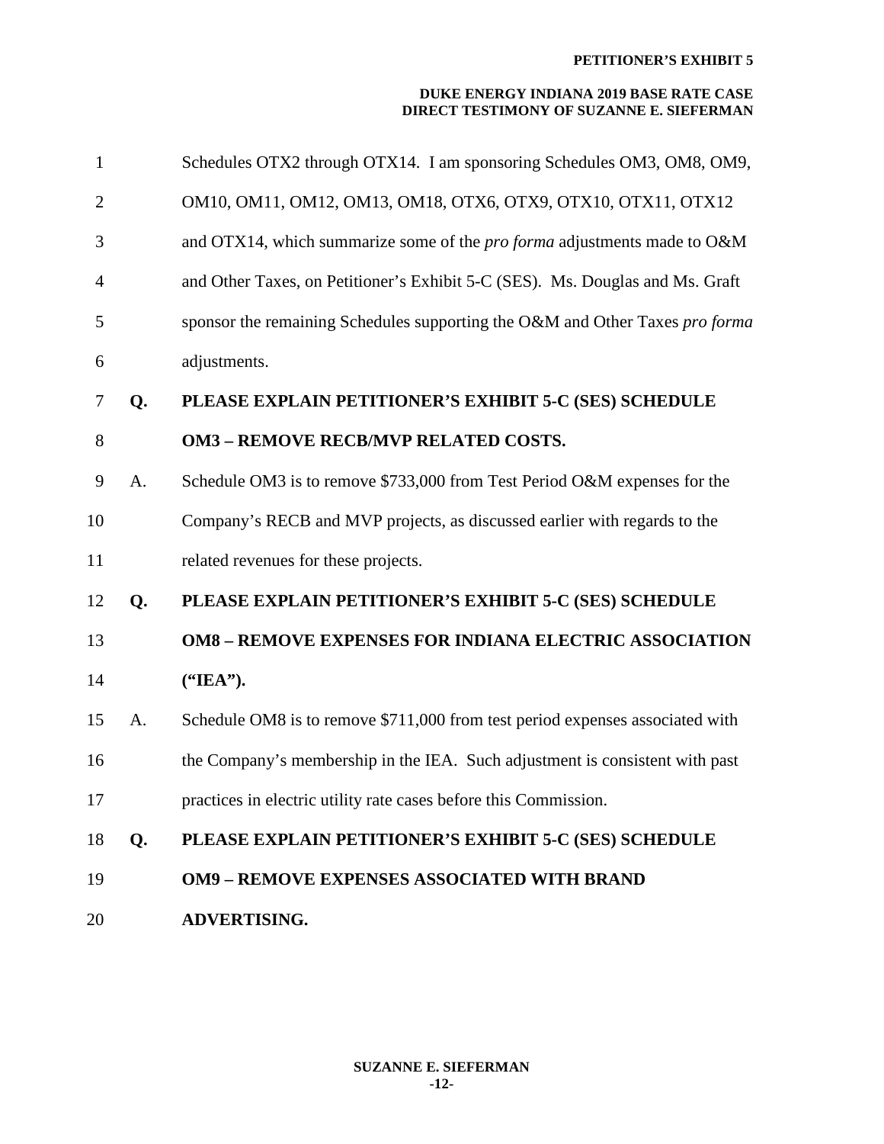| 1              |    | Schedules OTX2 through OTX14. I am sponsoring Schedules OM3, OM8, OM9,          |
|----------------|----|---------------------------------------------------------------------------------|
| $\overline{2}$ |    | OM10, OM11, OM12, OM13, OM18, OTX6, OTX9, OTX10, OTX11, OTX12                   |
| 3              |    | and OTX14, which summarize some of the <i>pro forma</i> adjustments made to O&M |
| $\overline{4}$ |    | and Other Taxes, on Petitioner's Exhibit 5-C (SES). Ms. Douglas and Ms. Graft   |
| 5              |    | sponsor the remaining Schedules supporting the O&M and Other Taxes pro forma    |
| 6              |    | adjustments.                                                                    |
| 7              | Q. | PLEASE EXPLAIN PETITIONER'S EXHIBIT 5-C (SES) SCHEDULE                          |
| 8              |    | <b>OM3 - REMOVE RECB/MVP RELATED COSTS.</b>                                     |
| 9              | A. | Schedule OM3 is to remove \$733,000 from Test Period O&M expenses for the       |
| 10             |    | Company's RECB and MVP projects, as discussed earlier with regards to the       |
| 11             |    | related revenues for these projects.                                            |
| 12             | Q. | PLEASE EXPLAIN PETITIONER'S EXHIBIT 5-C (SES) SCHEDULE                          |
| 13             |    | <b>OM8 - REMOVE EXPENSES FOR INDIANA ELECTRIC ASSOCIATION</b>                   |
| 14             |    | ("IEA").                                                                        |
| 15             | A. | Schedule OM8 is to remove \$711,000 from test period expenses associated with   |
| 16             |    | the Company's membership in the IEA. Such adjustment is consistent with past    |
| 17             |    | practices in electric utility rate cases before this Commission.                |
| 18             | Q. | PLEASE EXPLAIN PETITIONER'S EXHIBIT 5-C (SES) SCHEDULE                          |
| 19             |    | <b>OM9 - REMOVE EXPENSES ASSOCIATED WITH BRAND</b>                              |
| 20             |    | <b>ADVERTISING.</b>                                                             |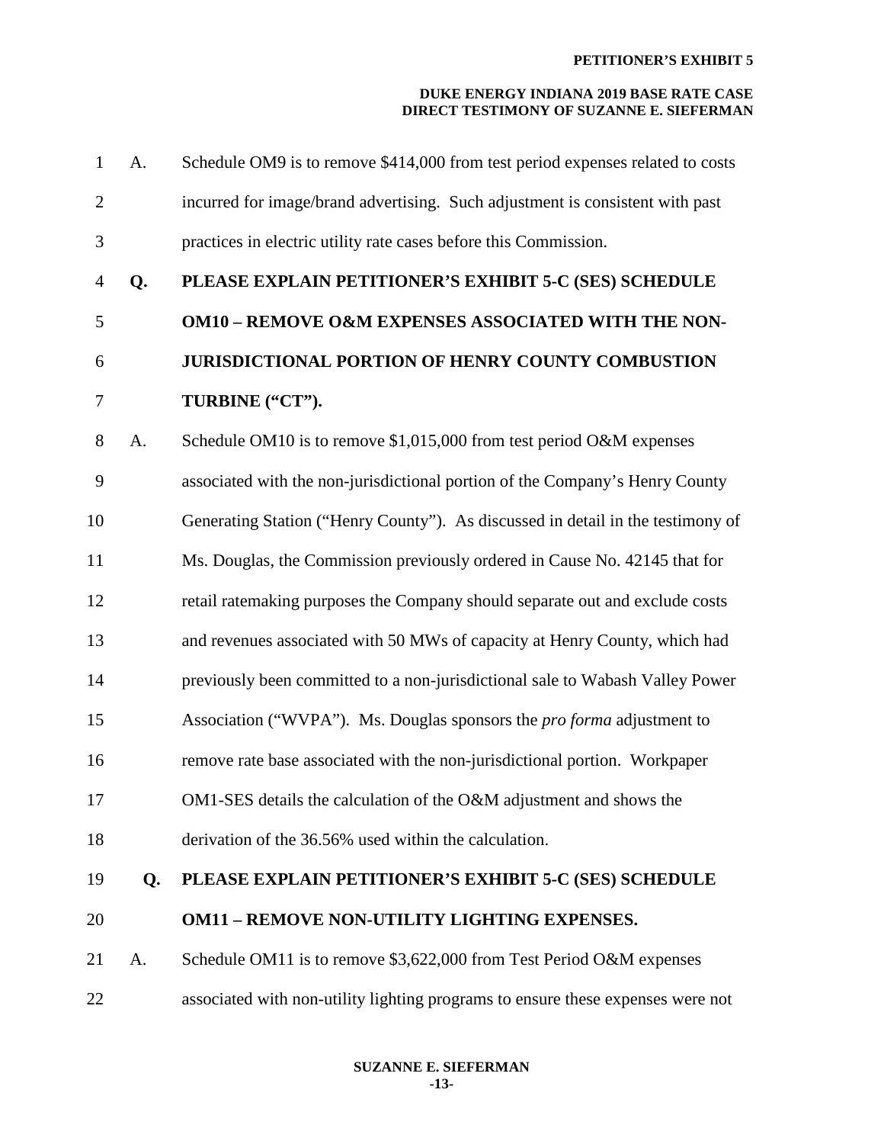| 1              | A. | Schedule OM9 is to remove \$414,000 from test period expenses related to costs  |
|----------------|----|---------------------------------------------------------------------------------|
| $\overline{2}$ |    | incurred for image/brand advertising. Such adjustment is consistent with past   |
| 3              |    | practices in electric utility rate cases before this Commission.                |
| $\overline{4}$ | Q. | PLEASE EXPLAIN PETITIONER'S EXHIBIT 5-C (SES) SCHEDULE                          |
| 5              |    | <b>OM10 - REMOVE O&amp;M EXPENSES ASSOCIATED WITH THE NON-</b>                  |
| 6              |    | <b>JURISDICTIONAL PORTION OF HENRY COUNTY COMBUSTION</b>                        |
| 7              |    | TURBINE ("CT").                                                                 |
| 8              | A. | Schedule OM10 is to remove $$1,015,000$ from test period O&M expenses           |
| 9              |    | associated with the non-jurisdictional portion of the Company's Henry County    |
| 10             |    | Generating Station ("Henry County"). As discussed in detail in the testimony of |
| 11             |    | Ms. Douglas, the Commission previously ordered in Cause No. 42145 that for      |
| 12             |    | retail ratemaking purposes the Company should separate out and exclude costs    |
| 13             |    | and revenues associated with 50 MWs of capacity at Henry County, which had      |
| 14             |    | previously been committed to a non-jurisdictional sale to Wabash Valley Power   |
| 15             |    | Association ("WVPA"). Ms. Douglas sponsors the <i>pro forma</i> adjustment to   |
| 16             |    | remove rate base associated with the non-jurisdictional portion. Workpaper      |
| 17             |    | OM1-SES details the calculation of the O&M adjustment and shows the             |
| 18             |    | derivation of the 36.56% used within the calculation.                           |
| 19             | Q. | PLEASE EXPLAIN PETITIONER'S EXHIBIT 5-C (SES) SCHEDULE                          |
| 20             |    | <b>OM11 - REMOVE NON-UTILITY LIGHTING EXPENSES.</b>                             |
| 21             | A. | Schedule OM11 is to remove \$3,622,000 from Test Period O&M expenses            |
| 22             |    | associated with non-utility lighting programs to ensure these expenses were not |
|                |    |                                                                                 |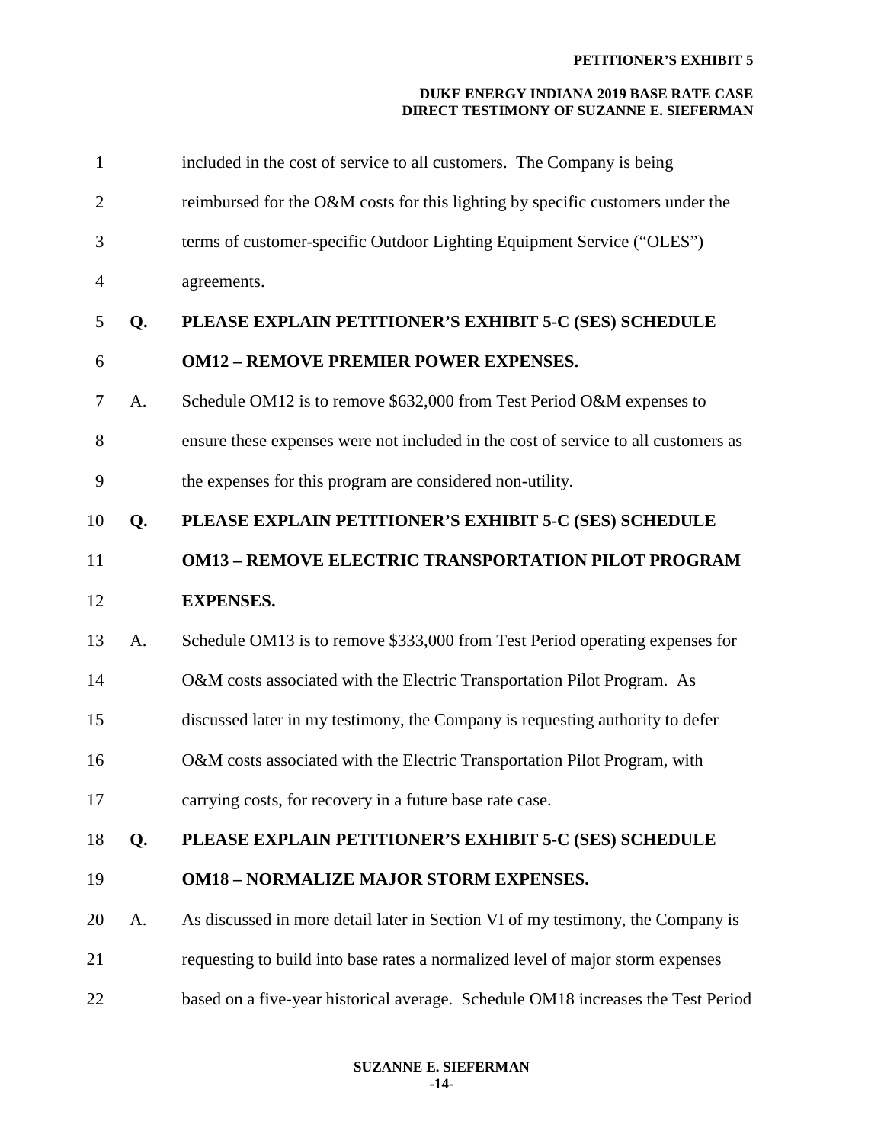| $\mathbf{1}$   |    | included in the cost of service to all customers. The Company is being             |
|----------------|----|------------------------------------------------------------------------------------|
| $\overline{2}$ |    | reimbursed for the O&M costs for this lighting by specific customers under the     |
| 3              |    | terms of customer-specific Outdoor Lighting Equipment Service ("OLES")             |
| $\overline{4}$ |    | agreements.                                                                        |
| 5              | Q. | PLEASE EXPLAIN PETITIONER'S EXHIBIT 5-C (SES) SCHEDULE                             |
| 6              |    | <b>OM12 - REMOVE PREMIER POWER EXPENSES.</b>                                       |
| 7              | A. | Schedule OM12 is to remove \$632,000 from Test Period O&M expenses to              |
| 8              |    | ensure these expenses were not included in the cost of service to all customers as |
| 9              |    | the expenses for this program are considered non-utility.                          |
| 10             | Q. | PLEASE EXPLAIN PETITIONER'S EXHIBIT 5-C (SES) SCHEDULE                             |
| 11             |    | <b>OM13 - REMOVE ELECTRIC TRANSPORTATION PILOT PROGRAM</b>                         |
|                |    |                                                                                    |
| 12             |    | <b>EXPENSES.</b>                                                                   |
| 13             | A. | Schedule OM13 is to remove \$333,000 from Test Period operating expenses for       |
| 14             |    | O&M costs associated with the Electric Transportation Pilot Program. As            |
| 15             |    | discussed later in my testimony, the Company is requesting authority to defer      |
| 16             |    | O&M costs associated with the Electric Transportation Pilot Program, with          |
| 17             |    | carrying costs, for recovery in a future base rate case.                           |
| 18             | Q. | PLEASE EXPLAIN PETITIONER'S EXHIBIT 5-C (SES) SCHEDULE                             |
| 19             |    | <b>OM18 - NORMALIZE MAJOR STORM EXPENSES.</b>                                      |
| 20             | A. | As discussed in more detail later in Section VI of my testimony, the Company is    |
| 21             |    | requesting to build into base rates a normalized level of major storm expenses     |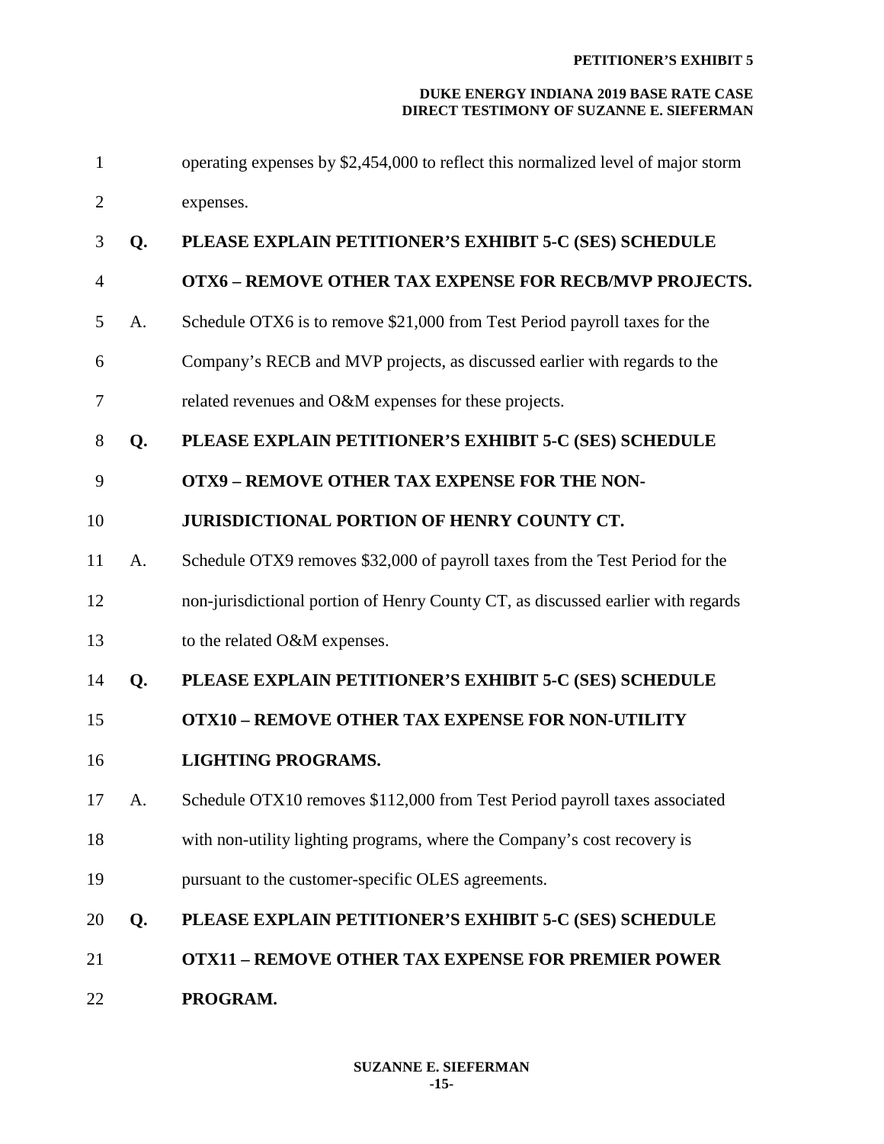| $\mathbf{1}$   |    | operating expenses by \$2,454,000 to reflect this normalized level of major storm |
|----------------|----|-----------------------------------------------------------------------------------|
| $\overline{2}$ |    | expenses.                                                                         |
| 3              | Q. | PLEASE EXPLAIN PETITIONER'S EXHIBIT 5-C (SES) SCHEDULE                            |
| $\overline{4}$ |    | <b>OTX6 - REMOVE OTHER TAX EXPENSE FOR RECB/MVP PROJECTS.</b>                     |
| 5              | A. | Schedule OTX6 is to remove \$21,000 from Test Period payroll taxes for the        |
| 6              |    | Company's RECB and MVP projects, as discussed earlier with regards to the         |
| 7              |    | related revenues and O&M expenses for these projects.                             |
| 8              | Q. | PLEASE EXPLAIN PETITIONER'S EXHIBIT 5-C (SES) SCHEDULE                            |
| 9              |    | <b>OTX9 - REMOVE OTHER TAX EXPENSE FOR THE NON-</b>                               |
| 10             |    | <b>JURISDICTIONAL PORTION OF HENRY COUNTY CT.</b>                                 |
| 11             | A. | Schedule OTX9 removes \$32,000 of payroll taxes from the Test Period for the      |
| 12             |    | non-jurisdictional portion of Henry County CT, as discussed earlier with regards  |
| 13             |    | to the related O&M expenses.                                                      |
| 14             | Q. | PLEASE EXPLAIN PETITIONER'S EXHIBIT 5-C (SES) SCHEDULE                            |
| 15             |    | <b>OTX10 - REMOVE OTHER TAX EXPENSE FOR NON-UTILITY</b>                           |
| 16             |    | <b>LIGHTING PROGRAMS.</b>                                                         |
| 17             | A. | Schedule OTX10 removes \$112,000 from Test Period payroll taxes associated        |
| 18             |    | with non-utility lighting programs, where the Company's cost recovery is          |
| 19             |    | pursuant to the customer-specific OLES agreements.                                |
| 20             | Q. | PLEASE EXPLAIN PETITIONER'S EXHIBIT 5-C (SES) SCHEDULE                            |
| 21             |    | <b>OTX11 - REMOVE OTHER TAX EXPENSE FOR PREMIER POWER</b>                         |
| 22             |    | PROGRAM.                                                                          |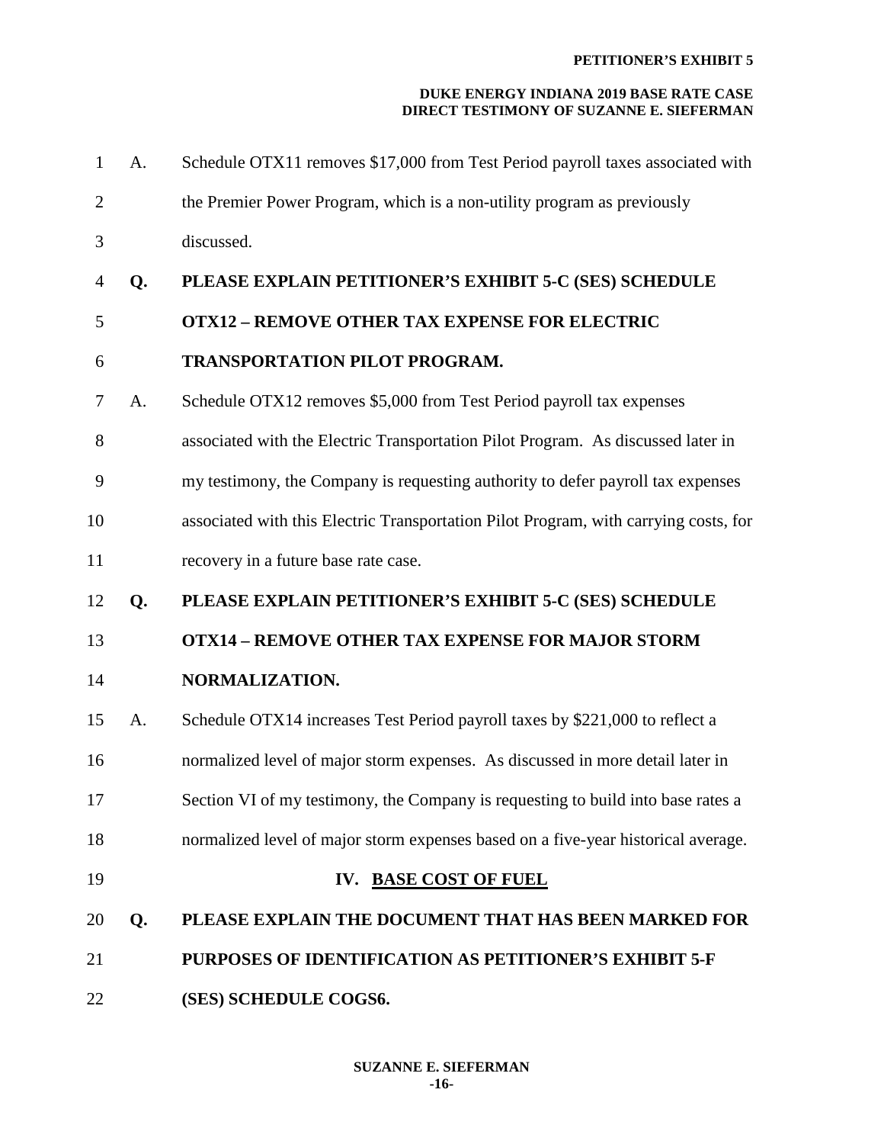| $\mathbf{1}$   | A. | Schedule OTX11 removes \$17,000 from Test Period payroll taxes associated with       |
|----------------|----|--------------------------------------------------------------------------------------|
| $\overline{2}$ |    | the Premier Power Program, which is a non-utility program as previously              |
| 3              |    | discussed.                                                                           |
| 4              | Q. | PLEASE EXPLAIN PETITIONER'S EXHIBIT 5-C (SES) SCHEDULE                               |
| 5              |    | <b>OTX12 - REMOVE OTHER TAX EXPENSE FOR ELECTRIC</b>                                 |
| 6              |    | <b>TRANSPORTATION PILOT PROGRAM.</b>                                                 |
| 7              | A. | Schedule OTX12 removes \$5,000 from Test Period payroll tax expenses                 |
| 8              |    | associated with the Electric Transportation Pilot Program. As discussed later in     |
| 9              |    | my testimony, the Company is requesting authority to defer payroll tax expenses      |
| 10             |    | associated with this Electric Transportation Pilot Program, with carrying costs, for |
| 11             |    | recovery in a future base rate case.                                                 |
| 12             | Q. | PLEASE EXPLAIN PETITIONER'S EXHIBIT 5-C (SES) SCHEDULE                               |
|                |    |                                                                                      |
| 13             |    | <b>OTX14 - REMOVE OTHER TAX EXPENSE FOR MAJOR STORM</b>                              |
| 14             |    | NORMALIZATION.                                                                       |
| 15             | А. | Schedule OTX14 increases Test Period payroll taxes by \$221,000 to reflect a         |
| 16             |    | normalized level of major storm expenses. As discussed in more detail later in       |
| 17             |    | Section VI of my testimony, the Company is requesting to build into base rates a     |
| 18             |    | normalized level of major storm expenses based on a five-year historical average.    |
| 19             |    | IV. BASE COST OF FUEL                                                                |
| 20             | Q. | PLEASE EXPLAIN THE DOCUMENT THAT HAS BEEN MARKED FOR                                 |
| 21             |    | <b>PURPOSES OF IDENTIFICATION AS PETITIONER'S EXHIBIT 5-F</b>                        |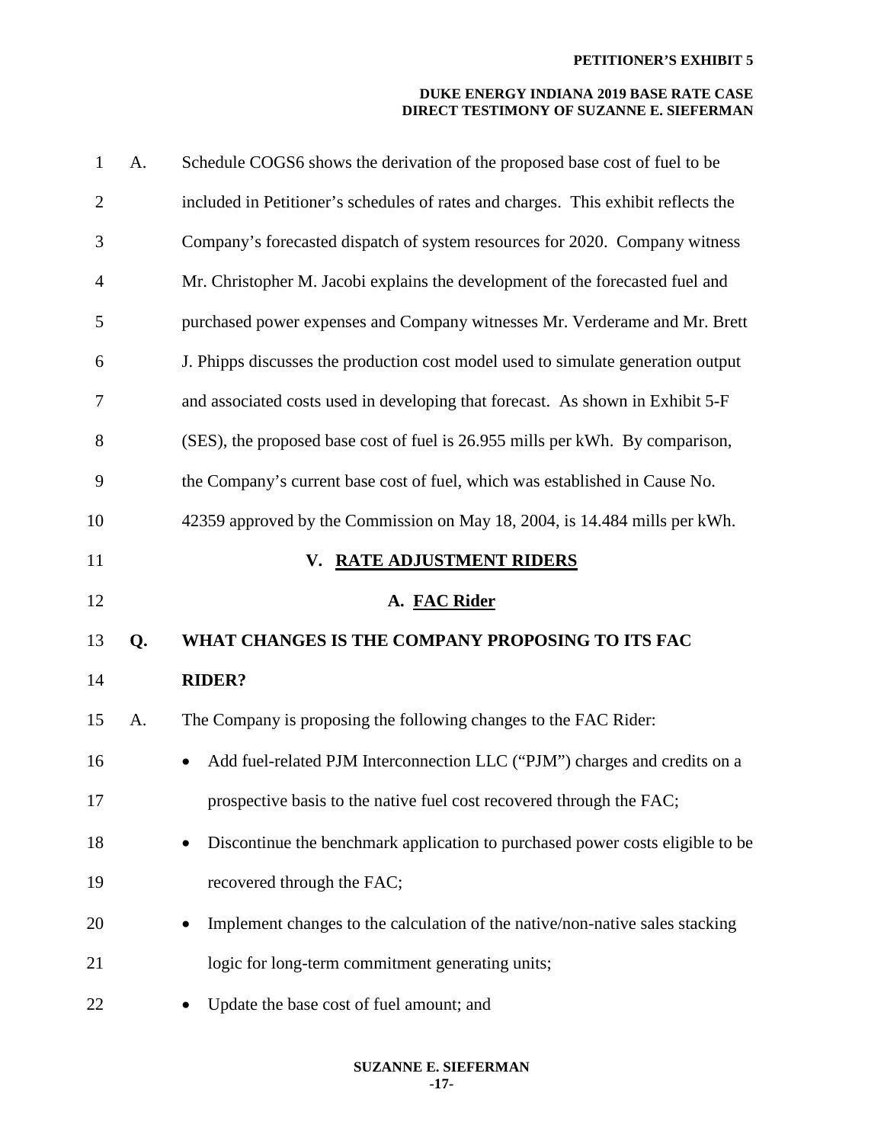| $\mathbf{1}$   | A. | Schedule COGS6 shows the derivation of the proposed base cost of fuel to be        |
|----------------|----|------------------------------------------------------------------------------------|
| $\overline{2}$ |    | included in Petitioner's schedules of rates and charges. This exhibit reflects the |
| 3              |    | Company's forecasted dispatch of system resources for 2020. Company witness        |
| $\overline{4}$ |    | Mr. Christopher M. Jacobi explains the development of the forecasted fuel and      |
| 5              |    | purchased power expenses and Company witnesses Mr. Verderame and Mr. Brett         |
| 6              |    | J. Phipps discusses the production cost model used to simulate generation output   |
| 7              |    | and associated costs used in developing that forecast. As shown in Exhibit 5-F     |
| 8              |    | (SES), the proposed base cost of fuel is 26.955 mills per kWh. By comparison,      |
| 9              |    | the Company's current base cost of fuel, which was established in Cause No.        |
| 10             |    | 42359 approved by the Commission on May 18, 2004, is 14.484 mills per kWh.         |
| 11             |    | <b>RATE ADJUSTMENT RIDERS</b><br>V.                                                |
|                |    |                                                                                    |
| 12             |    | A. FAC Rider                                                                       |
| 13             | Q. | WHAT CHANGES IS THE COMPANY PROPOSING TO ITS FAC                                   |
| 14             |    | <b>RIDER?</b>                                                                      |
| 15             | A. | The Company is proposing the following changes to the FAC Rider:                   |
| 16             |    | Add fuel-related PJM Interconnection LLC ("PJM") charges and credits on a          |
| 17             |    | prospective basis to the native fuel cost recovered through the FAC;               |
| 18             |    | Discontinue the benchmark application to purchased power costs eligible to be      |
| 19             |    | recovered through the FAC;                                                         |
| 20             |    | Implement changes to the calculation of the native/non-native sales stacking       |
| 21             |    | logic for long-term commitment generating units;                                   |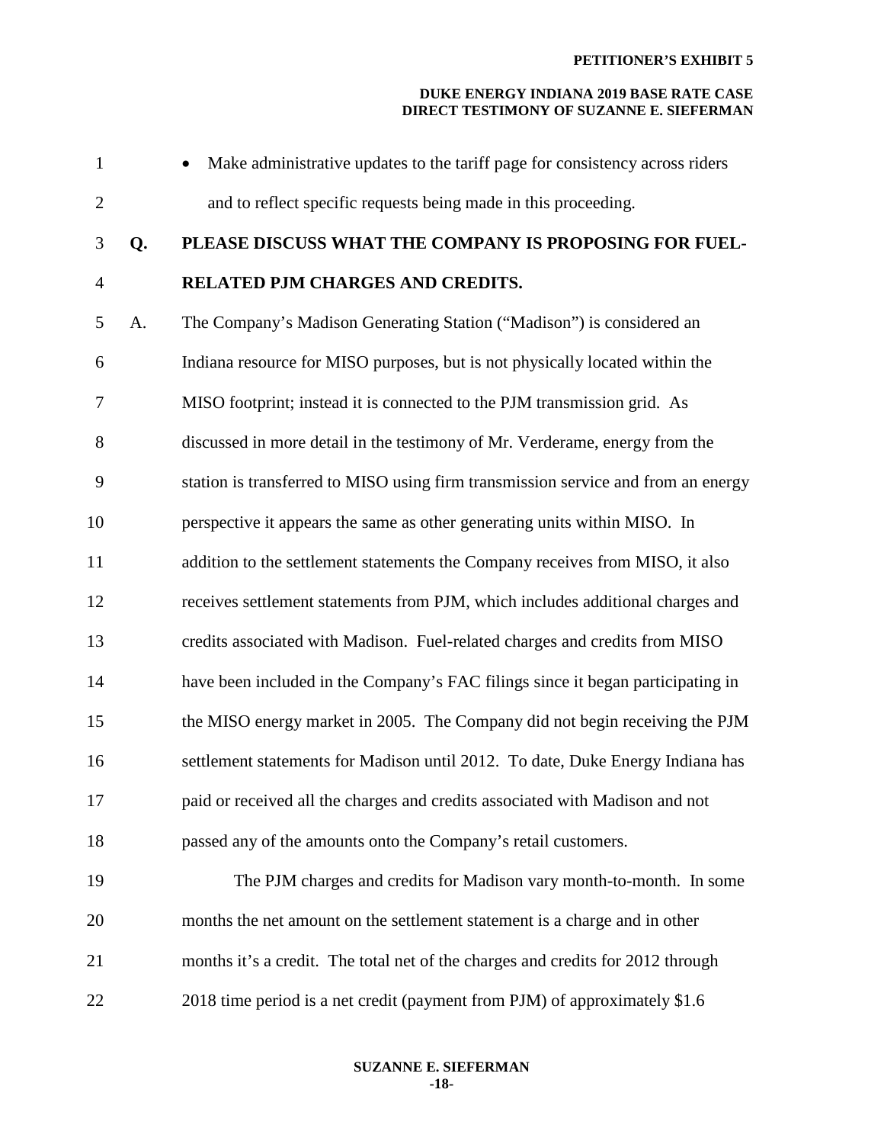| $\mathbf{1}$   |    | Make administrative updates to the tariff page for consistency across riders      |
|----------------|----|-----------------------------------------------------------------------------------|
| $\mathfrak{2}$ |    | and to reflect specific requests being made in this proceeding.                   |
| 3              | Q. | PLEASE DISCUSS WHAT THE COMPANY IS PROPOSING FOR FUEL-                            |
| $\overline{4}$ |    | RELATED PJM CHARGES AND CREDITS.                                                  |
| 5              | A. | The Company's Madison Generating Station ("Madison") is considered an             |
| 6              |    | Indiana resource for MISO purposes, but is not physically located within the      |
| $\tau$         |    | MISO footprint; instead it is connected to the PJM transmission grid. As          |
| 8              |    | discussed in more detail in the testimony of Mr. Verderame, energy from the       |
| 9              |    | station is transferred to MISO using firm transmission service and from an energy |
| 10             |    | perspective it appears the same as other generating units within MISO. In         |
| 11             |    | addition to the settlement statements the Company receives from MISO, it also     |
| 12             |    | receives settlement statements from PJM, which includes additional charges and    |
| 13             |    | credits associated with Madison. Fuel-related charges and credits from MISO       |
| 14             |    | have been included in the Company's FAC filings since it began participating in   |
| 15             |    | the MISO energy market in 2005. The Company did not begin receiving the PJM       |
| 16             |    | settlement statements for Madison until 2012. To date, Duke Energy Indiana has    |
| 17             |    | paid or received all the charges and credits associated with Madison and not      |
| 18             |    | passed any of the amounts onto the Company's retail customers.                    |
| 19             |    | The PJM charges and credits for Madison vary month-to-month. In some              |
| 20             |    | months the net amount on the settlement statement is a charge and in other        |
| 21             |    | months it's a credit. The total net of the charges and credits for 2012 through   |
| 22             |    | 2018 time period is a net credit (payment from PJM) of approximately \$1.6        |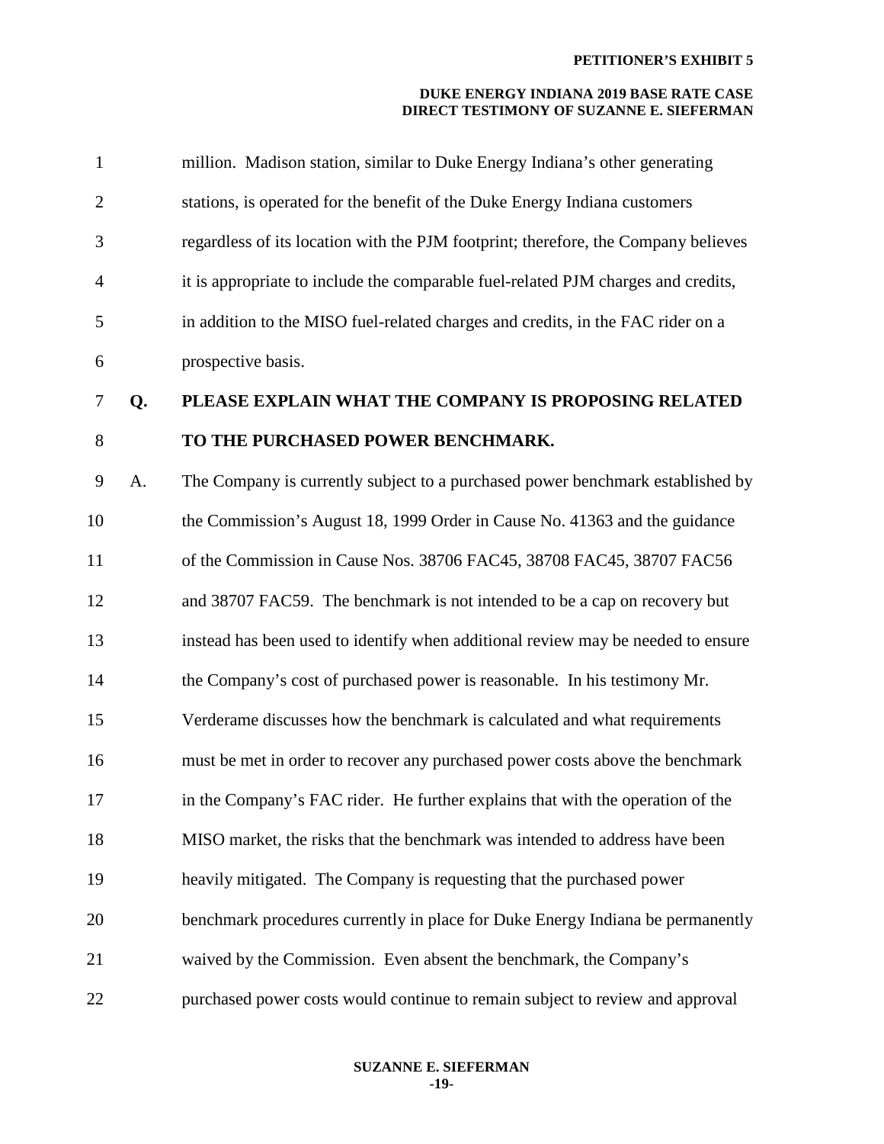| $\mathbf{1}$   |    | million. Madison station, similar to Duke Energy Indiana's other generating        |
|----------------|----|------------------------------------------------------------------------------------|
| $\overline{2}$ |    | stations, is operated for the benefit of the Duke Energy Indiana customers         |
| 3              |    | regardless of its location with the PJM footprint; therefore, the Company believes |
| $\overline{4}$ |    | it is appropriate to include the comparable fuel-related PJM charges and credits,  |
| 5              |    | in addition to the MISO fuel-related charges and credits, in the FAC rider on a    |
| 6              |    | prospective basis.                                                                 |
| $\tau$         | Q. | PLEASE EXPLAIN WHAT THE COMPANY IS PROPOSING RELATED                               |
| 8              |    | TO THE PURCHASED POWER BENCHMARK.                                                  |
| 9              | A. | The Company is currently subject to a purchased power benchmark established by     |
| 10             |    | the Commission's August 18, 1999 Order in Cause No. 41363 and the guidance         |
| 11             |    | of the Commission in Cause Nos. 38706 FAC45, 38708 FAC45, 38707 FAC56              |
| 12             |    | and 38707 FAC59. The benchmark is not intended to be a cap on recovery but         |
| 13             |    | instead has been used to identify when additional review may be needed to ensure   |
| 14             |    | the Company's cost of purchased power is reasonable. In his testimony Mr.          |
| 15             |    | Verderame discusses how the benchmark is calculated and what requirements          |
| 16             |    | must be met in order to recover any purchased power costs above the benchmark      |
| 17             |    | in the Company's FAC rider. He further explains that with the operation of the     |
| 18             |    | MISO market, the risks that the benchmark was intended to address have been        |
| 19             |    | heavily mitigated. The Company is requesting that the purchased power              |
| 20             |    | benchmark procedures currently in place for Duke Energy Indiana be permanently     |
| 21             |    | waived by the Commission. Even absent the benchmark, the Company's                 |
| 22             |    | purchased power costs would continue to remain subject to review and approval      |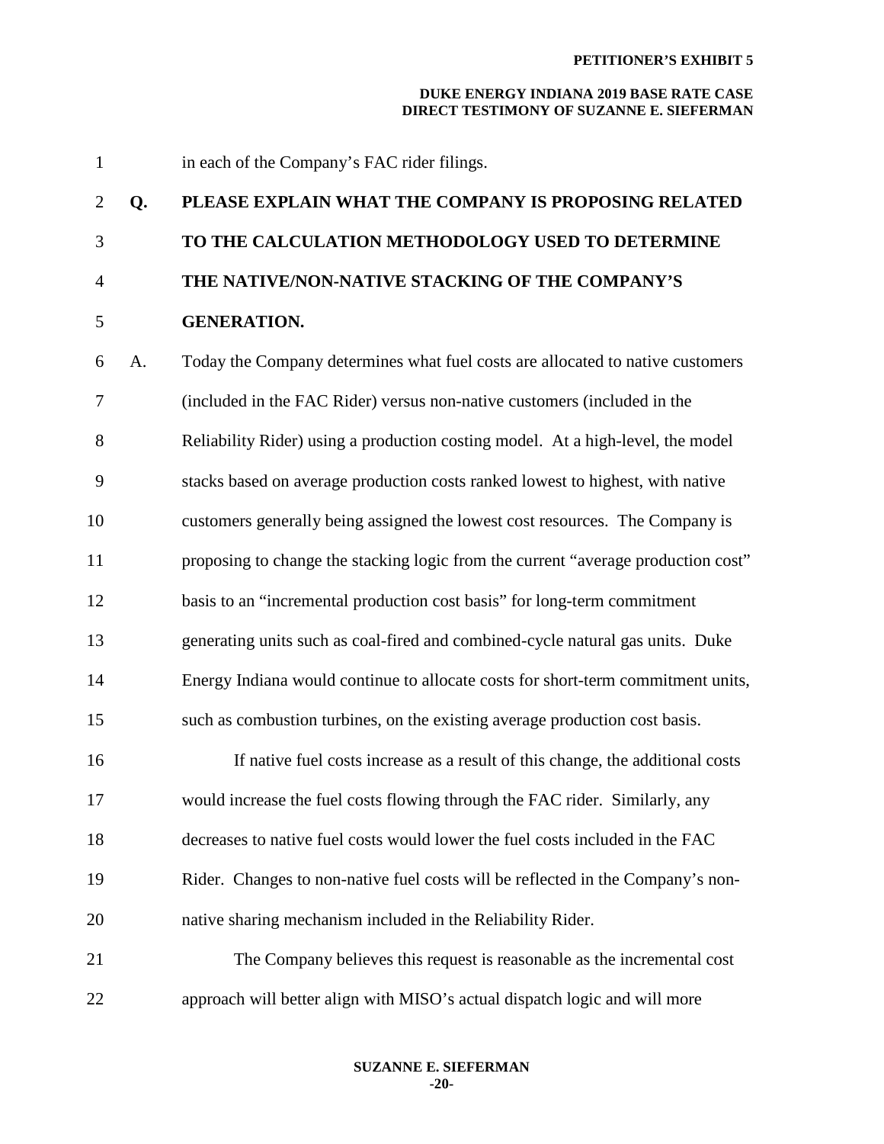1 in each of the Company's FAC rider filings. 2 **Q. PLEASE EXPLAIN WHAT THE COMPANY IS PROPOSING RELATED**  3 **TO THE CALCULATION METHODOLOGY USED TO DETERMINE**  4 **THE NATIVE/NON-NATIVE STACKING OF THE COMPANY'S**  5 **GENERATION.**  6 A. Today the Company determines what fuel costs are allocated to native customers 7 (included in the FAC Rider) versus non-native customers (included in the 8 Reliability Rider) using a production costing model. At a high-level, the model 9 stacks based on average production costs ranked lowest to highest, with native 10 customers generally being assigned the lowest cost resources. The Company is 11 proposing to change the stacking logic from the current "average production cost" 12 basis to an "incremental production cost basis" for long-term commitment 13 generating units such as coal-fired and combined-cycle natural gas units. Duke 14 Energy Indiana would continue to allocate costs for short-term commitment units, 15 such as combustion turbines, on the existing average production cost basis. 16 If native fuel costs increase as a result of this change, the additional costs 17 would increase the fuel costs flowing through the FAC rider. Similarly, any 18 decreases to native fuel costs would lower the fuel costs included in the FAC 19 Rider. Changes to non-native fuel costs will be reflected in the Company's non-20 native sharing mechanism included in the Reliability Rider. 21 The Company believes this request is reasonable as the incremental cost 22 approach will better align with MISO's actual dispatch logic and will more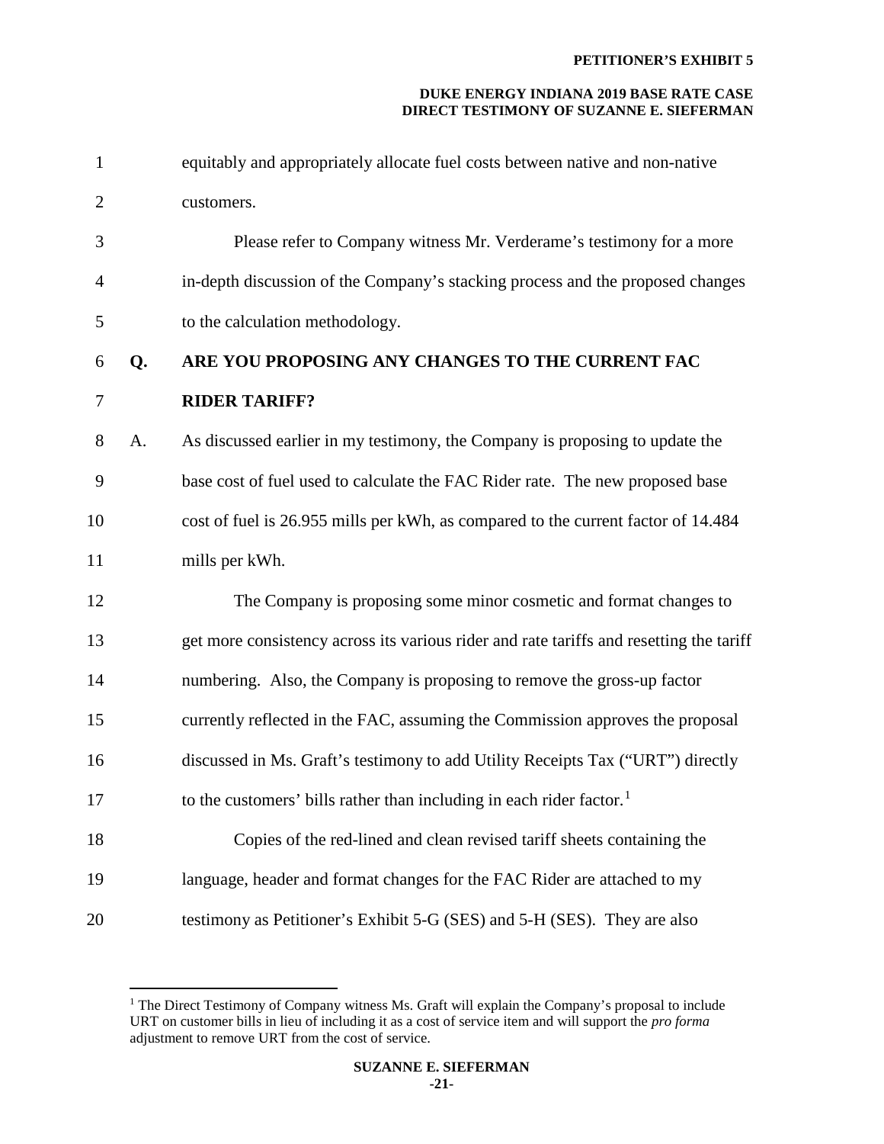| 1              |    | equitably and appropriately allocate fuel costs between native and non-native           |
|----------------|----|-----------------------------------------------------------------------------------------|
| $\overline{2}$ |    | customers.                                                                              |
| 3              |    | Please refer to Company witness Mr. Verderame's testimony for a more                    |
| $\overline{4}$ |    | in-depth discussion of the Company's stacking process and the proposed changes          |
| 5              |    | to the calculation methodology.                                                         |
| 6              | Q. | ARE YOU PROPOSING ANY CHANGES TO THE CURRENT FAC                                        |
| $\tau$         |    | <b>RIDER TARIFF?</b>                                                                    |
| 8              | A. | As discussed earlier in my testimony, the Company is proposing to update the            |
| 9              |    | base cost of fuel used to calculate the FAC Rider rate. The new proposed base           |
| 10             |    | cost of fuel is 26.955 mills per kWh, as compared to the current factor of 14.484       |
| 11             |    | mills per kWh.                                                                          |
| 12             |    | The Company is proposing some minor cosmetic and format changes to                      |
| 13             |    | get more consistency across its various rider and rate tariffs and resetting the tariff |
| 14             |    | numbering. Also, the Company is proposing to remove the gross-up factor                 |
| 15             |    | currently reflected in the FAC, assuming the Commission approves the proposal           |
| 16             |    | discussed in Ms. Graft's testimony to add Utility Receipts Tax ("URT") directly         |
| 17             |    | to the customers' bills rather than including in each rider factor. <sup>1</sup>        |
| 18             |    | Copies of the red-lined and clean revised tariff sheets containing the                  |
| 19             |    | language, header and format changes for the FAC Rider are attached to my                |
| 20             |    | testimony as Petitioner's Exhibit 5-G (SES) and 5-H (SES). They are also                |

 $\overline{a}$ 

<span id="page-21-0"></span><sup>&</sup>lt;sup>1</sup> The Direct Testimony of Company witness Ms. Graft will explain the Company's proposal to include URT on customer bills in lieu of including it as a cost of service item and will support the *pro forma* adjustment to remove URT from the cost of service.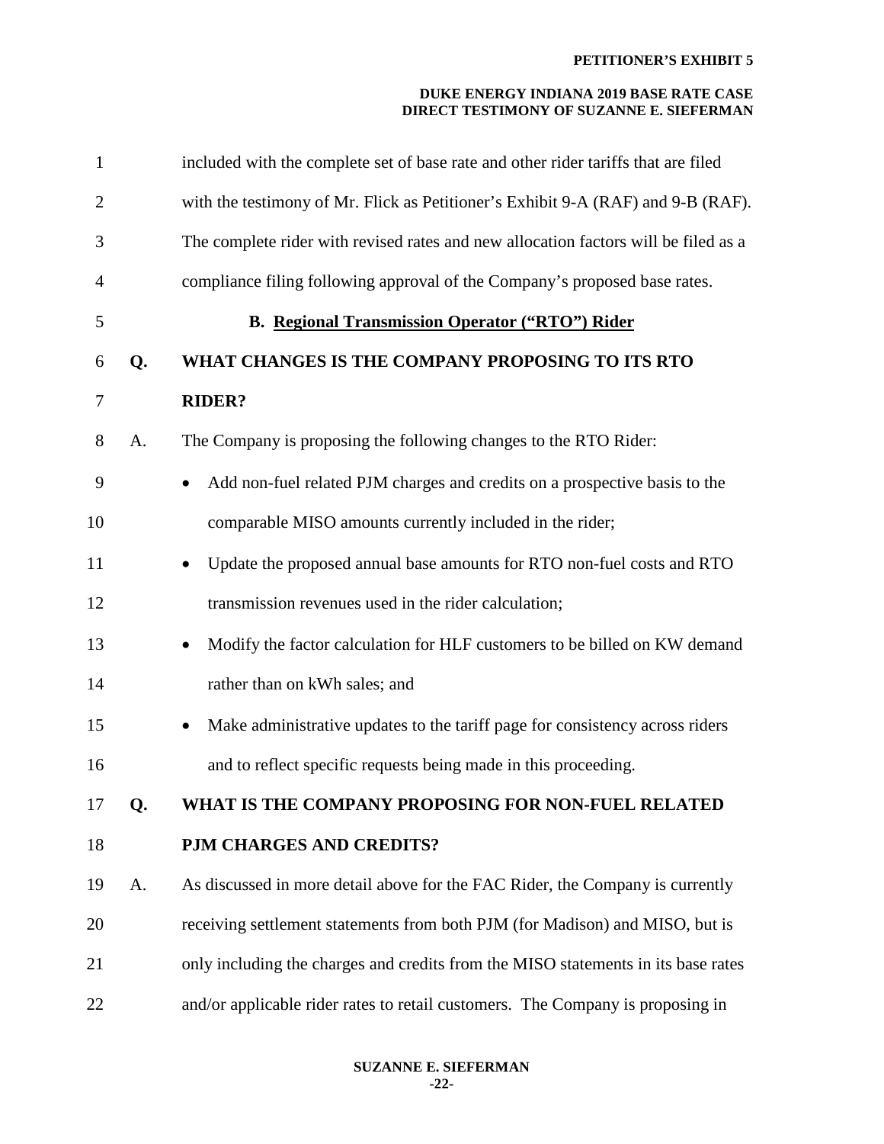| $\mathbf{1}$   |    | included with the complete set of base rate and other rider tariffs that are filed     |
|----------------|----|----------------------------------------------------------------------------------------|
| $\overline{2}$ |    | with the testimony of Mr. Flick as Petitioner's Exhibit 9-A (RAF) and 9-B (RAF).       |
| 3              |    | The complete rider with revised rates and new allocation factors will be filed as a    |
| $\overline{4}$ |    | compliance filing following approval of the Company's proposed base rates.             |
| 5              |    | <b>B.</b> Regional Transmission Operator ("RTO") Rider                                 |
| 6              | Q. | WHAT CHANGES IS THE COMPANY PROPOSING TO ITS RTO                                       |
| 7              |    | <b>RIDER?</b>                                                                          |
| 8              | A. | The Company is proposing the following changes to the RTO Rider:                       |
| 9              |    | Add non-fuel related PJM charges and credits on a prospective basis to the             |
| 10             |    | comparable MISO amounts currently included in the rider;                               |
| 11             |    | Update the proposed annual base amounts for RTO non-fuel costs and RTO                 |
| 12             |    | transmission revenues used in the rider calculation;                                   |
| 13             |    | Modify the factor calculation for HLF customers to be billed on KW demand<br>$\bullet$ |
| 14             |    | rather than on kWh sales; and                                                          |
| 15             |    | Make administrative updates to the tariff page for consistency across riders           |
| 16             |    | and to reflect specific requests being made in this proceeding.                        |
| 17             | Q. | WHAT IS THE COMPANY PROPOSING FOR NON-FUEL RELATED                                     |
| 18             |    | PJM CHARGES AND CREDITS?                                                               |
| 19             | A. | As discussed in more detail above for the FAC Rider, the Company is currently          |
| 20             |    | receiving settlement statements from both PJM (for Madison) and MISO, but is           |
| 21             |    | only including the charges and credits from the MISO statements in its base rates      |
| 22             |    | and/or applicable rider rates to retail customers. The Company is proposing in         |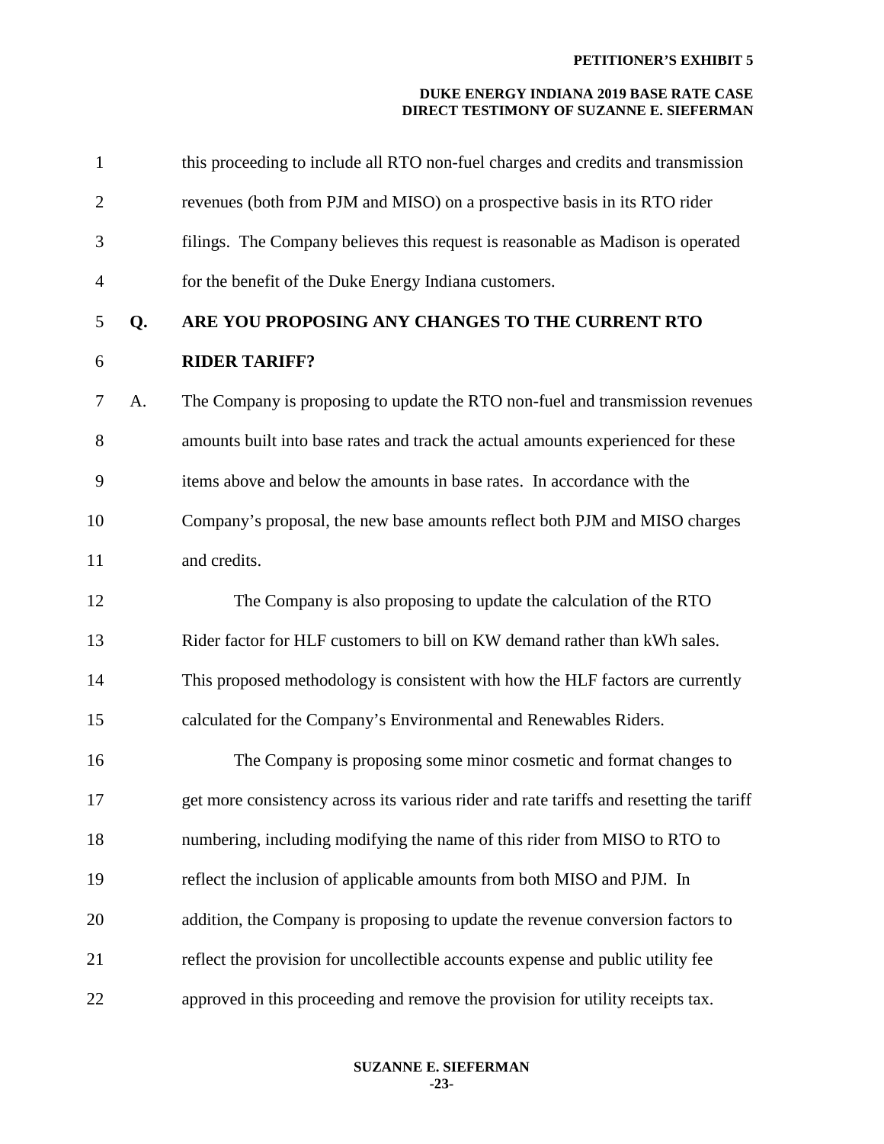| $\mathbf{1}$   |    | this proceeding to include all RTO non-fuel charges and credits and transmission        |
|----------------|----|-----------------------------------------------------------------------------------------|
| $\overline{2}$ |    | revenues (both from PJM and MISO) on a prospective basis in its RTO rider               |
| 3              |    | filings. The Company believes this request is reasonable as Madison is operated         |
| $\overline{4}$ |    | for the benefit of the Duke Energy Indiana customers.                                   |
| 5              | Q. | ARE YOU PROPOSING ANY CHANGES TO THE CURRENT RTO                                        |
| 6              |    | <b>RIDER TARIFF?</b>                                                                    |
| 7              | A. | The Company is proposing to update the RTO non-fuel and transmission revenues           |
| 8              |    | amounts built into base rates and track the actual amounts experienced for these        |
| 9              |    | items above and below the amounts in base rates. In accordance with the                 |
| 10             |    | Company's proposal, the new base amounts reflect both PJM and MISO charges              |
| 11             |    | and credits.                                                                            |
| 12             |    | The Company is also proposing to update the calculation of the RTO                      |
| 13             |    | Rider factor for HLF customers to bill on KW demand rather than kWh sales.              |
| 14             |    | This proposed methodology is consistent with how the HLF factors are currently          |
| 15             |    | calculated for the Company's Environmental and Renewables Riders.                       |
| 16             |    | The Company is proposing some minor cosmetic and format changes to                      |
| 17             |    | get more consistency across its various rider and rate tariffs and resetting the tariff |
| 18             |    | numbering, including modifying the name of this rider from MISO to RTO to               |
| 19             |    | reflect the inclusion of applicable amounts from both MISO and PJM. In                  |
| 20             |    | addition, the Company is proposing to update the revenue conversion factors to          |
| 21             |    | reflect the provision for uncollectible accounts expense and public utility fee         |
| 22             |    | approved in this proceeding and remove the provision for utility receipts tax.          |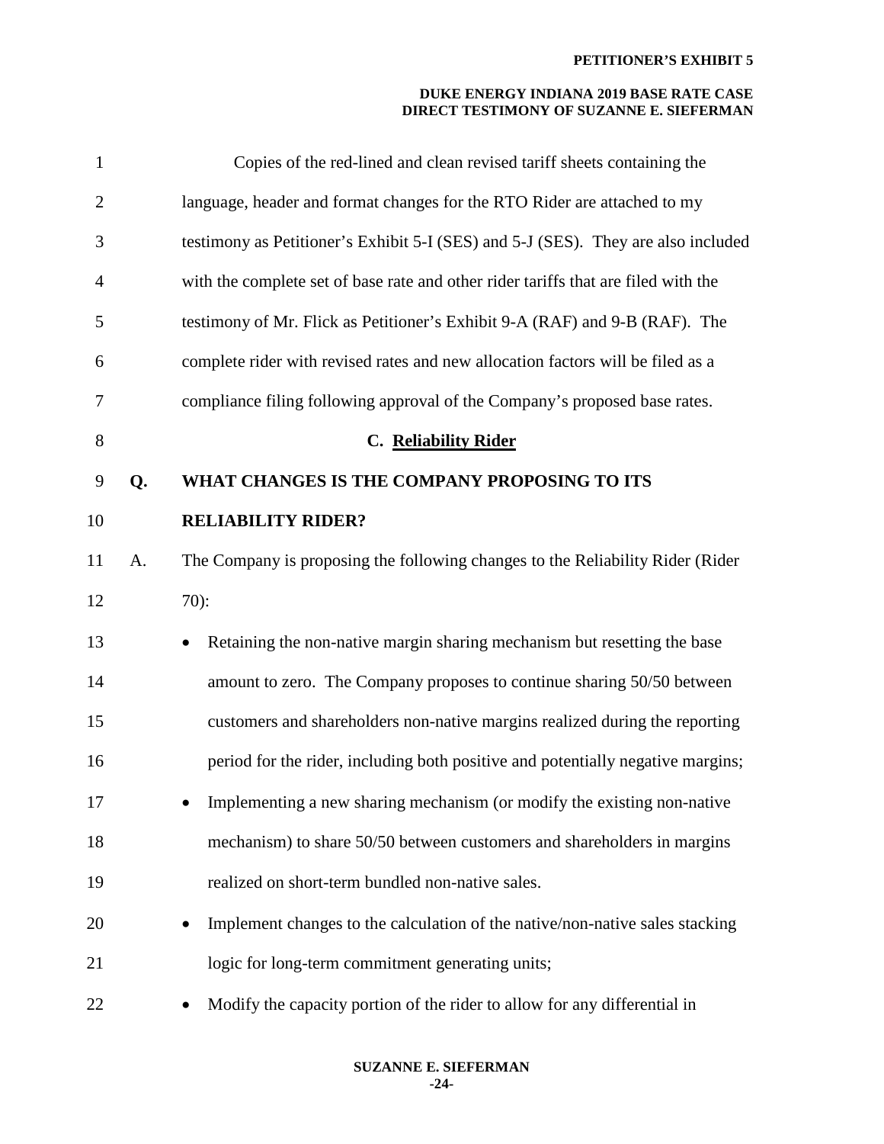| $\mathbf{1}$   |    | Copies of the red-lined and clean revised tariff sheets containing the                |
|----------------|----|---------------------------------------------------------------------------------------|
| $\overline{2}$ |    | language, header and format changes for the RTO Rider are attached to my              |
| 3              |    | testimony as Petitioner's Exhibit 5-I (SES) and 5-J (SES). They are also included     |
| $\overline{4}$ |    | with the complete set of base rate and other rider tariffs that are filed with the    |
| 5              |    | testimony of Mr. Flick as Petitioner's Exhibit 9-A (RAF) and 9-B (RAF). The           |
| 6              |    | complete rider with revised rates and new allocation factors will be filed as a       |
| 7              |    | compliance filing following approval of the Company's proposed base rates.            |
| 8              |    | C. Reliability Rider                                                                  |
| 9              | Q. | WHAT CHANGES IS THE COMPANY PROPOSING TO ITS                                          |
| 10             |    | <b>RELIABILITY RIDER?</b>                                                             |
| 11             | A. | The Company is proposing the following changes to the Reliability Rider (Rider        |
| 12             |    | $70$ :                                                                                |
| 13             |    | Retaining the non-native margin sharing mechanism but resetting the base<br>$\bullet$ |
| 14             |    | amount to zero. The Company proposes to continue sharing 50/50 between                |
| 15             |    | customers and shareholders non-native margins realized during the reporting           |
| 16             |    | period for the rider, including both positive and potentially negative margins;       |
| 17             |    | Implementing a new sharing mechanism (or modify the existing non-native               |
| 18             |    | mechanism) to share 50/50 between customers and shareholders in margins               |
| 19             |    | realized on short-term bundled non-native sales.                                      |
| 20             |    | Implement changes to the calculation of the native/non-native sales stacking          |
| 21             |    | logic for long-term commitment generating units;                                      |
| 22             |    | Modify the capacity portion of the rider to allow for any differential in             |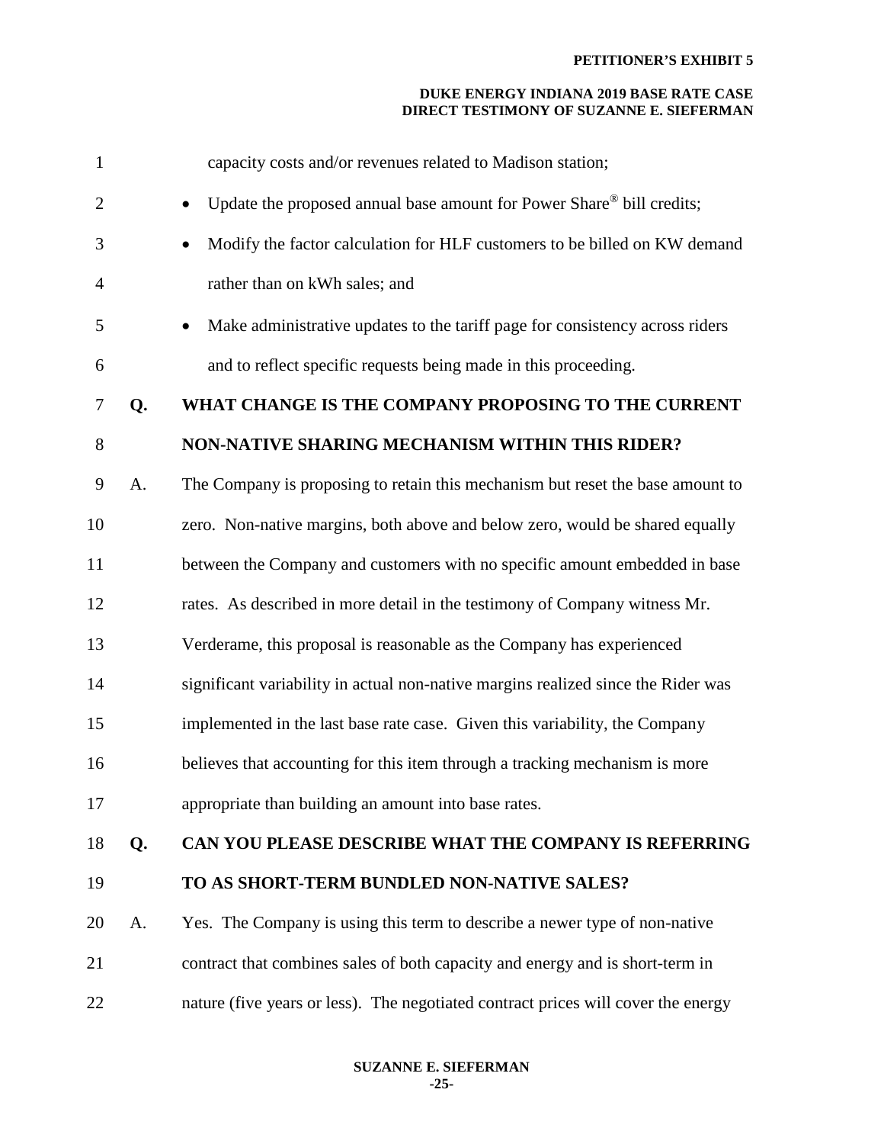| $\mathbf{1}$   |    | capacity costs and/or revenues related to Madison station;                        |
|----------------|----|-----------------------------------------------------------------------------------|
| $\overline{2}$ |    | Update the proposed annual base amount for Power Share® bill credits;             |
| 3              |    | Modify the factor calculation for HLF customers to be billed on KW demand         |
| 4              |    | rather than on kWh sales; and                                                     |
| 5              |    | Make administrative updates to the tariff page for consistency across riders      |
| 6              |    | and to reflect specific requests being made in this proceeding.                   |
| 7              | Q. | WHAT CHANGE IS THE COMPANY PROPOSING TO THE CURRENT                               |
| 8              |    | NON-NATIVE SHARING MECHANISM WITHIN THIS RIDER?                                   |
| 9              | A. | The Company is proposing to retain this mechanism but reset the base amount to    |
| 10             |    | zero. Non-native margins, both above and below zero, would be shared equally      |
| 11             |    | between the Company and customers with no specific amount embedded in base        |
| 12             |    | rates. As described in more detail in the testimony of Company witness Mr.        |
| 13             |    | Verderame, this proposal is reasonable as the Company has experienced             |
| 14             |    | significant variability in actual non-native margins realized since the Rider was |
| 15             |    | implemented in the last base rate case. Given this variability, the Company       |
| 16             |    | believes that accounting for this item through a tracking mechanism is more       |
| 17             |    | appropriate than building an amount into base rates.                              |
| 18             | Q. | CAN YOU PLEASE DESCRIBE WHAT THE COMPANY IS REFERRING                             |
| 19             |    | TO AS SHORT-TERM BUNDLED NON-NATIVE SALES?                                        |
| 20             | A. | Yes. The Company is using this term to describe a newer type of non-native        |
| 21             |    | contract that combines sales of both capacity and energy and is short-term in     |
| 22             |    | nature (five years or less). The negotiated contract prices will cover the energy |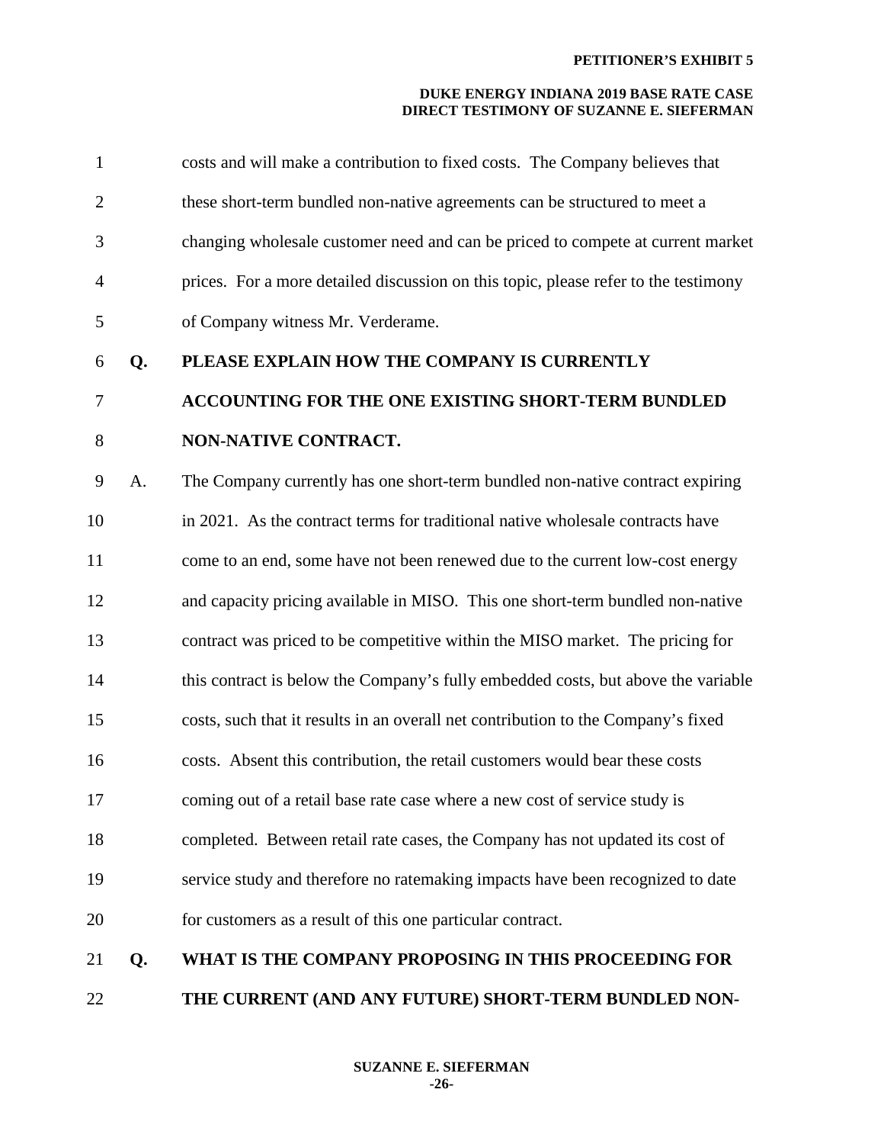| 1              |    | costs and will make a contribution to fixed costs. The Company believes that        |
|----------------|----|-------------------------------------------------------------------------------------|
| $\overline{2}$ |    | these short-term bundled non-native agreements can be structured to meet a          |
| 3              |    | changing wholesale customer need and can be priced to compete at current market     |
| $\overline{4}$ |    | prices. For a more detailed discussion on this topic, please refer to the testimony |
| $\mathfrak{S}$ |    | of Company witness Mr. Verderame.                                                   |
| 6              | Q. | PLEASE EXPLAIN HOW THE COMPANY IS CURRENTLY                                         |
| 7              |    | ACCOUNTING FOR THE ONE EXISTING SHORT-TERM BUNDLED                                  |
| $8\,$          |    | NON-NATIVE CONTRACT.                                                                |
| 9              | A. | The Company currently has one short-term bundled non-native contract expiring       |
| 10             |    | in 2021. As the contract terms for traditional native wholesale contracts have      |
| 11             |    | come to an end, some have not been renewed due to the current low-cost energy       |
| 12             |    | and capacity pricing available in MISO. This one short-term bundled non-native      |
| 13             |    | contract was priced to be competitive within the MISO market. The pricing for       |
| 14             |    | this contract is below the Company's fully embedded costs, but above the variable   |
| 15             |    | costs, such that it results in an overall net contribution to the Company's fixed   |
| 16             |    | costs. Absent this contribution, the retail customers would bear these costs        |
| 17             |    | coming out of a retail base rate case where a new cost of service study is          |
| 18             |    | completed. Between retail rate cases, the Company has not updated its cost of       |
| 19             |    | service study and therefore no ratemaking impacts have been recognized to date      |
| 20             |    | for customers as a result of this one particular contract.                          |
| 21             | Q. | WHAT IS THE COMPANY PROPOSING IN THIS PROCEEDING FOR                                |

22 **THE CURRENT (AND ANY FUTURE) SHORT-TERM BUNDLED NON-**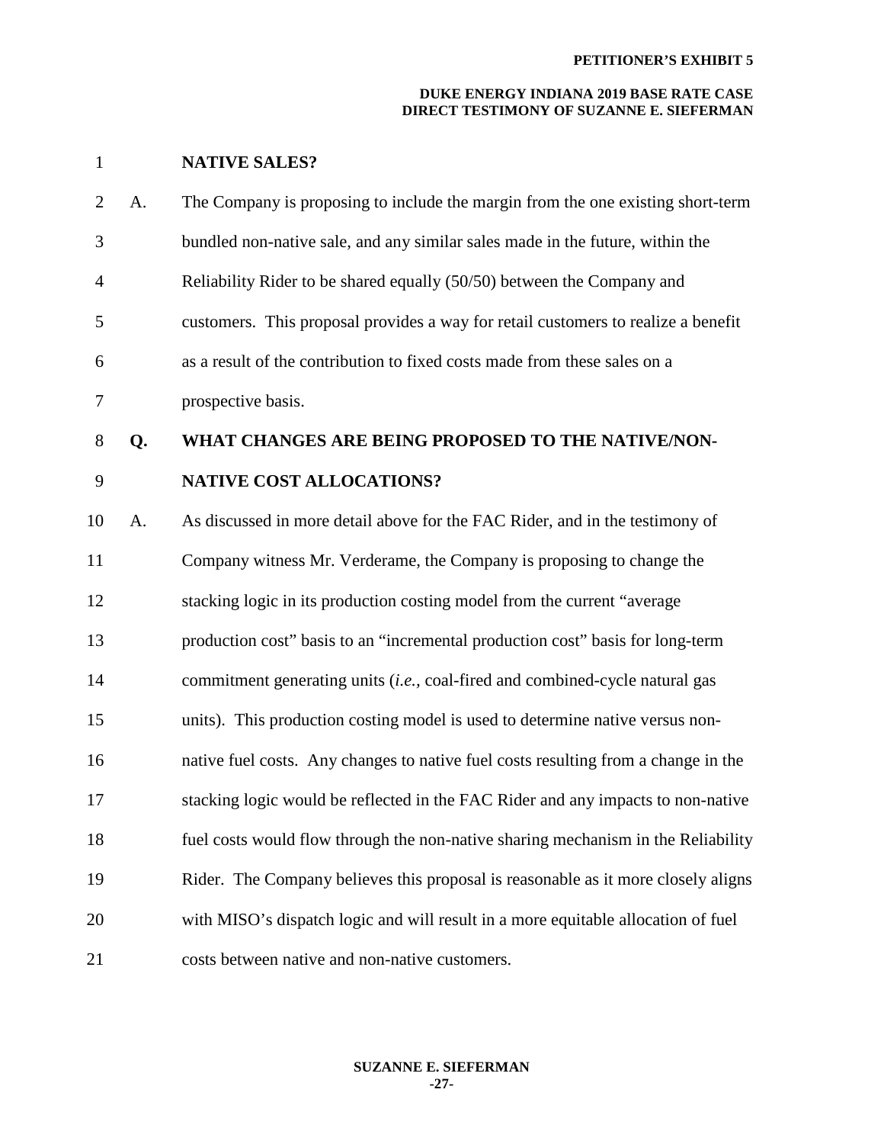## **DUKE ENERGY INDIANA 2019 BASE RATE CASE DIRECT TESTIMONY OF SUZANNE E. SIEFERMAN**

# 1 **NATIVE SALES?**

| $\overline{2}$ | A. | The Company is proposing to include the margin from the one existing short-term    |
|----------------|----|------------------------------------------------------------------------------------|
| 3              |    | bundled non-native sale, and any similar sales made in the future, within the      |
| $\overline{4}$ |    | Reliability Rider to be shared equally (50/50) between the Company and             |
| 5              |    | customers. This proposal provides a way for retail customers to realize a benefit  |
| 6              |    | as a result of the contribution to fixed costs made from these sales on a          |
| $\tau$         |    | prospective basis.                                                                 |
| $8\,$          | Q. | WHAT CHANGES ARE BEING PROPOSED TO THE NATIVE/NON-                                 |
| 9              |    | <b>NATIVE COST ALLOCATIONS?</b>                                                    |
| 10             | A. | As discussed in more detail above for the FAC Rider, and in the testimony of       |
| 11             |    | Company witness Mr. Verderame, the Company is proposing to change the              |
| 12             |    | stacking logic in its production costing model from the current "average           |
| 13             |    | production cost" basis to an "incremental production cost" basis for long-term     |
| 14             |    | commitment generating units (i.e., coal-fired and combined-cycle natural gas       |
| 15             |    | units). This production costing model is used to determine native versus non-      |
| 16             |    | native fuel costs. Any changes to native fuel costs resulting from a change in the |
| 17             |    | stacking logic would be reflected in the FAC Rider and any impacts to non-native   |
| 18             |    | fuel costs would flow through the non-native sharing mechanism in the Reliability  |
| 19             |    | Rider. The Company believes this proposal is reasonable as it more closely aligns  |
| 20             |    | with MISO's dispatch logic and will result in a more equitable allocation of fuel  |
| 21             |    | costs between native and non-native customers.                                     |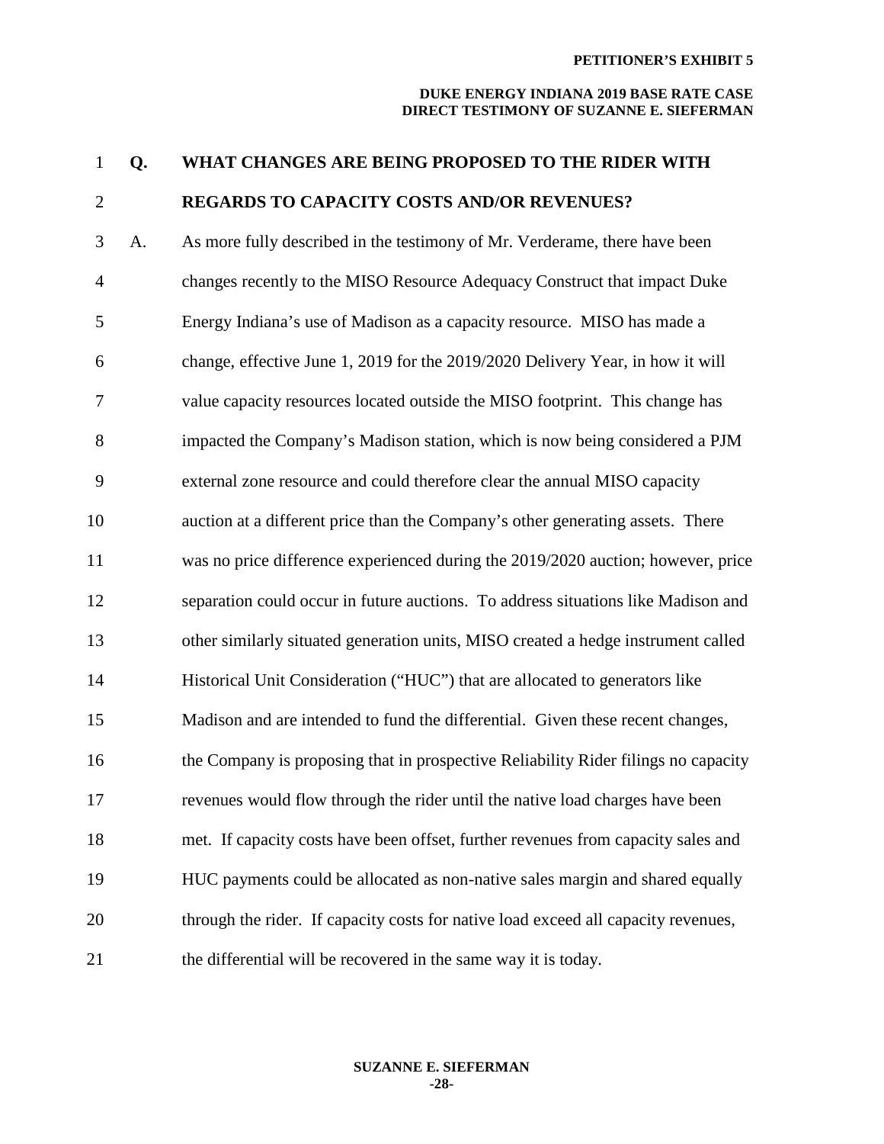#### **DUKE ENERGY INDIANA 2019 BASE RATE CASE DIRECT TESTIMONY OF SUZANNE E. SIEFERMAN**

1 **Q. WHAT CHANGES ARE BEING PROPOSED TO THE RIDER WITH** 

# 2 **REGARDS TO CAPACITY COSTS AND/OR REVENUES?**

3 A. As more fully described in the testimony of Mr. Verderame, there have been 4 changes recently to the MISO Resource Adequacy Construct that impact Duke 5 Energy Indiana's use of Madison as a capacity resource. MISO has made a 6 change, effective June 1, 2019 for the 2019/2020 Delivery Year, in how it will 7 value capacity resources located outside the MISO footprint. This change has 8 impacted the Company's Madison station, which is now being considered a PJM 9 external zone resource and could therefore clear the annual MISO capacity 10 auction at a different price than the Company's other generating assets. There 11 was no price difference experienced during the 2019/2020 auction; however, price 12 separation could occur in future auctions. To address situations like Madison and 13 other similarly situated generation units, MISO created a hedge instrument called 14 Historical Unit Consideration ("HUC") that are allocated to generators like 15 Madison and are intended to fund the differential. Given these recent changes, 16 the Company is proposing that in prospective Reliability Rider filings no capacity 17 revenues would flow through the rider until the native load charges have been 18 met. If capacity costs have been offset, further revenues from capacity sales and 19 HUC payments could be allocated as non-native sales margin and shared equally 20 through the rider. If capacity costs for native load exceed all capacity revenues, 21 the differential will be recovered in the same way it is today.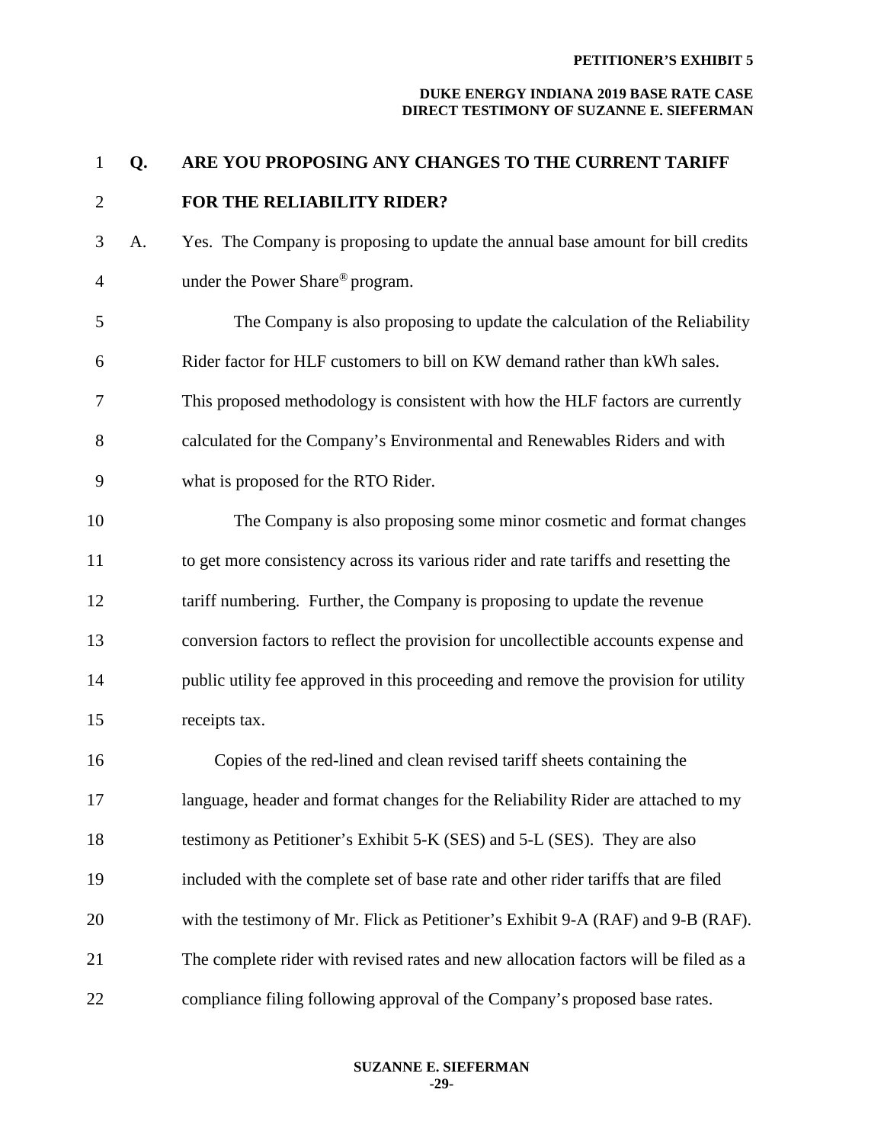| $\mathbf{1}$   | Q. | ARE YOU PROPOSING ANY CHANGES TO THE CURRENT TARIFF                                 |
|----------------|----|-------------------------------------------------------------------------------------|
| $\overline{2}$ |    | FOR THE RELIABILITY RIDER?                                                          |
| 3              | A. | Yes. The Company is proposing to update the annual base amount for bill credits     |
| 4              |    | under the Power Share® program.                                                     |
| 5              |    | The Company is also proposing to update the calculation of the Reliability          |
| 6              |    | Rider factor for HLF customers to bill on KW demand rather than kWh sales.          |
| 7              |    | This proposed methodology is consistent with how the HLF factors are currently      |
| 8              |    | calculated for the Company's Environmental and Renewables Riders and with           |
| 9              |    | what is proposed for the RTO Rider.                                                 |
| 10             |    | The Company is also proposing some minor cosmetic and format changes                |
| 11             |    | to get more consistency across its various rider and rate tariffs and resetting the |
| 12             |    | tariff numbering. Further, the Company is proposing to update the revenue           |
| 13             |    | conversion factors to reflect the provision for uncollectible accounts expense and  |
| 14             |    | public utility fee approved in this proceeding and remove the provision for utility |
| 15             |    | receipts tax.                                                                       |
| 16             |    | Copies of the red-lined and clean revised tariff sheets containing the              |
| 17             |    | language, header and format changes for the Reliability Rider are attached to my    |
| 18             |    | testimony as Petitioner's Exhibit 5-K (SES) and 5-L (SES). They are also            |
| 19             |    | included with the complete set of base rate and other rider tariffs that are filed  |
| 20             |    | with the testimony of Mr. Flick as Petitioner's Exhibit 9-A (RAF) and 9-B (RAF).    |
| 21             |    | The complete rider with revised rates and new allocation factors will be filed as a |
| 22             |    | compliance filing following approval of the Company's proposed base rates.          |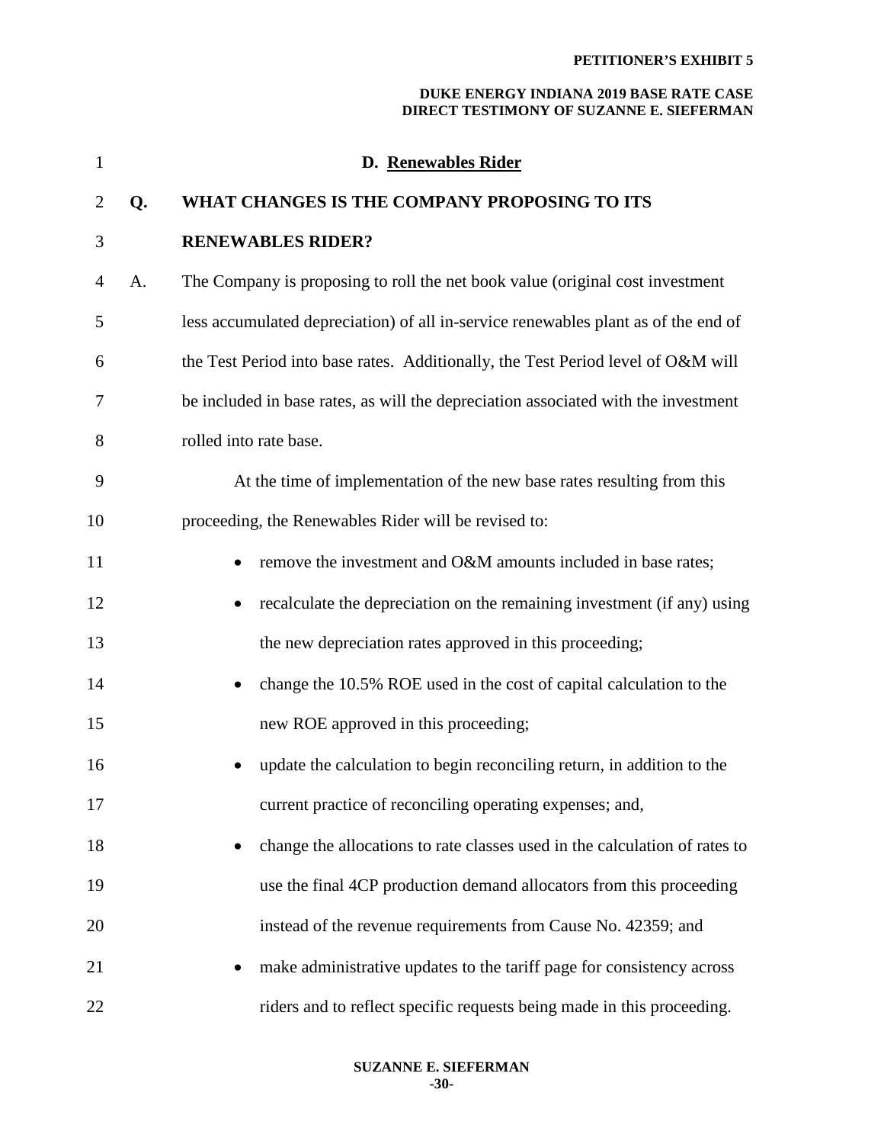| 1              |    | D. Renewables Rider                                                                |
|----------------|----|------------------------------------------------------------------------------------|
| $\overline{2}$ | Q. | WHAT CHANGES IS THE COMPANY PROPOSING TO ITS                                       |
| 3              |    | <b>RENEWABLES RIDER?</b>                                                           |
| 4              | A. | The Company is proposing to roll the net book value (original cost investment      |
| 5              |    | less accumulated depreciation) of all in-service renewables plant as of the end of |
| 6              |    | the Test Period into base rates. Additionally, the Test Period level of O&M will   |
| 7              |    | be included in base rates, as will the depreciation associated with the investment |
| 8              |    | rolled into rate base.                                                             |
| 9              |    | At the time of implementation of the new base rates resulting from this            |
| 10             |    | proceeding, the Renewables Rider will be revised to:                               |
| 11             |    | remove the investment and O&M amounts included in base rates;                      |
| 12             |    | recalculate the depreciation on the remaining investment (if any) using            |
| 13             |    | the new depreciation rates approved in this proceeding;                            |
| 14             |    | change the 10.5% ROE used in the cost of capital calculation to the                |
| 15             |    | new ROE approved in this proceeding;                                               |
| 16             |    | update the calculation to begin reconciling return, in addition to the             |
| 17             |    | current practice of reconciling operating expenses; and,                           |
| 18             |    | change the allocations to rate classes used in the calculation of rates to         |
| 19             |    | use the final 4CP production demand allocators from this proceeding                |
| 20             |    | instead of the revenue requirements from Cause No. 42359; and                      |
| 21             |    | make administrative updates to the tariff page for consistency across              |
| 22             |    | riders and to reflect specific requests being made in this proceeding.             |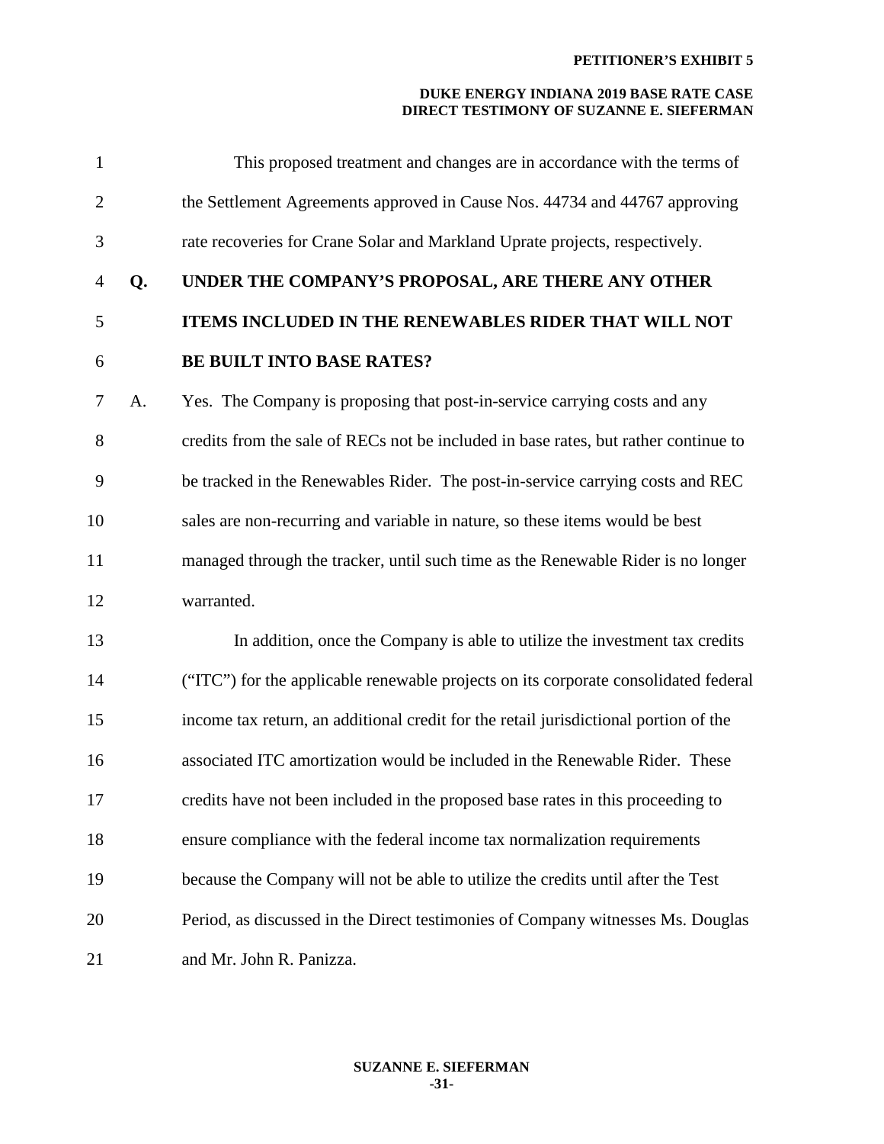| $\mathbf{1}$   |    | This proposed treatment and changes are in accordance with the terms of              |
|----------------|----|--------------------------------------------------------------------------------------|
| $\overline{2}$ |    | the Settlement Agreements approved in Cause Nos. 44734 and 44767 approving           |
| 3              |    | rate recoveries for Crane Solar and Markland Uprate projects, respectively.          |
| 4              | Q. | UNDER THE COMPANY'S PROPOSAL, ARE THERE ANY OTHER                                    |
| 5              |    | ITEMS INCLUDED IN THE RENEWABLES RIDER THAT WILL NOT                                 |
| 6              |    | <b>BE BUILT INTO BASE RATES?</b>                                                     |
| 7              | A. | Yes. The Company is proposing that post-in-service carrying costs and any            |
| 8              |    | credits from the sale of RECs not be included in base rates, but rather continue to  |
| 9              |    | be tracked in the Renewables Rider. The post-in-service carrying costs and REC       |
| 10             |    | sales are non-recurring and variable in nature, so these items would be best         |
| 11             |    | managed through the tracker, until such time as the Renewable Rider is no longer     |
| 12             |    | warranted.                                                                           |
| 13             |    | In addition, once the Company is able to utilize the investment tax credits          |
| 14             |    | ("ITC") for the applicable renewable projects on its corporate consolidated federal  |
| 15             |    | income tax return, an additional credit for the retail jurisdictional portion of the |
| 16             |    | associated ITC amortization would be included in the Renewable Rider. These          |
| 17             |    | credits have not been included in the proposed base rates in this proceeding to      |
| 18             |    | ensure compliance with the federal income tax normalization requirements             |
| 19             |    | because the Company will not be able to utilize the credits until after the Test     |
| 20             |    | Period, as discussed in the Direct testimonies of Company witnesses Ms. Douglas      |
| 21             |    | and Mr. John R. Panizza.                                                             |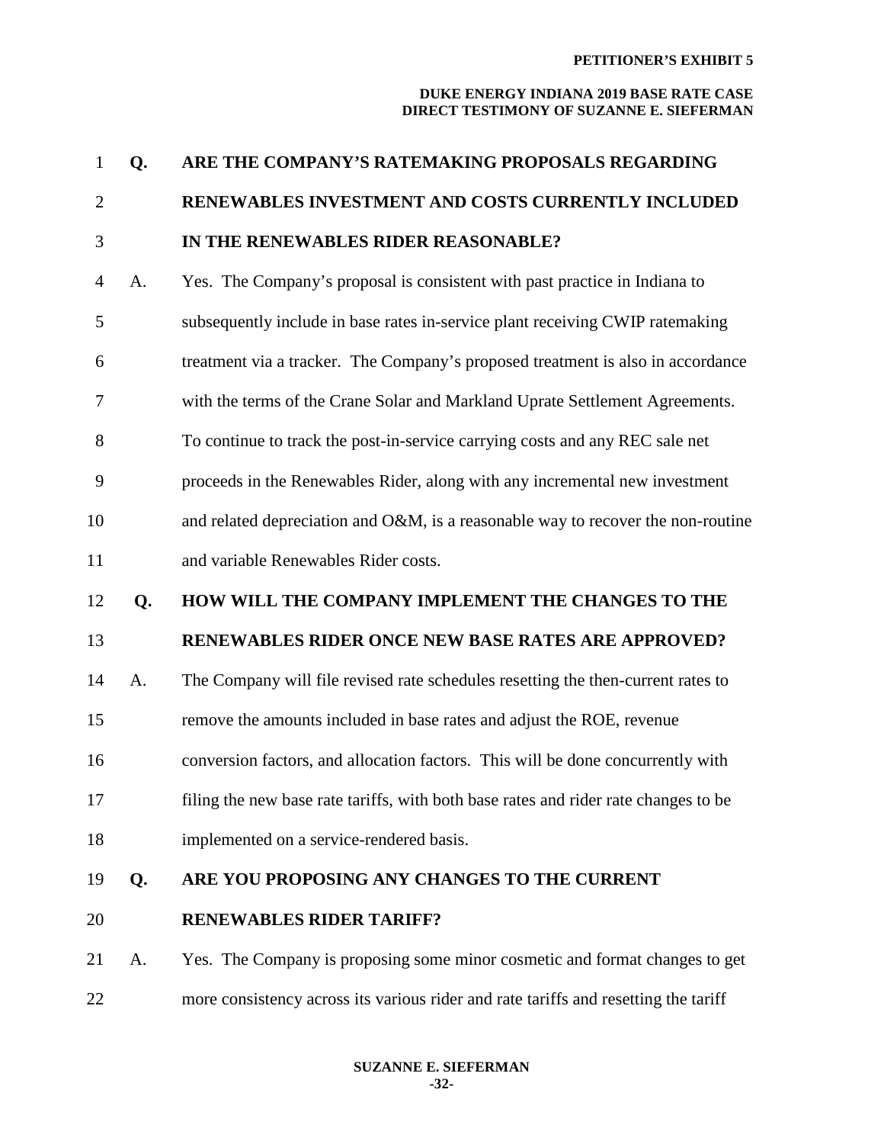| $\mathbf{1}$   | Q. | ARE THE COMPANY'S RATEMAKING PROPOSALS REGARDING                                    |
|----------------|----|-------------------------------------------------------------------------------------|
| $\overline{2}$ |    | RENEWABLES INVESTMENT AND COSTS CURRENTLY INCLUDED                                  |
| 3              |    | IN THE RENEWABLES RIDER REASONABLE?                                                 |
| $\overline{4}$ | A. | Yes. The Company's proposal is consistent with past practice in Indiana to          |
| 5              |    | subsequently include in base rates in-service plant receiving CWIP ratemaking       |
| 6              |    | treatment via a tracker. The Company's proposed treatment is also in accordance     |
| 7              |    | with the terms of the Crane Solar and Markland Uprate Settlement Agreements.        |
| 8              |    | To continue to track the post-in-service carrying costs and any REC sale net        |
| 9              |    | proceeds in the Renewables Rider, along with any incremental new investment         |
| 10             |    | and related depreciation and O&M, is a reasonable way to recover the non-routine    |
| 11             |    | and variable Renewables Rider costs.                                                |
| 12             | Q. | HOW WILL THE COMPANY IMPLEMENT THE CHANGES TO THE                                   |
| 13             |    | RENEWABLES RIDER ONCE NEW BASE RATES ARE APPROVED?                                  |
|                |    |                                                                                     |
| 14             | A. | The Company will file revised rate schedules resetting the then-current rates to    |
| 15             |    | remove the amounts included in base rates and adjust the ROE, revenue               |
| 16             |    | conversion factors, and allocation factors. This will be done concurrently with     |
| 17             |    | filing the new base rate tariffs, with both base rates and rider rate changes to be |
| 18             |    | implemented on a service-rendered basis.                                            |
| 19             | Q. | ARE YOU PROPOSING ANY CHANGES TO THE CURRENT                                        |
| 20             |    | <b>RENEWABLES RIDER TARIFF?</b>                                                     |
| 21             | A. | Yes. The Company is proposing some minor cosmetic and format changes to get         |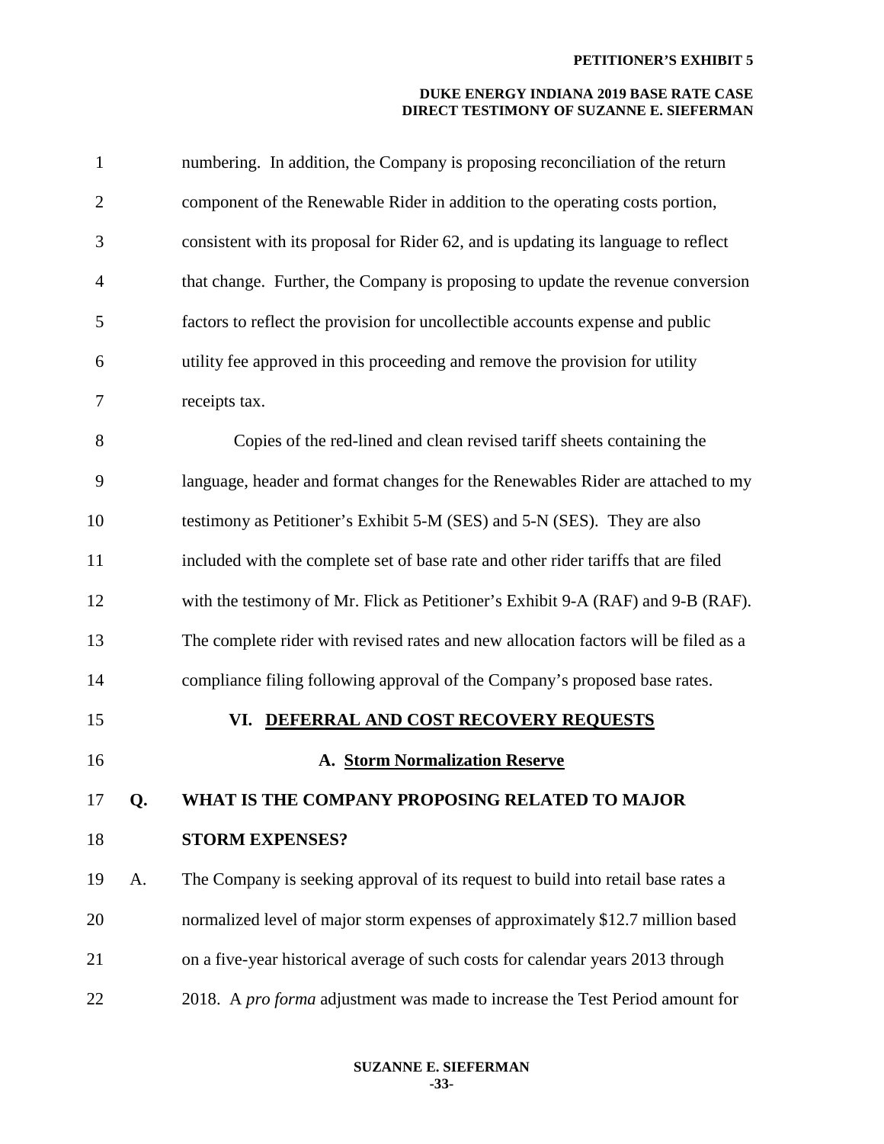| $\mathbf{1}$ |    | numbering. In addition, the Company is proposing reconciliation of the return       |
|--------------|----|-------------------------------------------------------------------------------------|
| $\mathbf{2}$ |    | component of the Renewable Rider in addition to the operating costs portion,        |
| 3            |    | consistent with its proposal for Rider 62, and is updating its language to reflect  |
| 4            |    | that change. Further, the Company is proposing to update the revenue conversion     |
| 5            |    | factors to reflect the provision for uncollectible accounts expense and public      |
| 6            |    | utility fee approved in this proceeding and remove the provision for utility        |
| 7            |    | receipts tax.                                                                       |
| 8            |    | Copies of the red-lined and clean revised tariff sheets containing the              |
| 9            |    | language, header and format changes for the Renewables Rider are attached to my     |
| 10           |    | testimony as Petitioner's Exhibit 5-M (SES) and 5-N (SES). They are also            |
| 11           |    | included with the complete set of base rate and other rider tariffs that are filed  |
| 12           |    | with the testimony of Mr. Flick as Petitioner's Exhibit 9-A (RAF) and 9-B (RAF).    |
| 13           |    | The complete rider with revised rates and new allocation factors will be filed as a |
| 14           |    | compliance filing following approval of the Company's proposed base rates.          |
| 15           |    | VI. DEFERRAL AND COST RECOVERY REQUESTS                                             |
| 16           |    | A. Storm Normalization Reserve                                                      |
| 17           | Q. | WHAT IS THE COMPANY PROPOSING RELATED TO MAJOR                                      |
| 18           |    | <b>STORM EXPENSES?</b>                                                              |
| 19           | A. | The Company is seeking approval of its request to build into retail base rates a    |
| 20           |    | normalized level of major storm expenses of approximately \$12.7 million based      |
| 21           |    | on a five-year historical average of such costs for calendar years 2013 through     |
| 22           |    | 2018. A pro forma adjustment was made to increase the Test Period amount for        |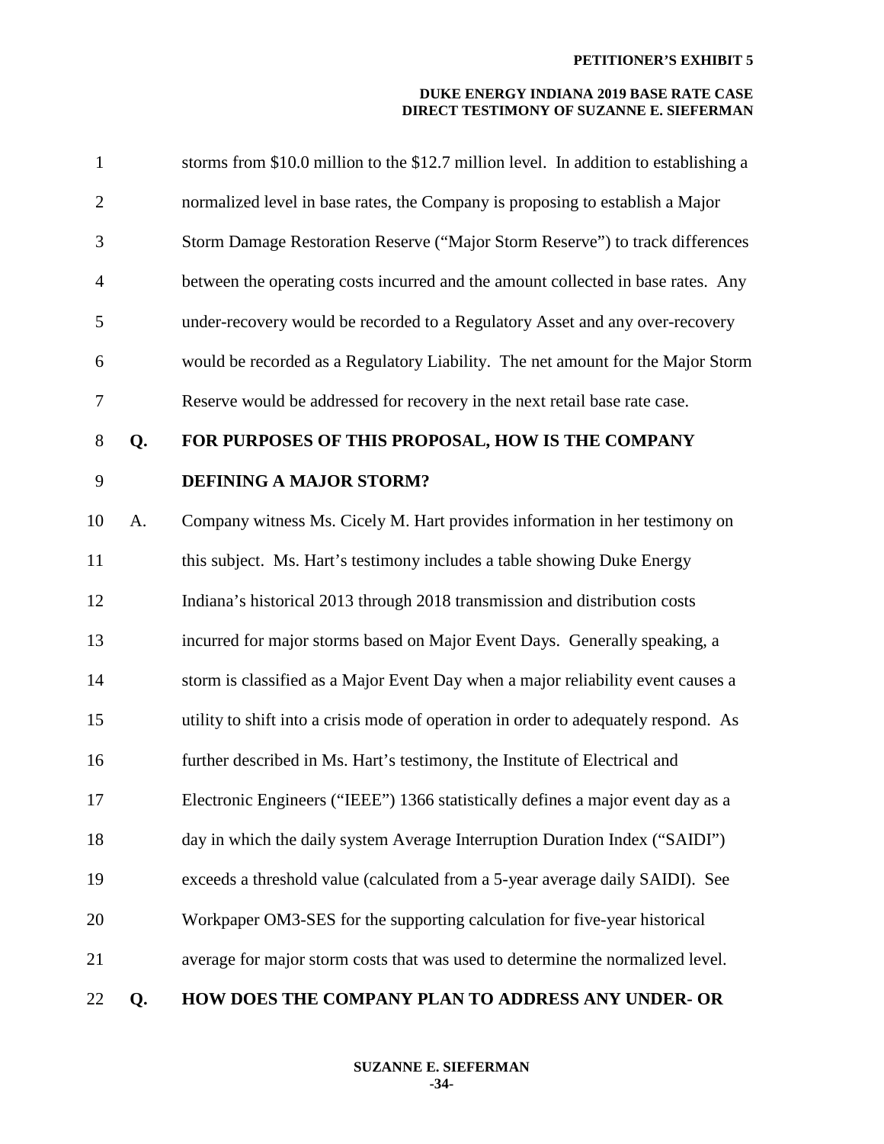| $\mathbf{1}$   |    | storms from \$10.0 million to the \$12.7 million level. In addition to establishing a |
|----------------|----|---------------------------------------------------------------------------------------|
| $\overline{2}$ |    | normalized level in base rates, the Company is proposing to establish a Major         |
| 3              |    | Storm Damage Restoration Reserve ("Major Storm Reserve") to track differences         |
| $\overline{4}$ |    | between the operating costs incurred and the amount collected in base rates. Any      |
| 5              |    | under-recovery would be recorded to a Regulatory Asset and any over-recovery          |
| 6              |    | would be recorded as a Regulatory Liability. The net amount for the Major Storm       |
| 7              |    | Reserve would be addressed for recovery in the next retail base rate case.            |
| 8              | Q. | FOR PURPOSES OF THIS PROPOSAL, HOW IS THE COMPANY                                     |
| 9              |    | <b>DEFINING A MAJOR STORM?</b>                                                        |
| 10             | A. | Company witness Ms. Cicely M. Hart provides information in her testimony on           |
| 11             |    | this subject. Ms. Hart's testimony includes a table showing Duke Energy               |
| 12             |    | Indiana's historical 2013 through 2018 transmission and distribution costs            |
| 13             |    | incurred for major storms based on Major Event Days. Generally speaking, a            |
| 14             |    | storm is classified as a Major Event Day when a major reliability event causes a      |
| 15             |    | utility to shift into a crisis mode of operation in order to adequately respond. As   |
| 16             |    | further described in Ms. Hart's testimony, the Institute of Electrical and            |
| 17             |    | Electronic Engineers ("IEEE") 1366 statistically defines a major event day as a       |
| 18             |    | day in which the daily system Average Interruption Duration Index ("SAIDI")           |
| 19             |    | exceeds a threshold value (calculated from a 5-year average daily SAIDI). See         |
| 20             |    | Workpaper OM3-SES for the supporting calculation for five-year historical             |
| 21             |    | average for major storm costs that was used to determine the normalized level.        |
| 22             | Q. | HOW DOES THE COMPANY PLAN TO ADDRESS ANY UNDER- OR                                    |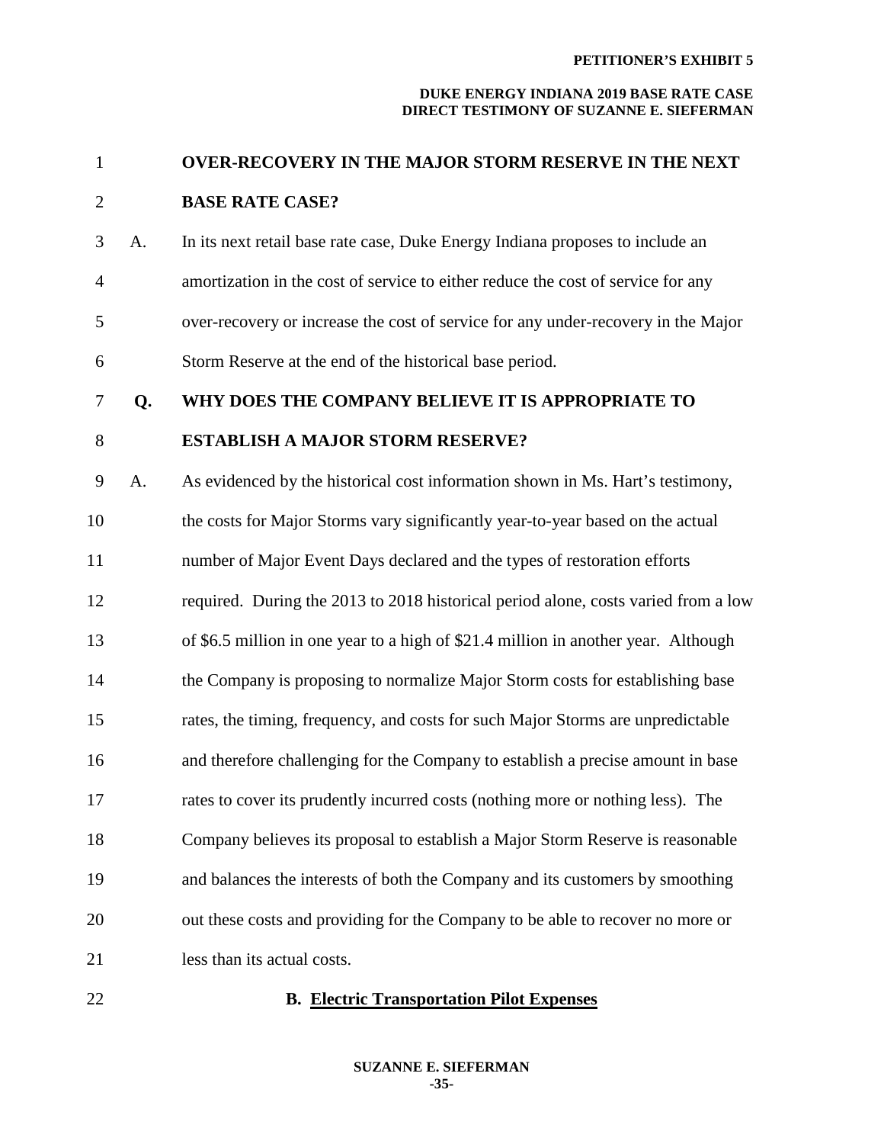## **DUKE ENERGY INDIANA 2019 BASE RATE CASE DIRECT TESTIMONY OF SUZANNE E. SIEFERMAN**

| $\mathbf{1}$   |    | <b>OVER-RECOVERY IN THE MAJOR STORM RESERVE IN THE NEXT</b>                        |
|----------------|----|------------------------------------------------------------------------------------|
| $\overline{2}$ |    | <b>BASE RATE CASE?</b>                                                             |
| 3              | A. | In its next retail base rate case, Duke Energy Indiana proposes to include an      |
| $\overline{4}$ |    | amortization in the cost of service to either reduce the cost of service for any   |
| 5              |    | over-recovery or increase the cost of service for any under-recovery in the Major  |
| 6              |    | Storm Reserve at the end of the historical base period.                            |
| 7              | Q. | WHY DOES THE COMPANY BELIEVE IT IS APPROPRIATE TO                                  |
| 8              |    | <b>ESTABLISH A MAJOR STORM RESERVE?</b>                                            |
| 9              | A. | As evidenced by the historical cost information shown in Ms. Hart's testimony,     |
| 10             |    | the costs for Major Storms vary significantly year-to-year based on the actual     |
| 11             |    | number of Major Event Days declared and the types of restoration efforts           |
| 12             |    | required. During the 2013 to 2018 historical period alone, costs varied from a low |
| 13             |    | of \$6.5 million in one year to a high of \$21.4 million in another year. Although |
| 14             |    | the Company is proposing to normalize Major Storm costs for establishing base      |
| 15             |    | rates, the timing, frequency, and costs for such Major Storms are unpredictable    |
| 16             |    | and therefore challenging for the Company to establish a precise amount in base    |
| 17             |    | rates to cover its prudently incurred costs (nothing more or nothing less). The    |
| 18             |    | Company believes its proposal to establish a Major Storm Reserve is reasonable     |
| 19             |    | and balances the interests of both the Company and its customers by smoothing      |
| 20             |    | out these costs and providing for the Company to be able to recover no more or     |
| 21             |    | less than its actual costs.                                                        |
|                |    |                                                                                    |

# 22 **B. Electric Transportation Pilot Expenses**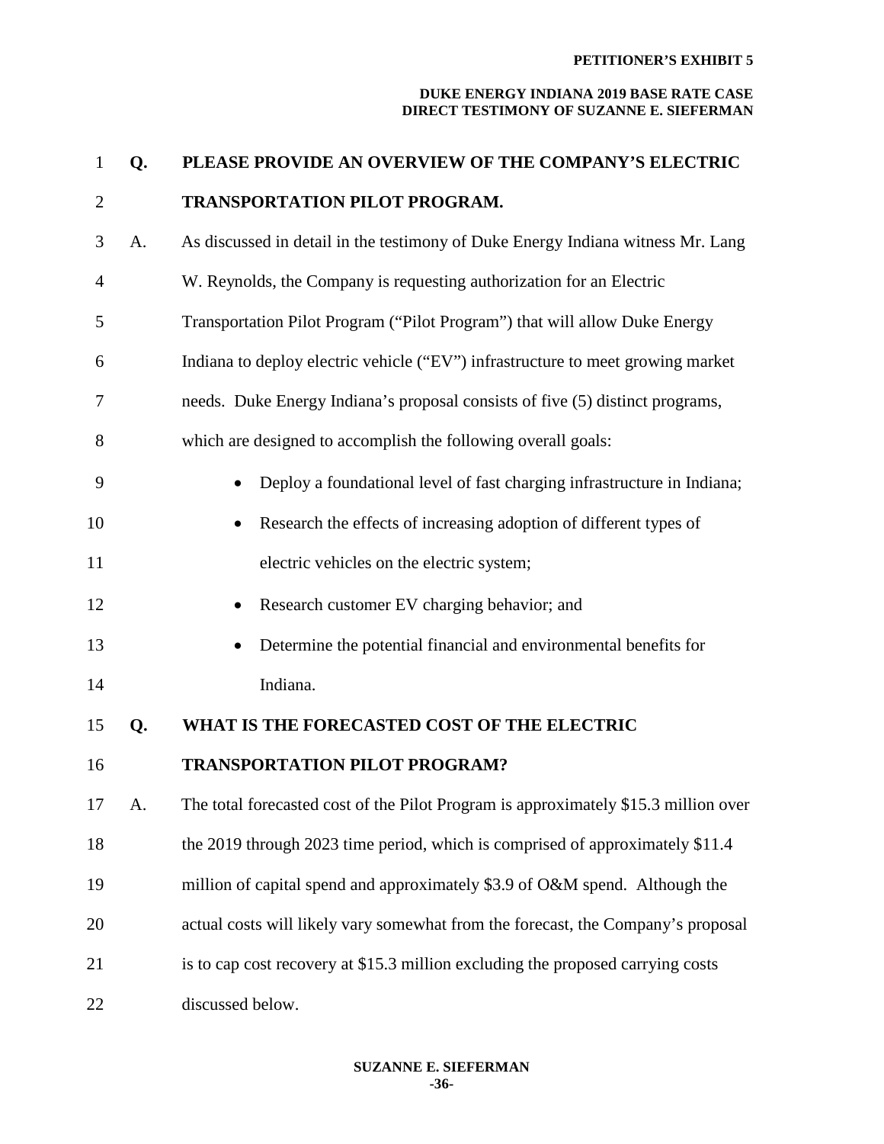### **PETITIONER'S EXHIBIT 5**

#### **DUKE ENERGY INDIANA 2019 BASE RATE CASE DIRECT TESTIMONY OF SUZANNE E. SIEFERMAN**

| $\mathbf{1}$   | Q. | PLEASE PROVIDE AN OVERVIEW OF THE COMPANY'S ELECTRIC                                |
|----------------|----|-------------------------------------------------------------------------------------|
| $\overline{2}$ |    | <b>TRANSPORTATION PILOT PROGRAM.</b>                                                |
| 3              | A. | As discussed in detail in the testimony of Duke Energy Indiana witness Mr. Lang     |
| 4              |    | W. Reynolds, the Company is requesting authorization for an Electric                |
| 5              |    | Transportation Pilot Program ("Pilot Program") that will allow Duke Energy          |
| 6              |    | Indiana to deploy electric vehicle ("EV") infrastructure to meet growing market     |
| 7              |    | needs. Duke Energy Indiana's proposal consists of five (5) distinct programs,       |
| 8              |    | which are designed to accomplish the following overall goals:                       |
| 9              |    | Deploy a foundational level of fast charging infrastructure in Indiana;             |
| 10             |    | Research the effects of increasing adoption of different types of                   |
| 11             |    | electric vehicles on the electric system;                                           |
| 12             |    | Research customer EV charging behavior; and                                         |
| 13             |    | Determine the potential financial and environmental benefits for                    |
| 14             |    | Indiana.                                                                            |
| 15             | Q. | WHAT IS THE FORECASTED COST OF THE ELECTRIC                                         |
| 16             |    | <b>TRANSPORTATION PILOT PROGRAM?</b>                                                |
| 17             | A. | The total forecasted cost of the Pilot Program is approximately \$15.3 million over |
| 18             |    | the 2019 through 2023 time period, which is comprised of approximately \$11.4       |
| 19             |    | million of capital spend and approximately \$3.9 of O&M spend. Although the         |
| 20             |    | actual costs will likely vary somewhat from the forecast, the Company's proposal    |
| 21             |    | is to cap cost recovery at \$15.3 million excluding the proposed carrying costs     |
| 22             |    | discussed below.                                                                    |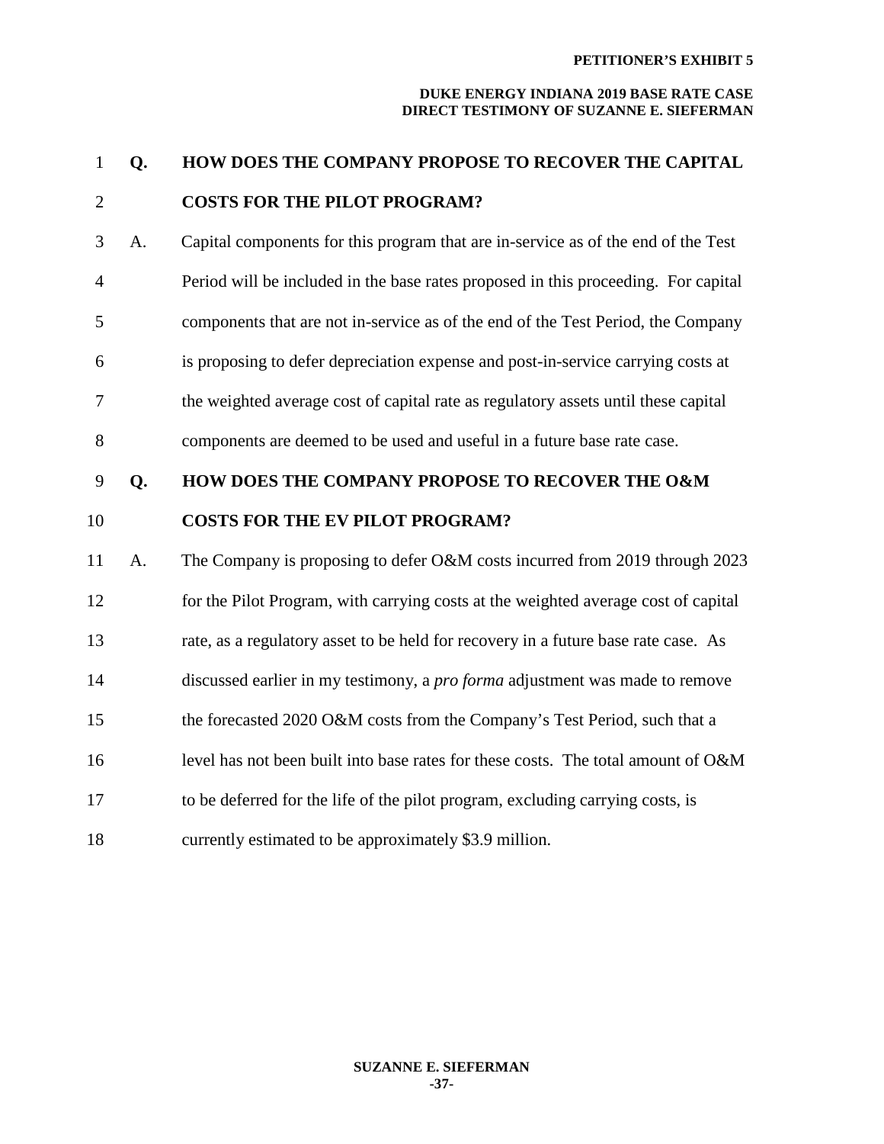#### **PETITIONER'S EXHIBIT 5**

#### **DUKE ENERGY INDIANA 2019 BASE RATE CASE DIRECT TESTIMONY OF SUZANNE E. SIEFERMAN**

```
1 Q. HOW DOES THE COMPANY PROPOSE TO RECOVER THE CAPITAL
```
# 2 **COSTS FOR THE PILOT PROGRAM?**

- 3 A.Capital components for this program that are in-service as of the end of the Test 4 Period will be included in the base rates proposed in this proceeding. For capital 5 components that are not in-service as of the end of the Test Period, the Company 6 is proposing to defer depreciation expense and post-in-service carrying costs at 7 the weighted average cost of capital rate as regulatory assets until these capital 8 components are deemed to be used and useful in a future base rate case.
- 9 **Q. HOW DOES THE COMPANY PROPOSE TO RECOVER THE O&M**

# 10 **COSTS FOR THE EV PILOT PROGRAM?**

11 A. The Company is proposing to defer O&M costs incurred from 2019 through 2023 12 for the Pilot Program, with carrying costs at the weighted average cost of capital 13 rate, as a regulatory asset to be held for recovery in a future base rate case. As 14 discussed earlier in my testimony, a *pro forma* adjustment was made to remove 15 the forecasted 2020 O&M costs from the Company's Test Period, such that a 16 level has not been built into base rates for these costs. The total amount of O&M 17 to be deferred for the life of the pilot program, excluding carrying costs, is 18 currently estimated to be approximately \$3.9 million.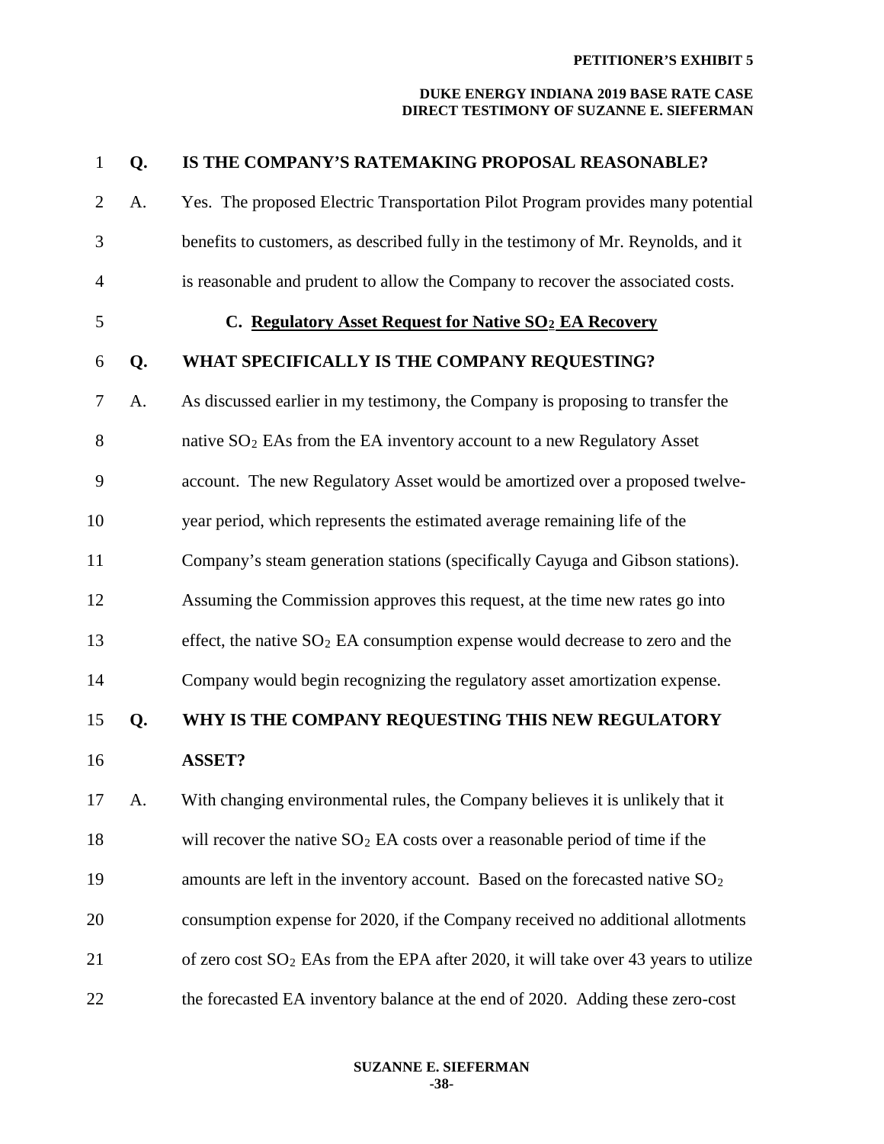#### **PETITIONER'S EXHIBIT 5**

#### **DUKE ENERGY INDIANA 2019 BASE RATE CASE DIRECT TESTIMONY OF SUZANNE E. SIEFERMAN**

| $\mathbf{1}$   | Q. | IS THE COMPANY'S RATEMAKING PROPOSAL REASONABLE?                                       |
|----------------|----|----------------------------------------------------------------------------------------|
| $\overline{2}$ | A. | Yes. The proposed Electric Transportation Pilot Program provides many potential        |
| 3              |    | benefits to customers, as described fully in the testimony of Mr. Reynolds, and it     |
| $\overline{4}$ |    | is reasonable and prudent to allow the Company to recover the associated costs.        |
| 5              |    | C. Regulatory Asset Request for Native SO <sub>2</sub> EA Recovery                     |
| 6              | Q. | WHAT SPECIFICALLY IS THE COMPANY REQUESTING?                                           |
| 7              | A. | As discussed earlier in my testimony, the Company is proposing to transfer the         |
| 8              |    | native $SO_2$ EAs from the EA inventory account to a new Regulatory Asset              |
| 9              |    | account. The new Regulatory Asset would be amortized over a proposed twelve-           |
| 10             |    | year period, which represents the estimated average remaining life of the              |
| 11             |    | Company's steam generation stations (specifically Cayuga and Gibson stations).         |
| 12             |    | Assuming the Commission approves this request, at the time new rates go into           |
| 13             |    | effect, the native $SO_2$ EA consumption expense would decrease to zero and the        |
| 14             |    | Company would begin recognizing the regulatory asset amortization expense.             |
| 15             | Q. | WHY IS THE COMPANY REQUESTING THIS NEW REGULATORY                                      |
| 16             |    | <b>ASSET?</b>                                                                          |
| 17             | A. | With changing environmental rules, the Company believes it is unlikely that it         |
| 18             |    | will recover the native $SO_2$ EA costs over a reasonable period of time if the        |
| 19             |    | amounts are left in the inventory account. Based on the forecasted native $SO2$        |
| 20             |    | consumption expense for 2020, if the Company received no additional allotments         |
| 21             |    | of zero cost $SO_2$ EAs from the EPA after 2020, it will take over 43 years to utilize |
| 22             |    | the forecasted EA inventory balance at the end of 2020. Adding these zero-cost         |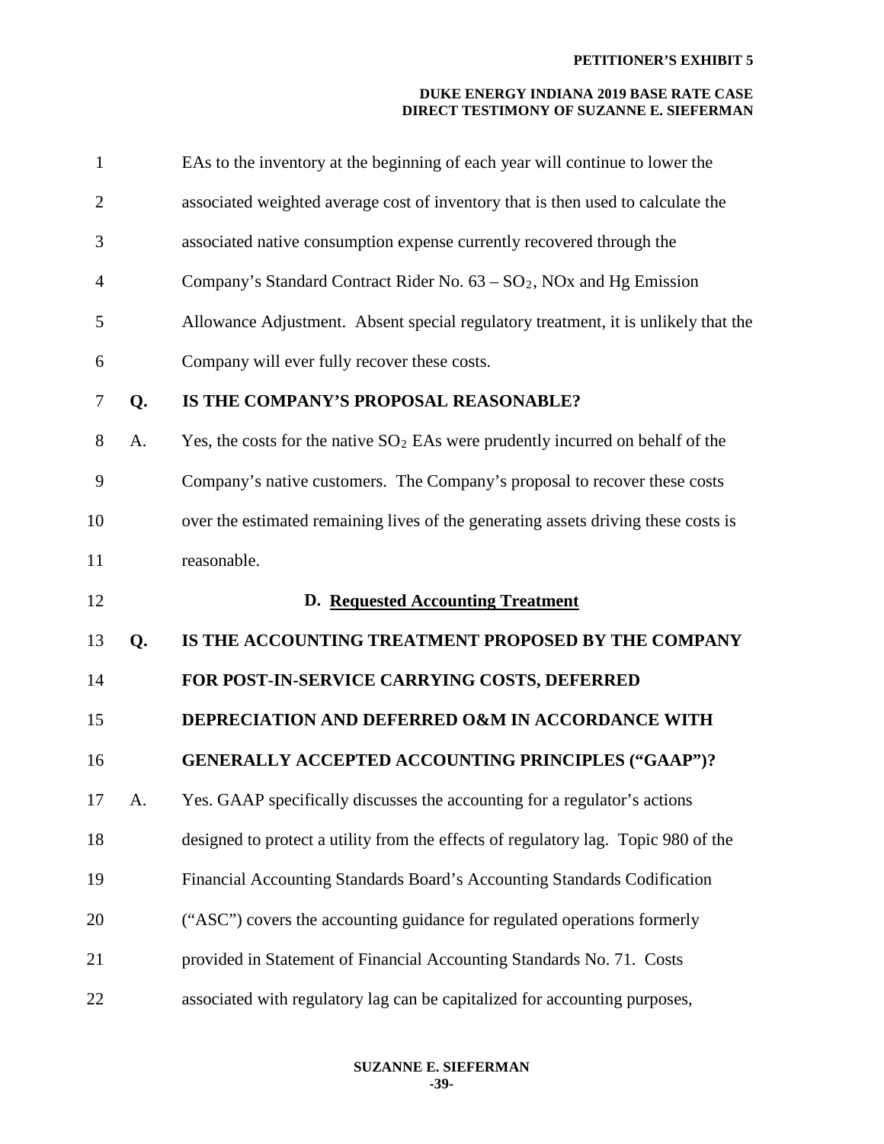#### **DUKE ENERGY INDIANA 2019 BASE RATE CASE DIRECT TESTIMONY OF SUZANNE E. SIEFERMAN**

| $\mathbf{1}$   |    | EAs to the inventory at the beginning of each year will continue to lower the      |
|----------------|----|------------------------------------------------------------------------------------|
| $\overline{2}$ |    | associated weighted average cost of inventory that is then used to calculate the   |
| 3              |    | associated native consumption expense currently recovered through the              |
| $\overline{4}$ |    | Company's Standard Contract Rider No. $63 - SO_2$ , NOx and Hg Emission            |
| 5              |    | Allowance Adjustment. Absent special regulatory treatment, it is unlikely that the |
| 6              |    | Company will ever fully recover these costs.                                       |
| 7              | Q. | IS THE COMPANY'S PROPOSAL REASONABLE?                                              |
| 8              | A. | Yes, the costs for the native $SO_2$ EAs were prudently incurred on behalf of the  |
| 9              |    | Company's native customers. The Company's proposal to recover these costs          |
| 10             |    | over the estimated remaining lives of the generating assets driving these costs is |
| 11             |    | reasonable.                                                                        |
| 12             |    | D. Requested Accounting Treatment                                                  |
| 13             | Q. | IS THE ACCOUNTING TREATMENT PROPOSED BY THE COMPANY                                |
| 14             |    | FOR POST-IN-SERVICE CARRYING COSTS, DEFERRED                                       |
| 15             |    | DEPRECIATION AND DEFERRED O&M IN ACCORDANCE WITH                                   |
| 16             |    | <b>GENERALLY ACCEPTED ACCOUNTING PRINCIPLES ("GAAP")?</b>                          |
| 17             | А. | Yes. GAAP specifically discusses the accounting for a regulator's actions          |
| 18             |    | designed to protect a utility from the effects of regulatory lag. Topic 980 of the |
| 19             |    |                                                                                    |
|                |    | Financial Accounting Standards Board's Accounting Standards Codification           |
| 20             |    | ("ASC") covers the accounting guidance for regulated operations formerly           |
| 21             |    | provided in Statement of Financial Accounting Standards No. 71. Costs              |

**SUZANNE E. SIEFERMAN -39-**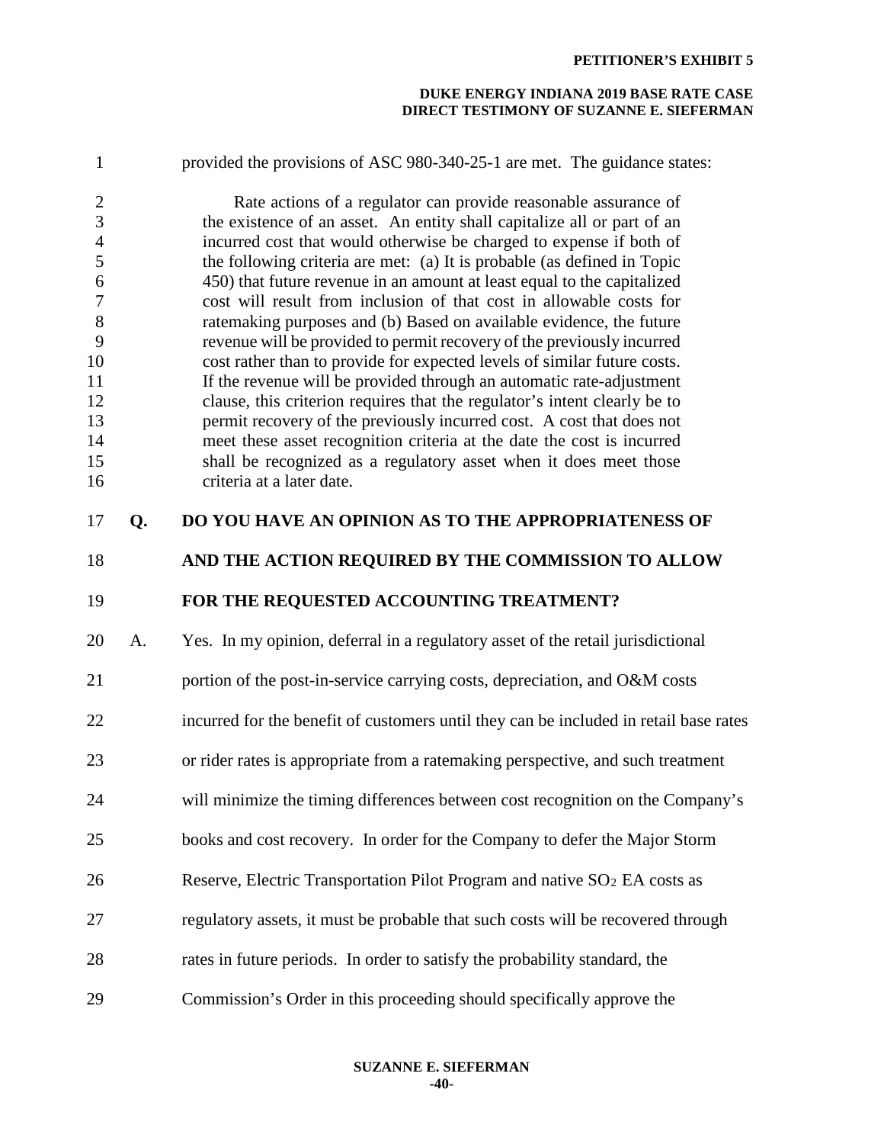#### **DUKE ENERGY INDIANA 2019 BASE RATE CASE DIRECT TESTIMONY OF SUZANNE E. SIEFERMAN**

| $\mathbf{1}$                     |    | provided the provisions of ASC 980-340-25-1 are met. The guidance states:                                                                      |
|----------------------------------|----|------------------------------------------------------------------------------------------------------------------------------------------------|
| $\overline{2}$<br>$\mathfrak{Z}$ |    | Rate actions of a regulator can provide reasonable assurance of<br>the existence of an asset. An entity shall capitalize all or part of an     |
| $\overline{4}$                   |    | incurred cost that would otherwise be charged to expense if both of                                                                            |
| 5                                |    | the following criteria are met: (a) It is probable (as defined in Topic                                                                        |
| $\sqrt{6}$<br>$\overline{7}$     |    | 450) that future revenue in an amount at least equal to the capitalized<br>cost will result from inclusion of that cost in allowable costs for |
| $8\,$                            |    | ratemaking purposes and (b) Based on available evidence, the future                                                                            |
| 9                                |    | revenue will be provided to permit recovery of the previously incurred                                                                         |
| 10                               |    | cost rather than to provide for expected levels of similar future costs.                                                                       |
| 11                               |    | If the revenue will be provided through an automatic rate-adjustment                                                                           |
| 12                               |    | clause, this criterion requires that the regulator's intent clearly be to                                                                      |
| 13                               |    | permit recovery of the previously incurred cost. A cost that does not                                                                          |
| 14                               |    | meet these asset recognition criteria at the date the cost is incurred                                                                         |
| 15                               |    | shall be recognized as a regulatory asset when it does meet those                                                                              |
| 16                               |    | criteria at a later date.                                                                                                                      |
| 17                               | Q. | DO YOU HAVE AN OPINION AS TO THE APPROPRIATENESS OF                                                                                            |
| 18                               |    | AND THE ACTION REQUIRED BY THE COMMISSION TO ALLOW                                                                                             |
| 19                               |    | FOR THE REQUESTED ACCOUNTING TREATMENT?                                                                                                        |
| 20                               | A. | Yes. In my opinion, deferral in a regulatory asset of the retail jurisdictional                                                                |
| 21                               |    | portion of the post-in-service carrying costs, depreciation, and O&M costs                                                                     |
| 22                               |    | incurred for the benefit of customers until they can be included in retail base rates                                                          |
| 23                               |    | or rider rates is appropriate from a ratemaking perspective, and such treatment                                                                |
| 24                               |    | will minimize the timing differences between cost recognition on the Company's                                                                 |
|                                  |    |                                                                                                                                                |
| 25                               |    | books and cost recovery. In order for the Company to defer the Major Storm                                                                     |
| 26                               |    | Reserve, Electric Transportation Pilot Program and native SO <sub>2</sub> EA costs as                                                          |
| 27                               |    | regulatory assets, it must be probable that such costs will be recovered through                                                               |
| 28                               |    | rates in future periods. In order to satisfy the probability standard, the                                                                     |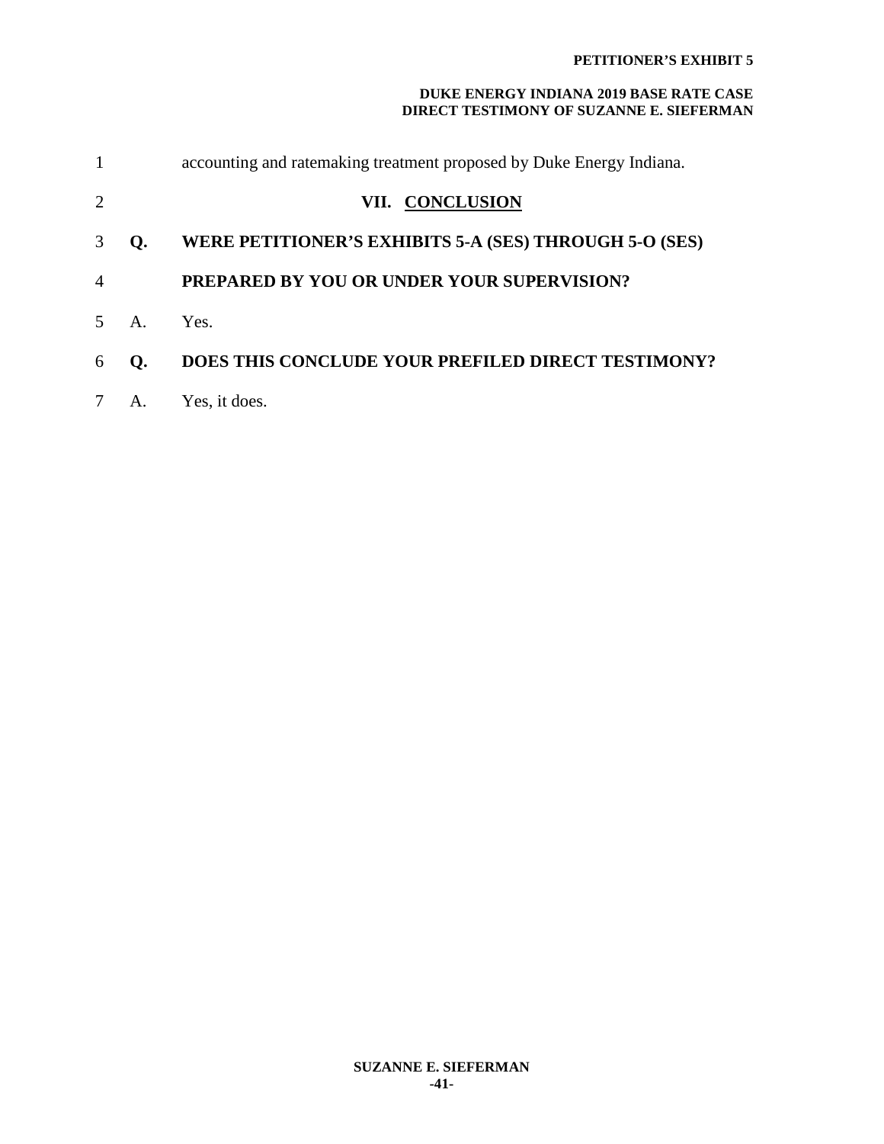#### **DUKE ENERGY INDIANA 2019 BASE RATE CASE DIRECT TESTIMONY OF SUZANNE E. SIEFERMAN**

| $\mathbf{1}$   |              | accounting and ratemaking treatment proposed by Duke Energy Indiana. |
|----------------|--------------|----------------------------------------------------------------------|
| 2              |              | VII. CONCLUSION                                                      |
| 3              | O.           | WERE PETITIONER'S EXHIBITS 5-A (SES) THROUGH 5-O (SES)               |
| $\overline{A}$ |              | <b>PREPARED BY YOU OR UNDER YOUR SUPERVISION?</b>                    |
|                | $\mathbf{A}$ | Yes.                                                                 |
| 6              | O.           | <b>DOES THIS CONCLUDE YOUR PREFILED DIRECT TESTIMONY?</b>            |
|                | A.           | Yes, it does.                                                        |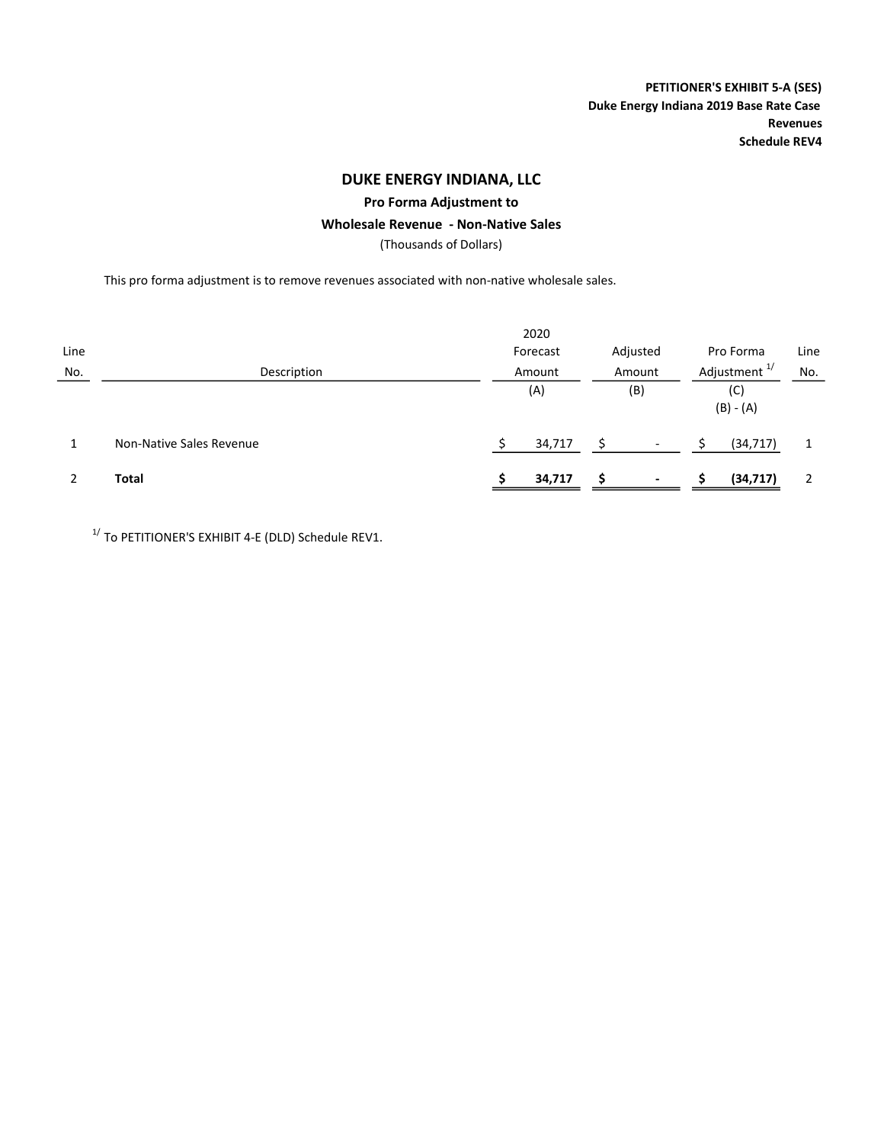PETITIONER'S EXHIBIT 5-A (SES) Duke Energy Indiana 2019 Base Rate Case Revenues Schedule REV4

## DUKE ENERGY INDIANA, LLC

### Pro Forma Adjustment to

#### Wholesale Revenue - Non-Native Sales

(Thousands of Dollars)

This pro forma adjustment is to remove revenues associated with non-native wholesale sales.

|      |                          |  | 2020     |        |                          |                          |                    |      |  |
|------|--------------------------|--|----------|--------|--------------------------|--------------------------|--------------------|------|--|
| Line |                          |  | Forecast |        | Adjusted                 |                          | Pro Forma          | Line |  |
| No.  | Description              |  | Amount   | Amount |                          | Adjustment <sup>1/</sup> |                    | No.  |  |
|      |                          |  | (A)      |        | (B)                      |                          | (C)<br>$(B) - (A)$ |      |  |
|      | Non-Native Sales Revenue |  | 34,717   |        | $\overline{\phantom{a}}$ |                          | (34, 717)          |      |  |
|      | Total                    |  | 34,717   |        | $\overline{\phantom{a}}$ |                          | (34,717)           | 2    |  |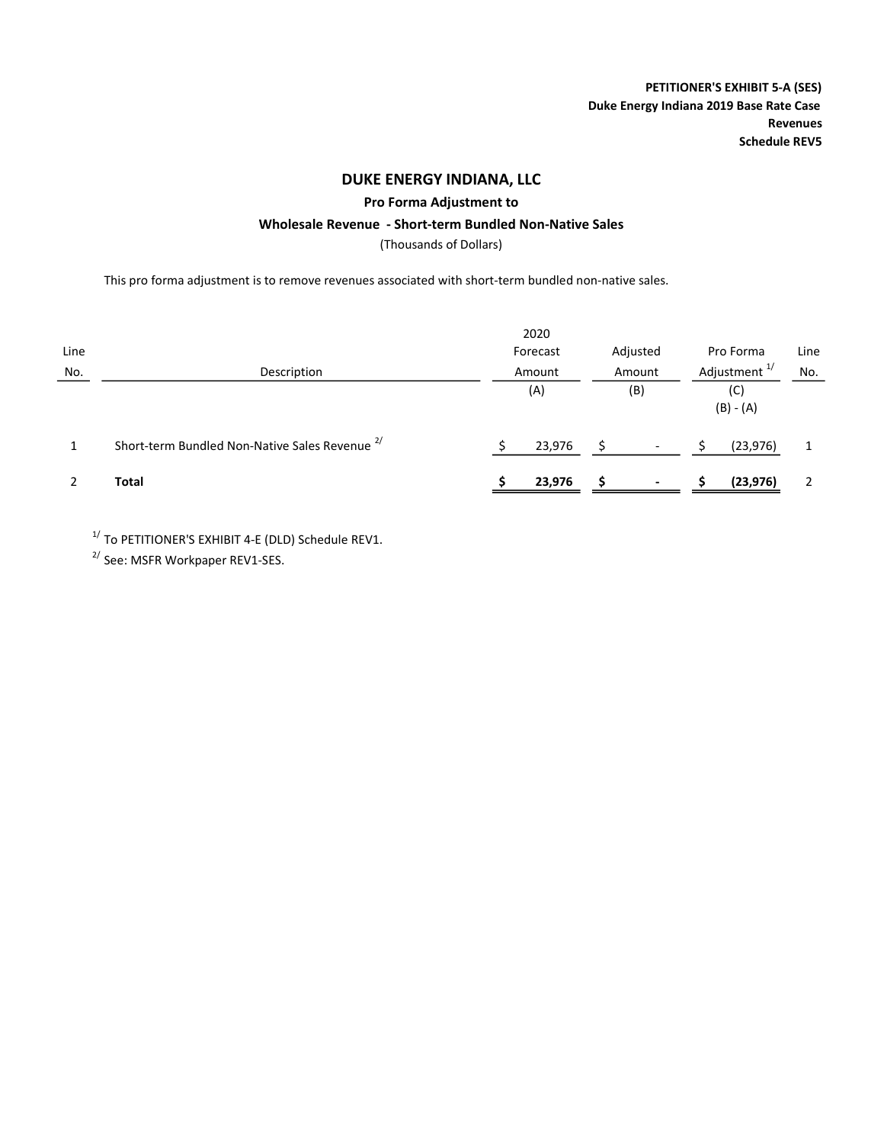PETITIONER'S EXHIBIT 5-A (SES) Duke Energy Indiana 2019 Base Rate Case Revenues Schedule REV5

## DUKE ENERGY INDIANA, LLC

Pro Forma Adjustment to

#### Wholesale Revenue - Short-term Bundled Non-Native Sales

(Thousands of Dollars)

This pro forma adjustment is to remove revenues associated with short-term bundled non-native sales.

|      |                                                           |        | 2020     |     |                          |                          |           |      |
|------|-----------------------------------------------------------|--------|----------|-----|--------------------------|--------------------------|-----------|------|
| Line |                                                           |        | Forecast |     | Adjusted                 |                          | Pro Forma | Line |
| No.  | Description                                               | Amount |          |     | Amount                   | Adjustment <sup>1/</sup> | No.       |      |
|      |                                                           | (A)    |          | (B) |                          | (C)<br>$(B) - (A)$       |           |      |
|      | Short-term Bundled Non-Native Sales Revenue <sup>2/</sup> |        | 23,976   |     |                          |                          | (23, 976) |      |
|      | <b>Total</b>                                              |        | 23,976   |     | $\overline{\phantom{0}}$ |                          | (23, 976) |      |

 $1/$  To PETITIONER'S EXHIBIT 4-E (DLD) Schedule REV1.

 $^{2/}$  See: MSFR Workpaper REV1-SES.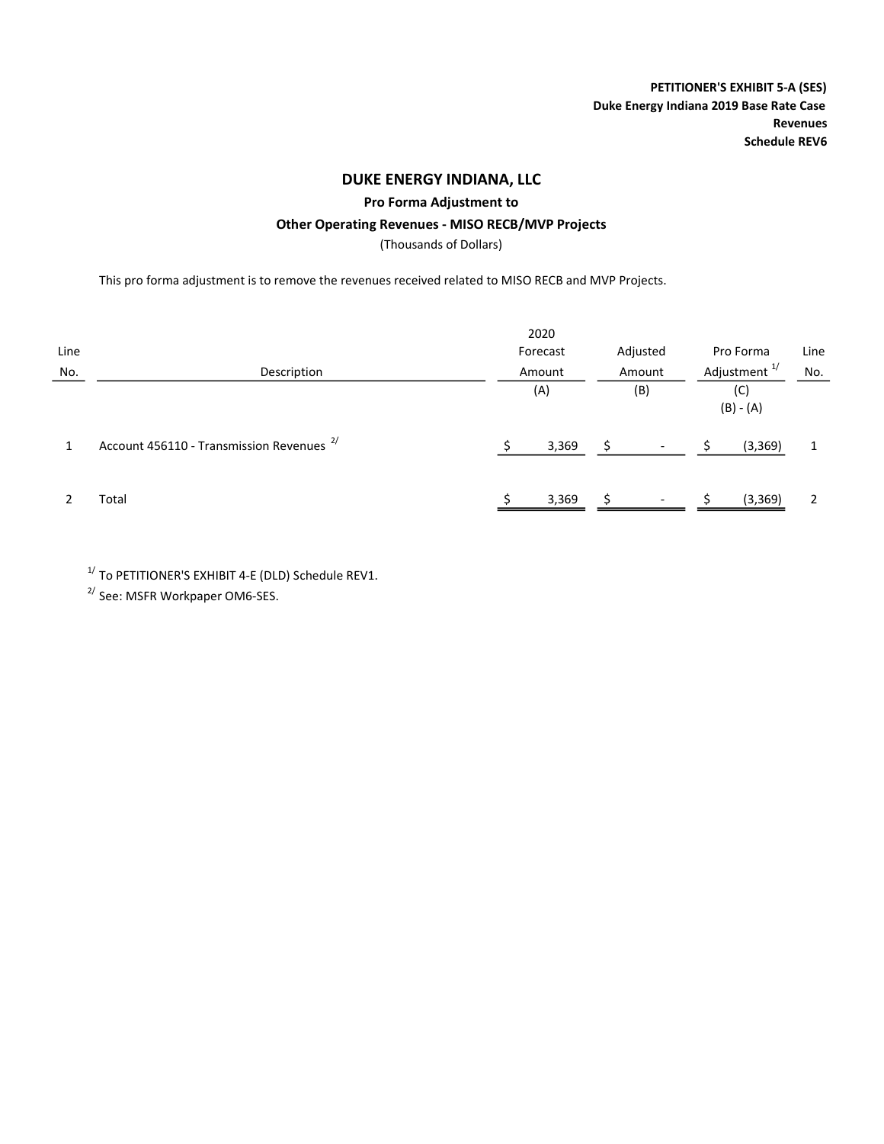PETITIONER'S EXHIBIT 5-A (SES) Duke Energy Indiana 2019 Base Rate Case Revenues Schedule REV6

## DUKE ENERGY INDIANA, LLC

Pro Forma Adjustment to

### Other Operating Revenues - MISO RECB/MVP Projects

(Thousands of Dollars)

This pro forma adjustment is to remove the revenues received related to MISO RECB and MVP Projects.

|      |                                                      | 2020     |                          |           |                          |     |
|------|------------------------------------------------------|----------|--------------------------|-----------|--------------------------|-----|
| Line |                                                      | Forecast | Adjusted                 | Pro Forma | Line                     |     |
| No.  | Description                                          | Amount   | Amount                   |           | Adjustment <sup>1/</sup> | No. |
|      |                                                      | (A)      | (B)                      |           | (C)<br>$(B) - (A)$       |     |
|      | Account 456110 - Transmission Revenues <sup>2/</sup> | 3,369    |                          |           | (3, 369)                 |     |
|      | Total                                                | 3,369    | $\overline{\phantom{a}}$ |           | (3,369)                  |     |

 $1/$  To PETITIONER'S EXHIBIT 4-E (DLD) Schedule REV1.

2/ See: MSFR Workpaper OM6-SES.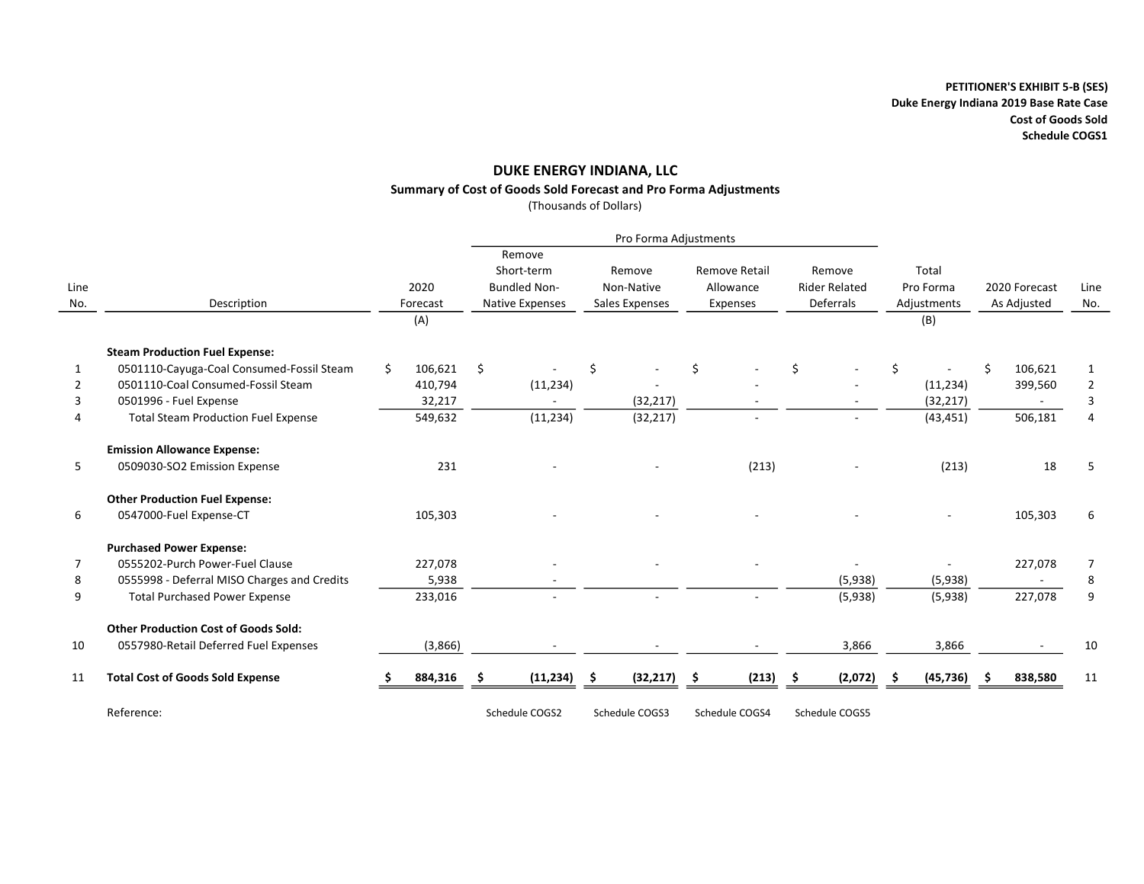### DUKE ENERGY INDIANA, LLC Summary of Cost of Goods Sold Forecast and Pro Forma Adjustments

(Thousands of Dollars)

|             |                                             |    |                         |    | Pro Forma Adjustments                                          |    |                                        |     |                                        |   |                                             |    |                                          |                              |         |             |
|-------------|---------------------------------------------|----|-------------------------|----|----------------------------------------------------------------|----|----------------------------------------|-----|----------------------------------------|---|---------------------------------------------|----|------------------------------------------|------------------------------|---------|-------------|
| Line<br>No. | Description                                 |    | 2020<br>Forecast<br>(A) |    | Remove<br>Short-term<br><b>Bundled Non-</b><br>Native Expenses |    | Remove<br>Non-Native<br>Sales Expenses |     | Remove Retail<br>Allowance<br>Expenses |   | Remove<br><b>Rider Related</b><br>Deferrals |    | Total<br>Pro Forma<br>Adjustments<br>(B) | 2020 Forecast<br>As Adjusted |         | Line<br>No. |
|             | <b>Steam Production Fuel Expense:</b>       |    |                         |    |                                                                |    |                                        |     |                                        |   |                                             |    |                                          |                              |         |             |
| 1           | 0501110-Cayuga-Coal Consumed-Fossil Steam   | Ŝ. | 106,621                 | \$ |                                                                | \$ |                                        | \$  |                                        | Ś |                                             | \$ |                                          | Ŝ.                           | 106,621 | 1           |
|             | 0501110-Coal Consumed-Fossil Steam          |    | 410,794                 |    | (11, 234)                                                      |    |                                        |     |                                        |   |                                             |    | (11, 234)                                |                              | 399,560 | 2           |
| 3           | 0501996 - Fuel Expense                      |    | 32,217                  |    |                                                                |    | (32, 217)                              |     |                                        |   |                                             |    | (32, 217)                                |                              |         | 3           |
|             | <b>Total Steam Production Fuel Expense</b>  |    | 549,632                 |    | (11, 234)                                                      |    | (32, 217)                              |     | $\overline{\phantom{a}}$               |   |                                             |    | (43, 451)                                |                              | 506,181 | 4           |
|             | <b>Emission Allowance Expense:</b>          |    |                         |    |                                                                |    |                                        |     |                                        |   |                                             |    |                                          |                              |         |             |
| 5           | 0509030-SO2 Emission Expense                |    | 231                     |    |                                                                |    |                                        |     | (213)                                  |   |                                             |    | (213)                                    |                              | 18      | 5           |
|             | <b>Other Production Fuel Expense:</b>       |    |                         |    |                                                                |    |                                        |     |                                        |   |                                             |    |                                          |                              |         |             |
| 6           | 0547000-Fuel Expense-CT                     |    | 105,303                 |    |                                                                |    |                                        |     |                                        |   |                                             |    |                                          |                              | 105,303 | 6           |
|             | <b>Purchased Power Expense:</b>             |    |                         |    |                                                                |    |                                        |     |                                        |   |                                             |    |                                          |                              |         |             |
| 7           | 0555202-Purch Power-Fuel Clause             |    | 227,078                 |    |                                                                |    |                                        |     |                                        |   |                                             |    |                                          |                              | 227,078 | 7           |
| 8           | 0555998 - Deferral MISO Charges and Credits |    | 5,938                   |    |                                                                |    |                                        |     |                                        |   | (5,938)                                     |    | (5,938)                                  |                              |         | 8           |
| 9           | <b>Total Purchased Power Expense</b>        |    | 233,016                 |    |                                                                |    |                                        |     |                                        |   | (5,938)                                     |    | (5,938)                                  |                              | 227,078 | 9           |
|             | <b>Other Production Cost of Goods Sold:</b> |    |                         |    |                                                                |    |                                        |     |                                        |   |                                             |    |                                          |                              |         |             |
| 10          | 0557980-Retail Deferred Fuel Expenses       |    | (3,866)                 |    |                                                                |    |                                        |     |                                        |   | 3,866                                       |    | 3,866                                    |                              |         | 10          |
| 11          | <b>Total Cost of Goods Sold Expense</b>     |    | 884,316                 | \$ | (11, 234)                                                      | Ŝ. | (32, 217)                              | \$. | (213)                                  | Ŝ | (2,072)                                     | -S | (45, 736)                                |                              | 838,580 | 11          |
|             | Reference:                                  |    |                         |    | Schedule COGS2                                                 |    | Schedule COGS3                         |     | Schedule COGS4                         |   | Schedule COGS5                              |    |                                          |                              |         |             |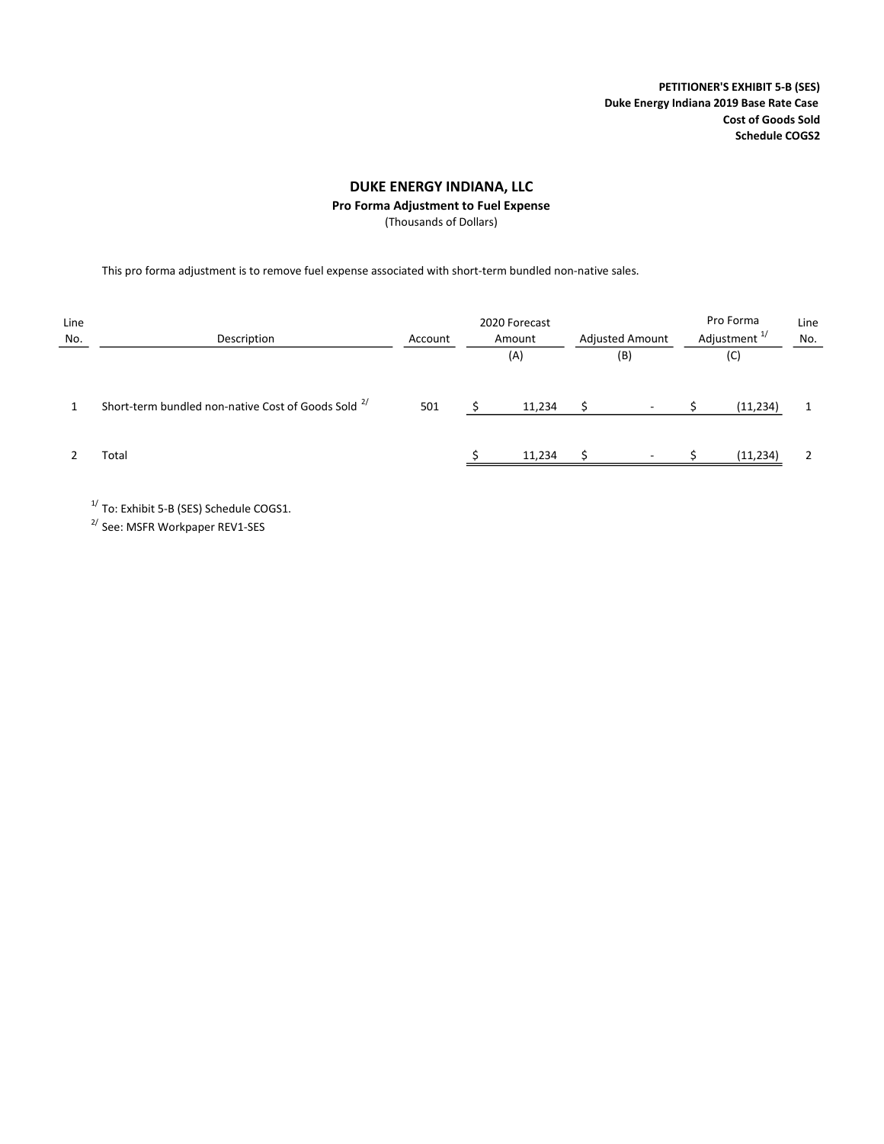PETITIONER'S EXHIBIT 5-B (SES) Duke Energy Indiana 2019 Base Rate Case Cost of Goods Sold Schedule COGS2

### DUKE ENERGY INDIANA, LLC

Pro Forma Adjustment to Fuel Expense

(Thousands of Dollars)

This pro forma adjustment is to remove fuel expense associated with short-term bundled non-native sales.

| Line<br>No. | Description                                                    | Account | 2020 Forecast<br>Amount<br>(A) | <b>Adjusted Amount</b><br>(B) |                          | Pro Forma<br>Adjustment <sup>1/</sup><br>(C) |           | Line<br>No. |  |
|-------------|----------------------------------------------------------------|---------|--------------------------------|-------------------------------|--------------------------|----------------------------------------------|-----------|-------------|--|
|             | Short-term bundled non-native Cost of Goods Sold <sup>2/</sup> | 501     | 11,234                         |                               | $\overline{\phantom{a}}$ |                                              | (11, 234) |             |  |
|             | Total                                                          |         | 11,234                         |                               | $\overline{\phantom{0}}$ |                                              | (11, 234) |             |  |

 $1/$  To: Exhibit 5-B (SES) Schedule COGS1.

2/ See: MSFR Workpaper REV1-SES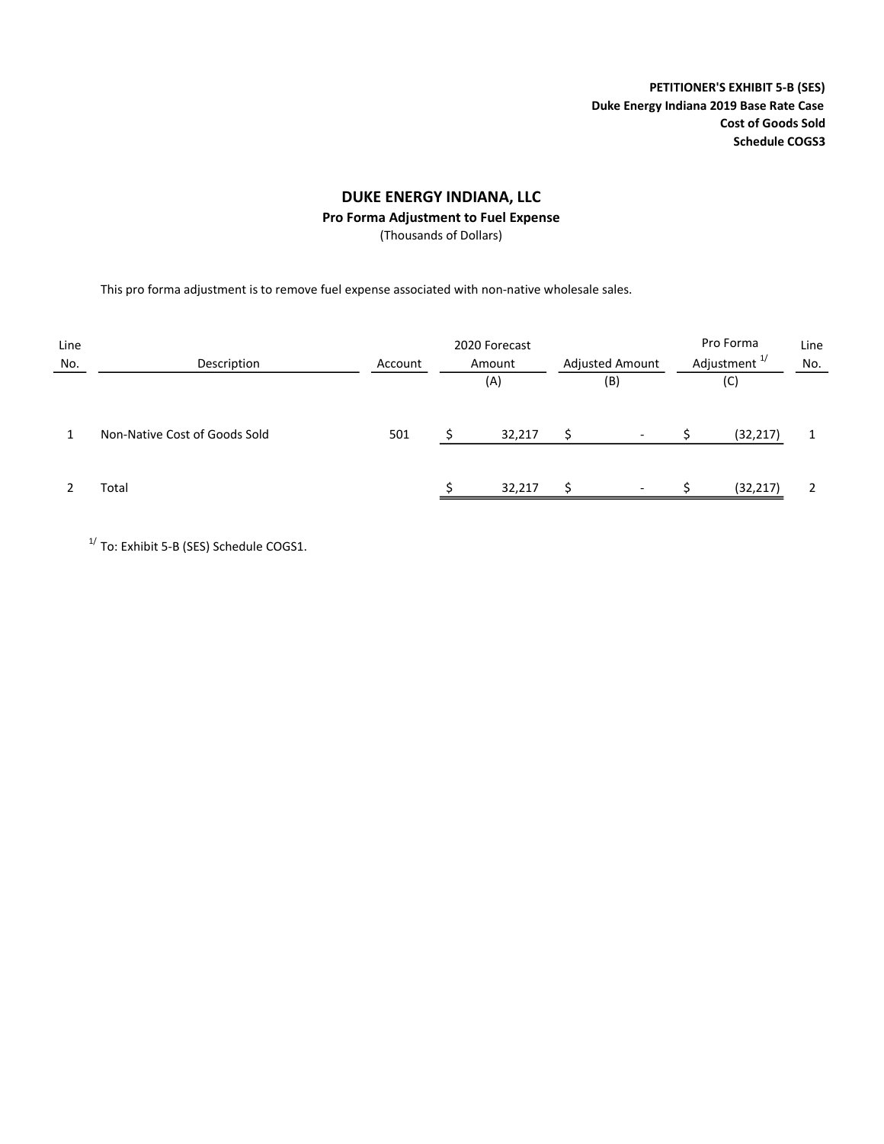PETITIONER'S EXHIBIT 5-B (SES) Duke Energy Indiana 2019 Base Rate Case Cost of Goods Sold Schedule COGS3

## DUKE ENERGY INDIANA, LLC

### Pro Forma Adjustment to Fuel Expense

(Thousands of Dollars)

This pro forma adjustment is to remove fuel expense associated with non-native wholesale sales.

| Line<br>No. | Description                   | Account | Pro Forma<br>Adjustment <sup>1/</sup> | Line<br>No.              |  |           |  |
|-------------|-------------------------------|---------|---------------------------------------|--------------------------|--|-----------|--|
|             |                               |         | (A)                                   | (B)                      |  | (C)       |  |
|             | Non-Native Cost of Goods Sold | 501     | 32,217                                | $\overline{\phantom{0}}$ |  | (32, 217) |  |
|             | Total                         |         | 32,217                                | $\overline{\phantom{a}}$ |  | (32, 217) |  |

 $1/$  To: Exhibit 5-B (SES) Schedule COGS1.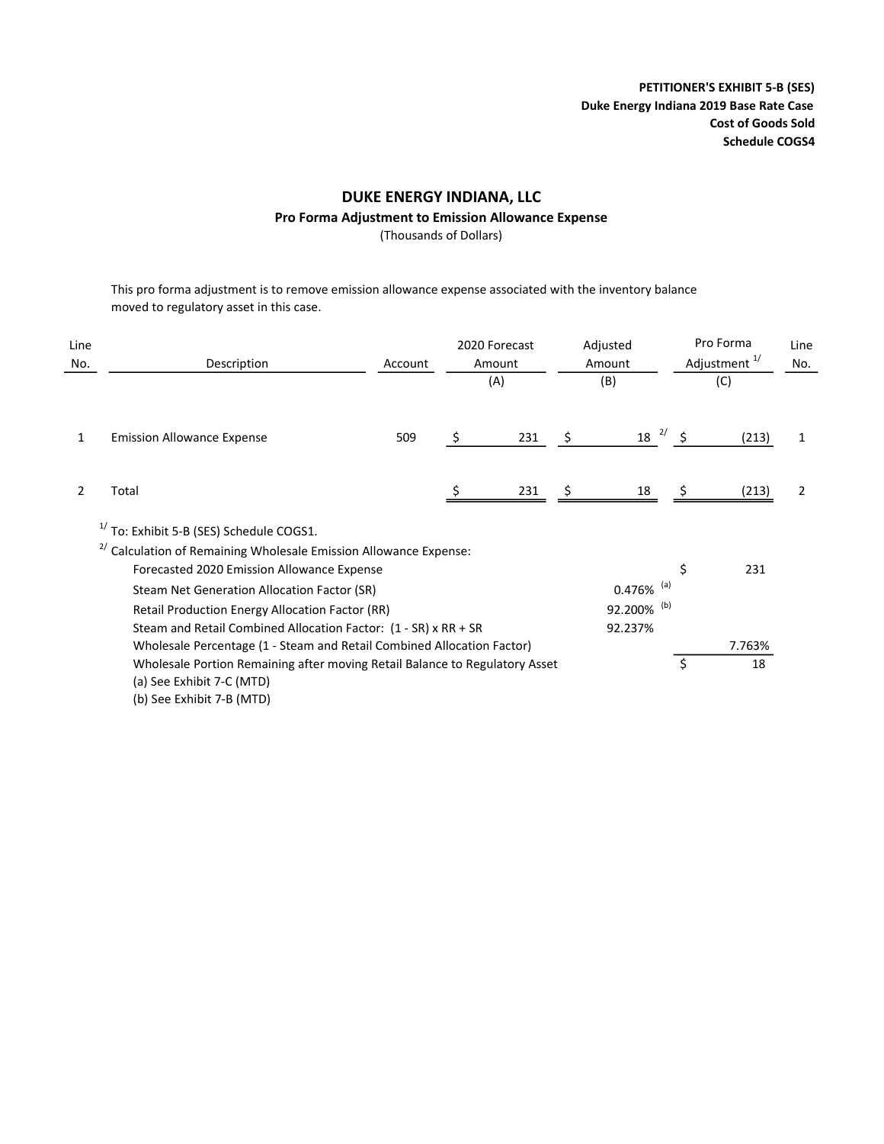PETITIONER'S EXHIBIT 5-B (SES) Duke Energy Indiana 2019 Base Rate Case Cost of Goods Sold Schedule COGS4

## DUKE ENERGY INDIANA, LLC

### Pro Forma Adjustment to Emission Allowance Expense

(Thousands of Dollars)

This pro forma adjustment is to remove emission allowance expense associated with the inventory balance moved to regulatory asset in this case.

| Line<br>No. | Description                                                                                                                                                                                                                                                                                                                                                                                                                                                                  | Account |    | 2020 Forecast<br>Amount<br>(A) |    | Adjusted<br>Amount<br>(B) | Pro Forma<br>Adjustment <sup>1/</sup> | Line<br>No. |   |
|-------------|------------------------------------------------------------------------------------------------------------------------------------------------------------------------------------------------------------------------------------------------------------------------------------------------------------------------------------------------------------------------------------------------------------------------------------------------------------------------------|---------|----|--------------------------------|----|---------------------------|---------------------------------------|-------------|---|
| 1           | <b>Emission Allowance Expense</b>                                                                                                                                                                                                                                                                                                                                                                                                                                            | 509     | \$ | 231                            | \$ | $18^{2/5}$                |                                       | (213)       | 1 |
|             | Total                                                                                                                                                                                                                                                                                                                                                                                                                                                                        |         |    | 231                            |    | 18                        |                                       | (213)       | 2 |
|             | $1/$ To: Exhibit 5-B (SES) Schedule COGS1.<br>Calculation of Remaining Wholesale Emission Allowance Expense:<br>2/<br>Forecasted 2020 Emission Allowance Expense<br>$0.476\%$ <sup>(a)</sup><br>Steam Net Generation Allocation Factor (SR)<br>92.200% (b)<br><b>Retail Production Energy Allocation Factor (RR)</b><br>Steam and Retail Combined Allocation Factor: (1 - SR) x RR + SR<br>92.237%<br>Wholesale Percentage (1 - Steam and Retail Combined Allocation Factor) |         |    |                                |    |                           |                                       |             |   |
|             | Wholesale Portion Remaining after moving Retail Balance to Regulatory Asset<br>(a) See Exhibit 7-C (MTD)<br>(b) See Exhibit 7-B (MTD)                                                                                                                                                                                                                                                                                                                                        |         |    |                                |    |                           | \$                                    | 18          |   |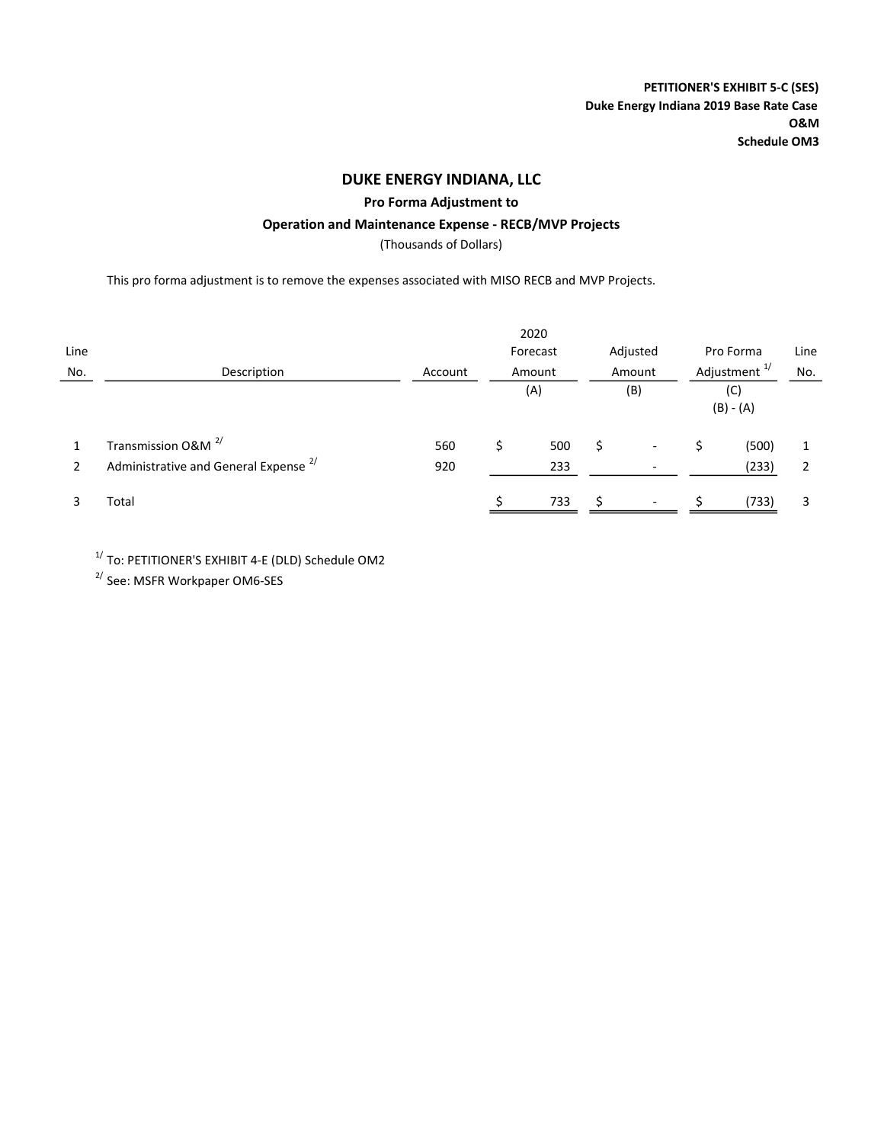PETITIONER'S EXHIBIT 5-C (SES) Duke Energy Indiana 2019 Base Rate Case O&M Schedule OM3

## DUKE ENERGY INDIANA, LLC

Pro Forma Adjustment to

### Operation and Maintenance Expense - RECB/MVP Projects

(Thousands of Dollars)

This pro forma adjustment is to remove the expenses associated with MISO RECB and MVP Projects.

|      |                                                  |         |        | 2020                 |        |                          |           |                    |                          |     |
|------|--------------------------------------------------|---------|--------|----------------------|--------|--------------------------|-----------|--------------------|--------------------------|-----|
| Line |                                                  |         |        | Forecast<br>Adjusted |        |                          | Pro Forma |                    | Line                     |     |
| No.  | Description                                      | Account | Amount |                      | Amount |                          |           |                    | Adjustment <sup>1/</sup> | No. |
|      |                                                  |         |        | (A)                  |        | (B)                      |           | (C)<br>$(B) - (A)$ |                          |     |
|      | Transmission O&M <sup>2/</sup>                   | 560     |        | 500                  | Ś      | -                        |           | (500)              |                          |     |
| 2    | Administrative and General Expense <sup>2/</sup> | 920     |        | 233                  |        |                          |           | (233)              |                          |     |
|      | Total                                            |         |        | 733                  |        | $\overline{\phantom{a}}$ |           | (733)              |                          |     |

 $1/$  To: PETITIONER'S EXHIBIT 4-E (DLD) Schedule OM2

2/ See: MSFR Workpaper OM6-SES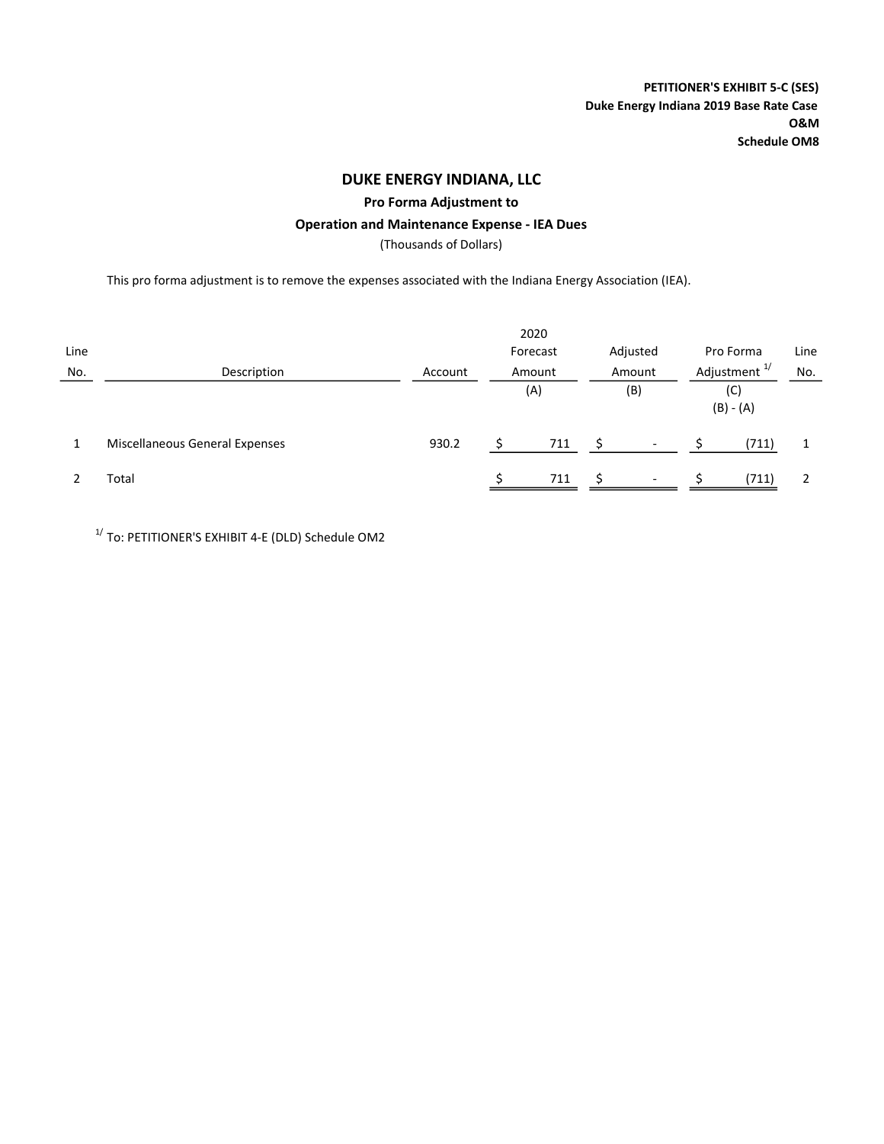Pro Forma Adjustment to

### Operation and Maintenance Expense - IEA Dues

(Thousands of Dollars)

This pro forma adjustment is to remove the expenses associated with the Indiana Energy Association (IEA).

|      |                                |         |                    | 2020 |          |                          |                    |           |      |  |  |  |  |  |  |        |                          |
|------|--------------------------------|---------|--------------------|------|----------|--------------------------|--------------------|-----------|------|--|--|--|--|--|--|--------|--------------------------|
| Line |                                |         | Forecast<br>Amount |      | Adjusted |                          |                    | Pro Forma | Line |  |  |  |  |  |  |        |                          |
| No.  | Description                    | Account |                    |      |          |                          |                    |           |      |  |  |  |  |  |  | Amount | Adjustment <sup>1/</sup> |
|      |                                |         | (A)                |      | (B)      |                          | (C)<br>$(B) - (A)$ |           |      |  |  |  |  |  |  |        |                          |
|      | Miscellaneous General Expenses | 930.2   |                    | 711  |          | $\overline{\phantom{a}}$ |                    | (711)     |      |  |  |  |  |  |  |        |                          |
|      | Total                          |         |                    | 711  | S.       | $\overline{\phantom{a}}$ |                    | (711)     |      |  |  |  |  |  |  |        |                          |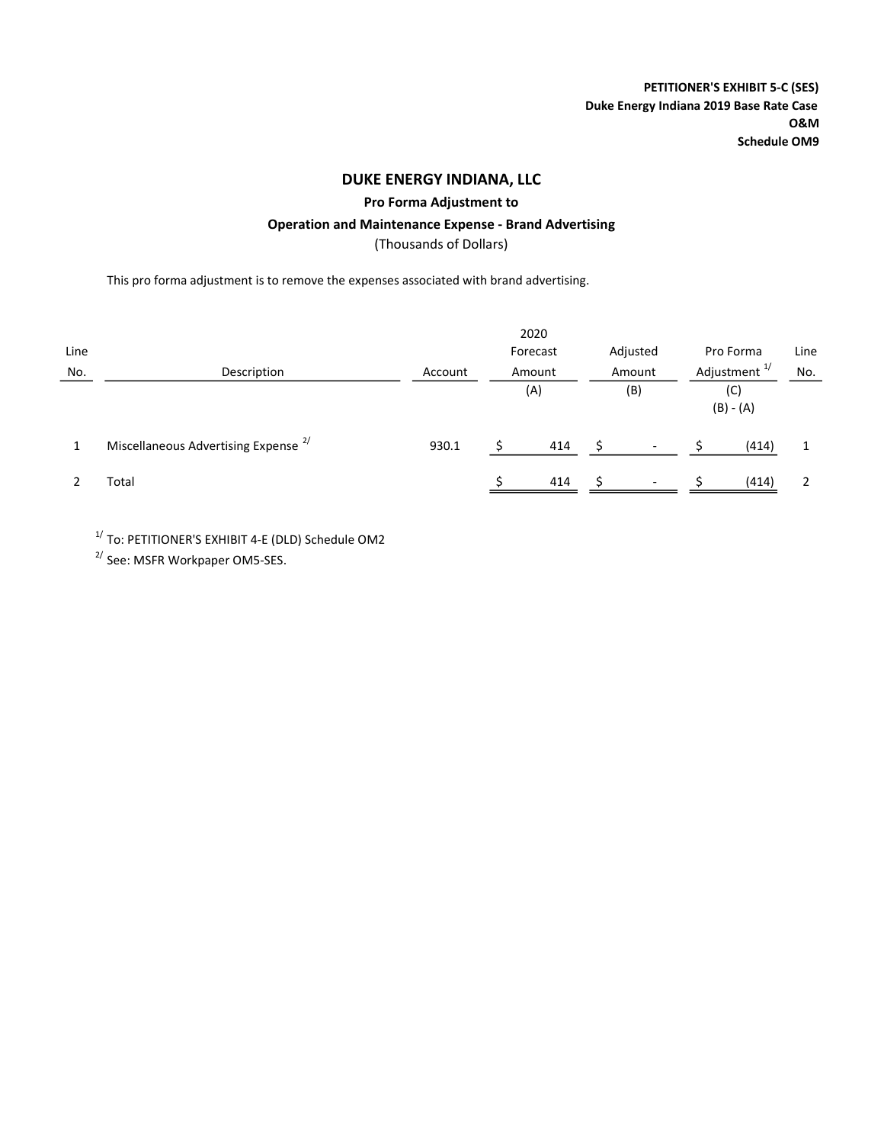Pro Forma Adjustment to

### Operation and Maintenance Expense - Brand Advertising

(Thousands of Dollars)

This pro forma adjustment is to remove the expenses associated with brand advertising.

|      |                                                 |         |                                | 2020     |  |                          |                                                |           |      |  |     |
|------|-------------------------------------------------|---------|--------------------------------|----------|--|--------------------------|------------------------------------------------|-----------|------|--|-----|
| Line |                                                 |         |                                | Forecast |  | Adjusted                 |                                                | Pro Forma | Line |  |     |
| No.  | Description                                     | Account | Amount<br>Amount<br>(A)<br>(B) |          |  |                          | Adjustment <sup>1/</sup><br>(C)<br>$(B) - (A)$ |           |      |  | No. |
|      |                                                 |         |                                |          |  |                          |                                                |           |      |  |     |
|      | Miscellaneous Advertising Expense <sup>2/</sup> | 930.1   |                                | 414      |  | $\overline{\phantom{a}}$ |                                                | (414)     |      |  |     |
|      | Total                                           |         |                                | 414      |  | $\overline{\phantom{a}}$ |                                                | (414)     |      |  |     |

 $1/$  To: PETITIONER'S EXHIBIT 4-E (DLD) Schedule OM2

2/ See: MSFR Workpaper OM5-SES.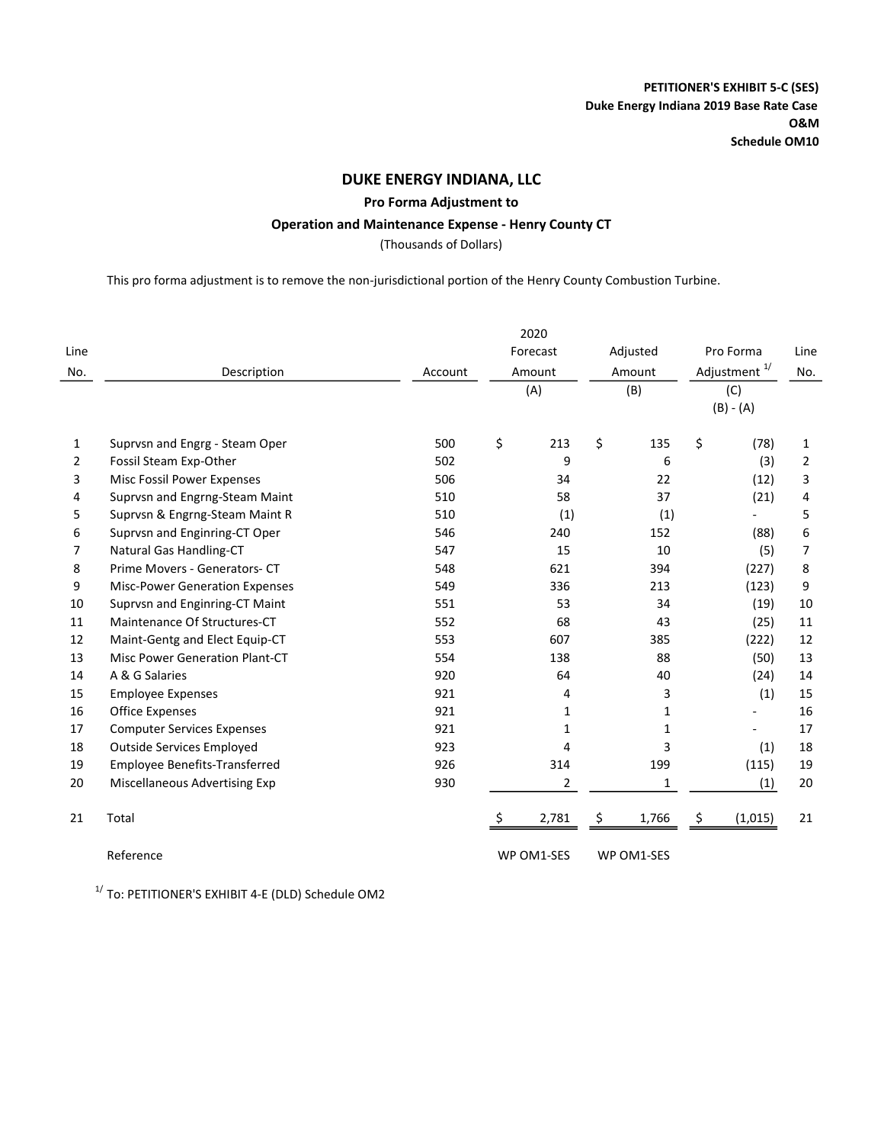### Pro Forma Adjustment to

### Operation and Maintenance Expense - Henry County CT

(Thousands of Dollars)

This pro forma adjustment is to remove the non-jurisdictional portion of the Henry County Combustion Turbine.

| Line           |                                       |         |     | Forecast       |        | Adjusted     |    | Pro Forma                | Line           |                          |     |
|----------------|---------------------------------------|---------|-----|----------------|--------|--------------|----|--------------------------|----------------|--------------------------|-----|
| No.            | Description                           | Account |     | Amount         | Amount |              |    |                          |                | Adjustment <sup>1/</sup> | No. |
|                |                                       |         |     | (A)            |        | (B)          |    | (C)                      |                |                          |     |
|                |                                       |         |     |                |        |              |    | $(B) - (A)$              |                |                          |     |
| 1              | Suprvsn and Engrg - Steam Oper        | 500     | \$  | 213            | \$     | 135          | \$ | (78)                     | 1              |                          |     |
| $\overline{2}$ | Fossil Steam Exp-Other                | 502     |     | 9              |        | 6            |    | (3)                      | $\overline{2}$ |                          |     |
| 3              | Misc Fossil Power Expenses            | 506     |     | 34             |        | 22           |    | (12)                     | 3              |                          |     |
| 4              | Suprvsn and Engrng-Steam Maint        | 510     |     | 58             |        | 37           |    | (21)                     | 4              |                          |     |
| 5              | Suprvsn & Engrng-Steam Maint R        | 510     |     | (1)            |        | (1)          |    |                          | 5              |                          |     |
| 6              | Suprvsn and Enginring-CT Oper         | 546     |     | 240            |        | 152          |    | (88)                     | 6              |                          |     |
| 7              | Natural Gas Handling-CT               | 547     |     | 15             |        | 10           |    | (5)                      | $\overline{7}$ |                          |     |
| 8              | Prime Movers - Generators- CT         | 548     | 621 |                |        | 394          |    | (227)                    | 8              |                          |     |
| 9              | <b>Misc-Power Generation Expenses</b> | 549     |     | 336            |        | 213          |    | (123)                    | 9              |                          |     |
| 10             | Suprvsn and Enginring-CT Maint        | 551     |     | 53             |        | 34           |    | (19)                     | 10             |                          |     |
| 11             | Maintenance Of Structures-CT          | 552     |     | 68             |        | 43           |    | (25)                     | 11             |                          |     |
| 12             | Maint-Gentg and Elect Equip-CT        | 553     |     | 607            |        | 385          |    | (222)                    | 12             |                          |     |
| 13             | Misc Power Generation Plant-CT        | 554     |     | 138            |        | 88           |    | (50)                     | 13             |                          |     |
| 14             | A & G Salaries                        | 920     |     | 64             |        | 40           |    | (24)                     | 14             |                          |     |
| 15             | <b>Employee Expenses</b>              | 921     |     | 4              |        | 3            |    | (1)                      | 15             |                          |     |
| 16             | <b>Office Expenses</b>                | 921     |     | $\mathbf{1}$   |        | $\mathbf{1}$ |    |                          | 16             |                          |     |
| 17             | <b>Computer Services Expenses</b>     | 921     |     | $\mathbf{1}$   |        | $\mathbf{1}$ |    | $\overline{\phantom{0}}$ | 17             |                          |     |
| 18             | <b>Outside Services Employed</b>      | 923     |     | 4              |        | 3            |    | (1)                      | 18             |                          |     |
| 19             | <b>Employee Benefits-Transferred</b>  | 926     |     | 314            |        | 199          |    | (115)                    | 19             |                          |     |
| 20             | Miscellaneous Advertising Exp         | 930     |     | $\overline{2}$ |        | 1            |    | (1)                      | 20             |                          |     |
| 21             | Total                                 |         | \$  | 2,781          | \$     | 1,766        | \$ | (1,015)                  | 21             |                          |     |
|                | Reference                             |         |     | WP OM1-SES     |        | WP OM1-SES   |    |                          |                |                          |     |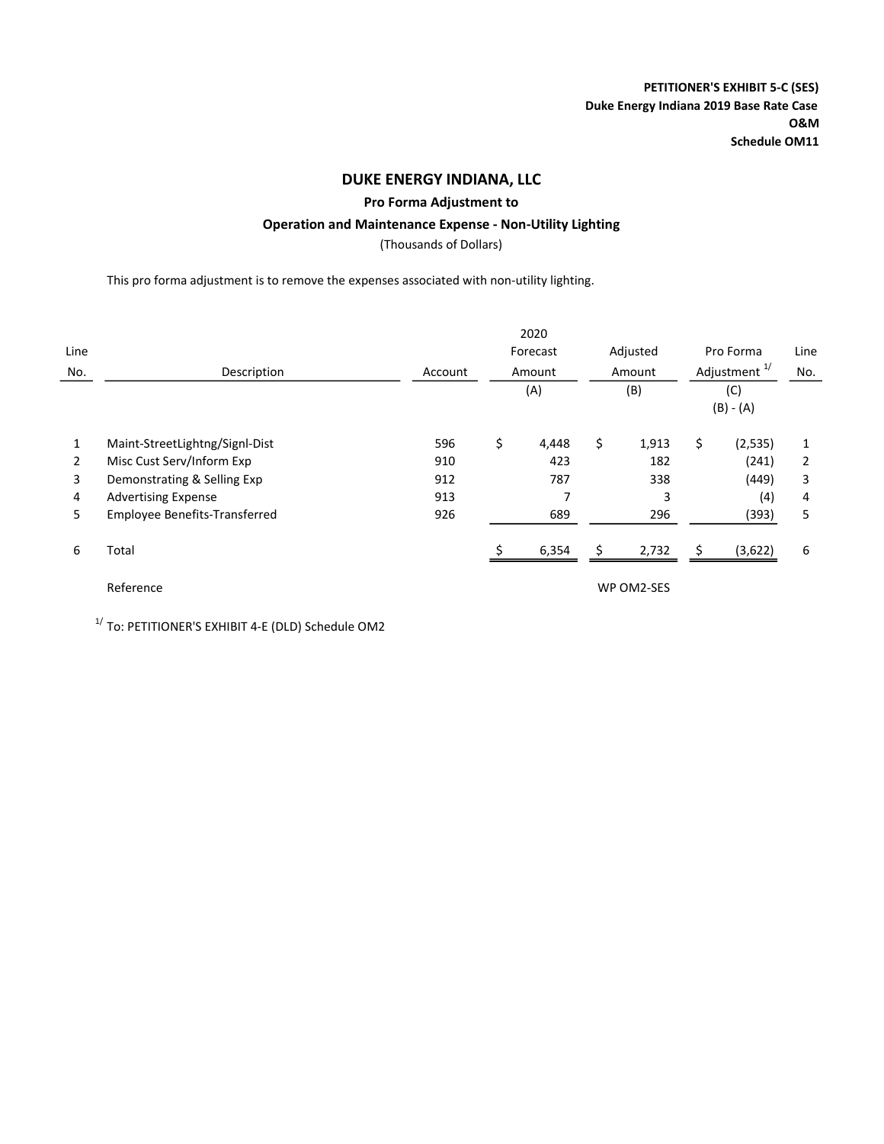### Pro Forma Adjustment to

### Operation and Maintenance Expense - Non-Utility Lighting

(Thousands of Dollars)

This pro forma adjustment is to remove the expenses associated with non-utility lighting.

| Line<br>No. | Description                    | Account |     | 2020<br>Forecast<br>Amount |     | Adjusted<br>Amount | Pro Forma<br>Adjustment <sup>1/</sup> |         | Line<br>No. |
|-------------|--------------------------------|---------|-----|----------------------------|-----|--------------------|---------------------------------------|---------|-------------|
|             |                                |         | (A) |                            | (B) |                    | (C)<br>$(B) - (A)$                    |         |             |
| 1           | Maint-StreetLightng/Signl-Dist | 596     | \$  | 4,448                      | \$  | 1,913              | \$                                    | (2,535) |             |
| 2           | Misc Cust Serv/Inform Exp      | 910     |     | 423                        |     | 182                |                                       | (241)   | 2           |
| 3           | Demonstrating & Selling Exp    | 912     |     | 787                        |     | 338                |                                       | (449)   | 3           |
| 4           | <b>Advertising Expense</b>     | 913     |     |                            |     | 3                  |                                       | (4)     | 4           |
| 5.          | Employee Benefits-Transferred  | 926     |     | 689                        |     | 296                |                                       | (393)   | 5           |
| 6           | Total                          |         |     | 6,354                      |     | 2,732              | Ś                                     | (3,622) | 6           |
|             | Reference                      |         |     |                            |     | WP OM2-SES         |                                       |         |             |

1/ To: PETITIONER'S EXHIBIT 4-E (DLD) Schedule OM2

l,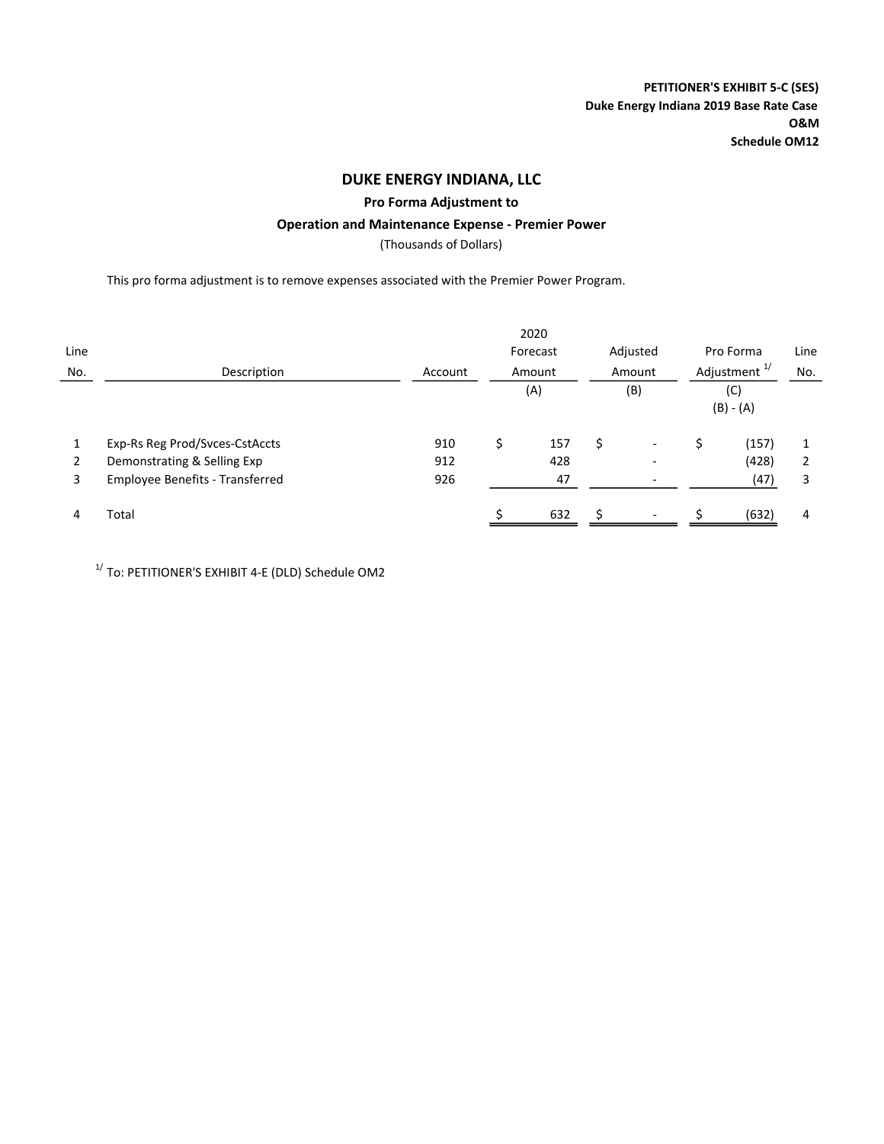### Pro Forma Adjustment to

### Operation and Maintenance Expense - Premier Power

(Thousands of Dollars)

This pro forma adjustment is to remove expenses associated with the Premier Power Program.

|      |                                        |         |          | 2020   |          |                              |           |                          |      |
|------|----------------------------------------|---------|----------|--------|----------|------------------------------|-----------|--------------------------|------|
| Line |                                        |         | Forecast |        | Adjusted |                              | Pro Forma |                          | Line |
| No.  | Description                            | Account |          | Amount | Amount   |                              |           | Adjustment <sup>1/</sup> | No.  |
|      |                                        |         |          | (A)    |          | (B)                          | (C)       |                          |      |
|      |                                        |         |          |        |          |                              |           | $(B) - (A)$              |      |
|      | Exp-Rs Reg Prod/Svces-CstAccts         | 910     | \$       | 157    | Ś        | $\overline{\phantom{a}}$     |           | (157)                    |      |
| 2    | Demonstrating & Selling Exp            | 912     |          | 428    |          | $\qquad \qquad \blacksquare$ |           | (428)                    |      |
| 3    | <b>Employee Benefits - Transferred</b> | 926     |          | 47     |          | $\overline{\phantom{a}}$     |           | (47)                     | 3    |
| 4    | Total                                  |         |          | 632    |          | $\overline{\phantom{a}}$     |           | (632)                    | 4    |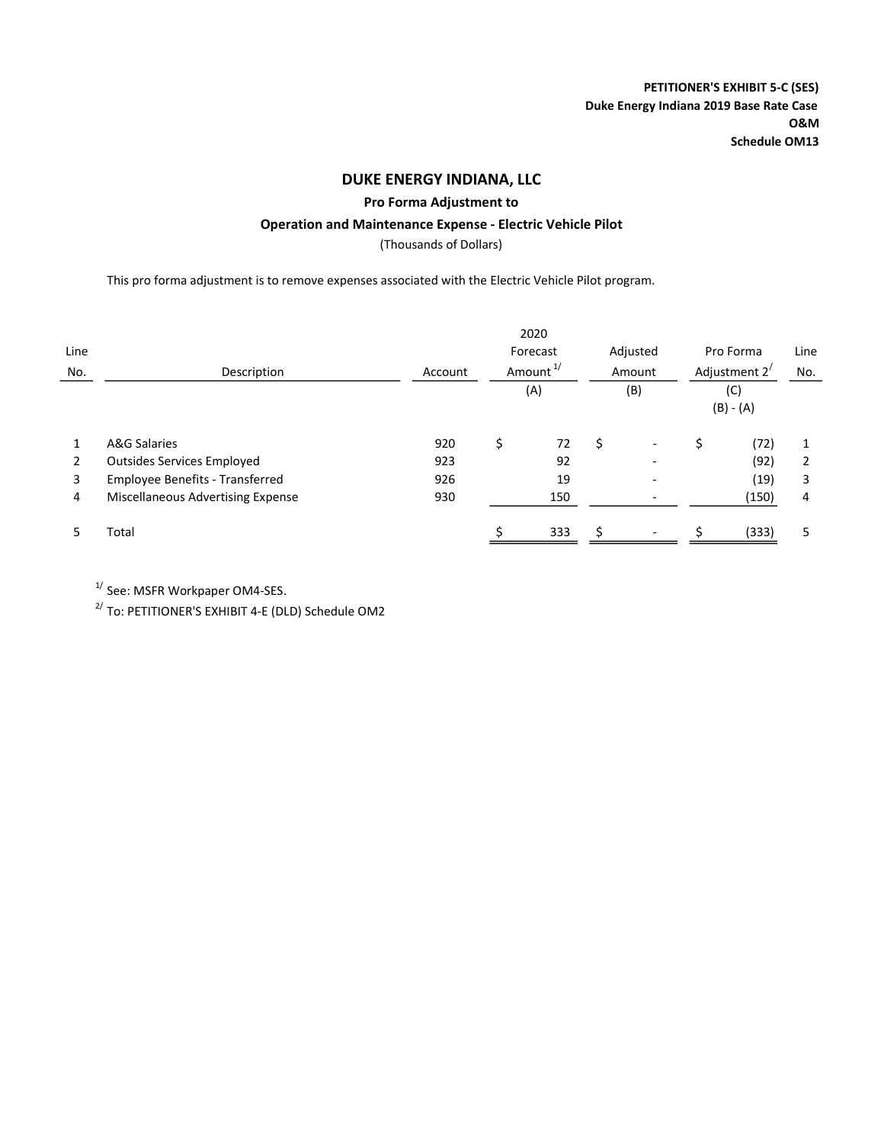### Pro Forma Adjustment to

# Operation and Maintenance Expense - Electric Vehicle Pilot

(Thousands of Dollars)

This pro forma adjustment is to remove expenses associated with the Electric Vehicle Pilot program.

|      |                                        |         | 2020                 |          |                              |                 |             |      |
|------|----------------------------------------|---------|----------------------|----------|------------------------------|-----------------|-------------|------|
| Line |                                        |         | Forecast             | Adjusted |                              |                 | Pro Forma   | Line |
| No.  | Description                            | Account | Amount <sup>1/</sup> |          | Amount                       | Adjustment $2'$ |             | No.  |
|      |                                        |         | (A)                  | (B)      |                              | (C)             |             |      |
|      |                                        |         |                      |          |                              |                 | $(B) - (A)$ |      |
|      | A&G Salaries                           | 920     | \$<br>72             | \$.      | $\qquad \qquad \blacksquare$ | Ś               | (72)        |      |
| 2    | <b>Outsides Services Employed</b>      | 923     | 92                   |          |                              |                 | (92)        |      |
| 3    | <b>Employee Benefits - Transferred</b> | 926     | 19                   |          |                              |                 | (19)        | 3    |
| 4    | Miscellaneous Advertising Expense      | 930     | 150                  |          |                              |                 | (150)       | 4    |
|      | Total                                  |         | 333                  |          |                              |                 | (333)       | 5    |

 $1/$  See: MSFR Workpaper OM4-SES.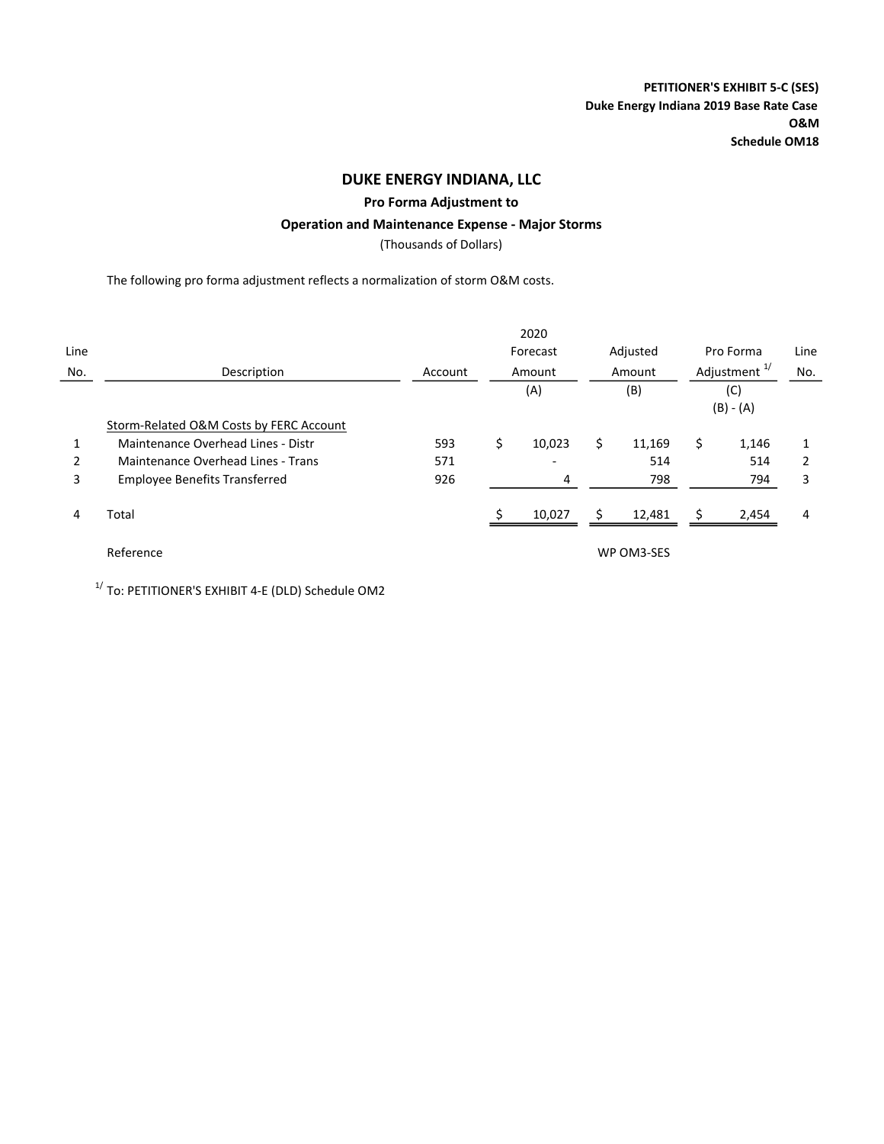### Pro Forma Adjustment to

### Operation and Maintenance Expense - Major Storms

(Thousands of Dollars)

The following pro forma adjustment reflects a normalization of storm O&M costs.

|      |                                         |         | 2020                     |     |            |                    |                          |      |  |
|------|-----------------------------------------|---------|--------------------------|-----|------------|--------------------|--------------------------|------|--|
| Line |                                         |         | Forecast                 |     | Adjusted   |                    | Pro Forma                | Line |  |
| No.  | Description                             | Account | Amount                   |     | Amount     |                    | Adjustment <sup>1/</sup> | No.  |  |
|      |                                         |         | (A)                      |     | (B)        | (C)<br>$(B) - (A)$ |                          |      |  |
|      | Storm-Related O&M Costs by FERC Account |         |                          |     |            |                    |                          |      |  |
|      | Maintenance Overhead Lines - Distr      | 593     | \$<br>10,023             | \$. | 11,169     | \$.                | 1,146                    |      |  |
| 2    | Maintenance Overhead Lines - Trans      | 571     | $\overline{\phantom{a}}$ |     | 514        |                    | 514                      |      |  |
| 3    | <b>Employee Benefits Transferred</b>    | 926     | 4                        |     | 798        |                    | 794                      | 3    |  |
| 4    | Total                                   |         | 10,027                   |     | 12,481     |                    | 2,454                    | 4    |  |
|      | Reference                               |         |                          |     | WP OM3-SES |                    |                          |      |  |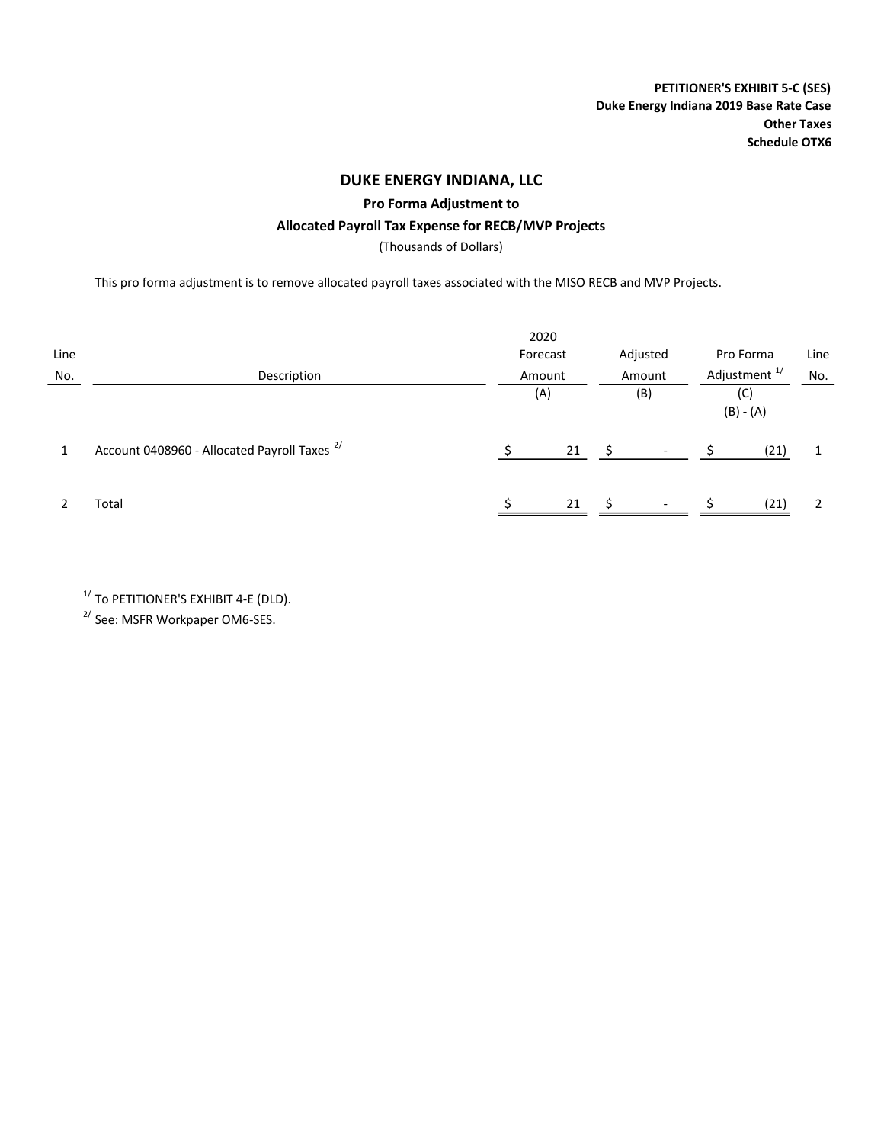PETITIONER'S EXHIBIT 5-C (SES) Duke Energy Indiana 2019 Base Rate Case Other Taxes Schedule OTX6

## DUKE ENERGY INDIANA, LLC

Pro Forma Adjustment to

### Allocated Payroll Tax Expense for RECB/MVP Projects

(Thousands of Dollars)

This pro forma adjustment is to remove allocated payroll taxes associated with the MISO RECB and MVP Projects.

| Line<br>No. | Description                                             | 2020<br>Forecast<br>Amount |     |    | Adjusted<br>Amount | Pro Forma<br>Adjustment <sup>1/</sup> | Line<br>No. |
|-------------|---------------------------------------------------------|----------------------------|-----|----|--------------------|---------------------------------------|-------------|
|             |                                                         |                            | (A) |    | (B)                | (C)<br>$(B) - (A)$                    |             |
|             | Account 0408960 - Allocated Payroll Taxes <sup>2/</sup> |                            | 21  | -Ś |                    | (21)                                  |             |
|             | Total                                                   |                            | 21  |    |                    | (21)                                  | 2           |

 $1/$  To PETITIONER'S EXHIBIT 4-E (DLD).

<sup>2/</sup> See: MSFR Workpaper OM6-SES.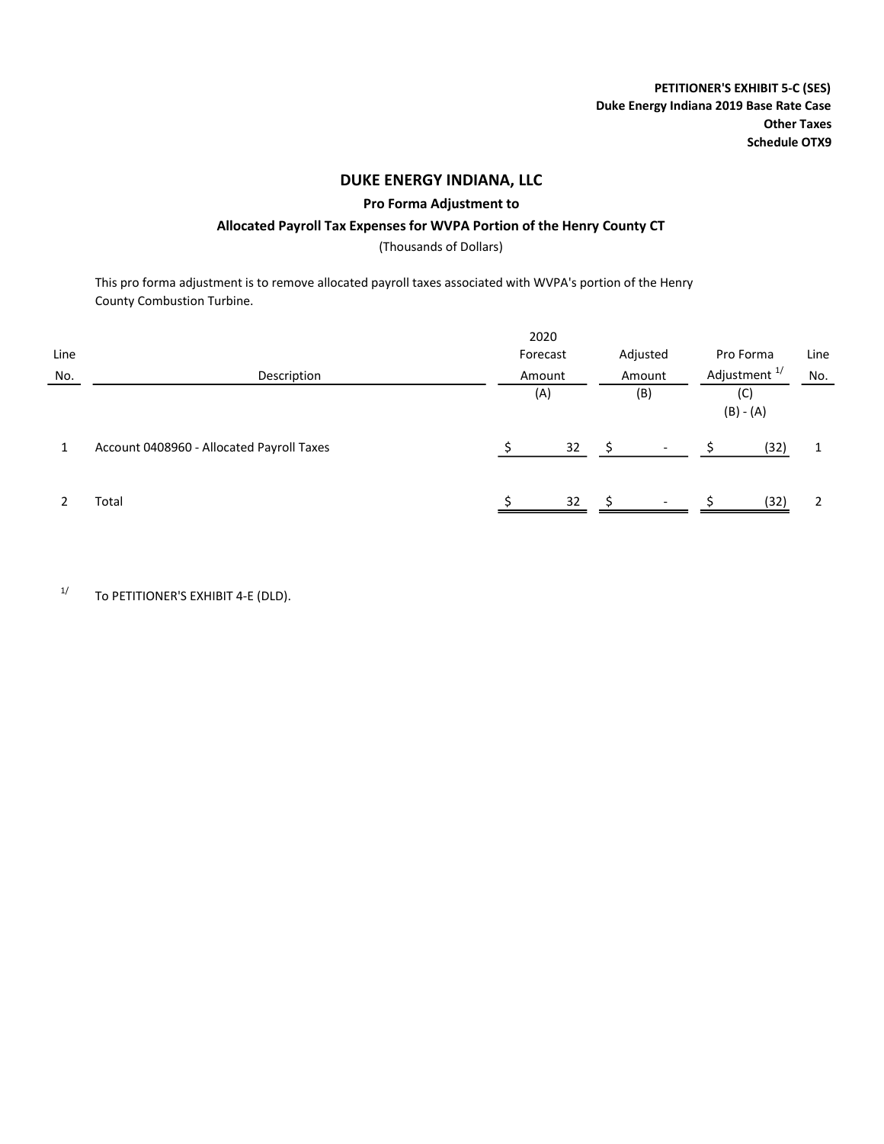PETITIONER'S EXHIBIT 5-C (SES) Duke Energy Indiana 2019 Base Rate Case Other Taxes Schedule OTX9

### DUKE ENERGY INDIANA, LLC

#### Pro Forma Adjustment to

### Allocated Payroll Tax Expenses for WVPA Portion of the Henry County CT

(Thousands of Dollars)

This pro forma adjustment is to remove allocated payroll taxes associated with WVPA's portion of the Henry County Combustion Turbine.

| Line |                                           | 2020<br>Forecast | Adjusted | Pro Forma                | Line |
|------|-------------------------------------------|------------------|----------|--------------------------|------|
| No.  | Description                               | Amount           | Amount   | Adjustment <sup>1/</sup> | No.  |
|      |                                           | (A)              | (B)      | (C)<br>$(B) - (A)$       |      |
|      | Account 0408960 - Allocated Payroll Taxes | 32               | -S       | (32)                     |      |
|      | Total                                     | 32               | Ŝ.       | (32)                     | 2    |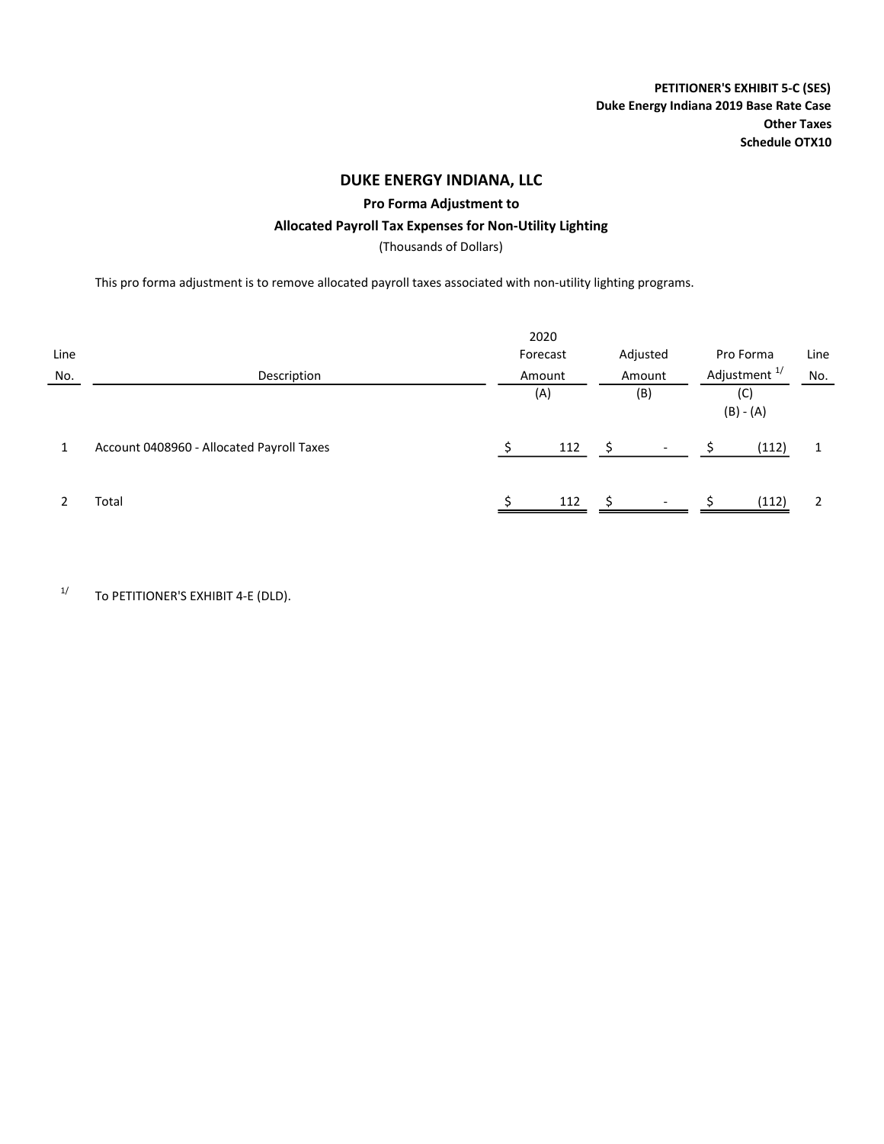Pro Forma Adjustment to

### Allocated Payroll Tax Expenses for Non-Utility Lighting

(Thousands of Dollars)

This pro forma adjustment is to remove allocated payroll taxes associated with non-utility lighting programs.

| Line |                                           | 2020<br>Forecast |        |        | Adjusted                 | Pro Forma                | Line  |     |
|------|-------------------------------------------|------------------|--------|--------|--------------------------|--------------------------|-------|-----|
| No.  | Description                               |                  | Amount | Amount |                          | Adjustment <sup>1/</sup> |       | No. |
|      |                                           | (A)              |        |        | (B)                      | $(B) - (A)$              |       |     |
|      | Account 0408960 - Allocated Payroll Taxes |                  | 112    | Ś      |                          |                          | (112) |     |
|      | Total                                     |                  | 112    | -S     | $\overline{\phantom{a}}$ |                          | (112) |     |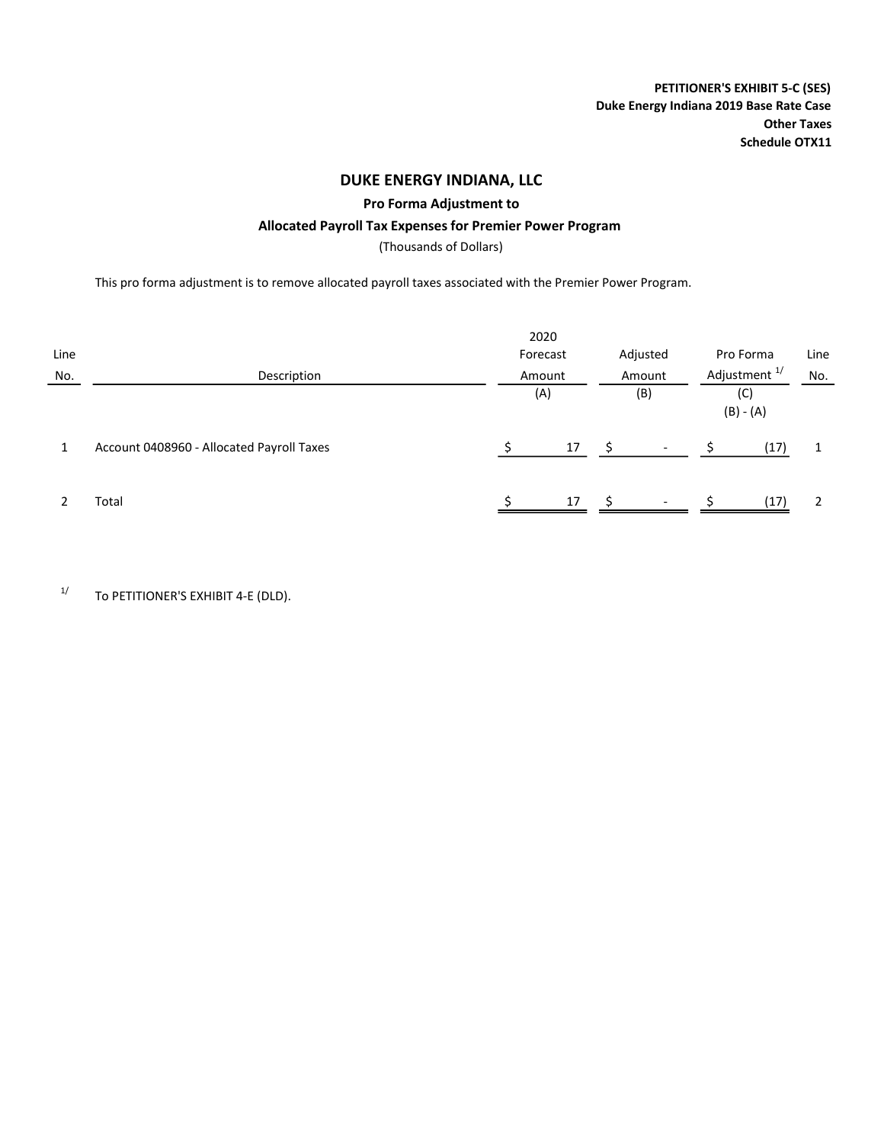PETITIONER'S EXHIBIT 5-C (SES) Duke Energy Indiana 2019 Base Rate Case Other Taxes Schedule OTX11

## DUKE ENERGY INDIANA, LLC

Pro Forma Adjustment to

### Allocated Payroll Tax Expenses for Premier Power Program

(Thousands of Dollars)

This pro forma adjustment is to remove allocated payroll taxes associated with the Premier Power Program.

| Line<br>No. | Description                               | 2020<br>Forecast<br>Amount |    |    | Adjusted<br>Amount       |                    | Pro Forma<br>Adjustment <sup>1/</sup> | Line<br>No. |
|-------------|-------------------------------------------|----------------------------|----|----|--------------------------|--------------------|---------------------------------------|-------------|
|             |                                           | (A)                        |    |    | (B)                      | (C)<br>$(B) - (A)$ |                                       |             |
|             | Account 0408960 - Allocated Payroll Taxes |                            | 17 | S  |                          |                    | (17)                                  |             |
|             | Total                                     |                            | 17 | S. | $\overline{\phantom{a}}$ |                    | (17)                                  |             |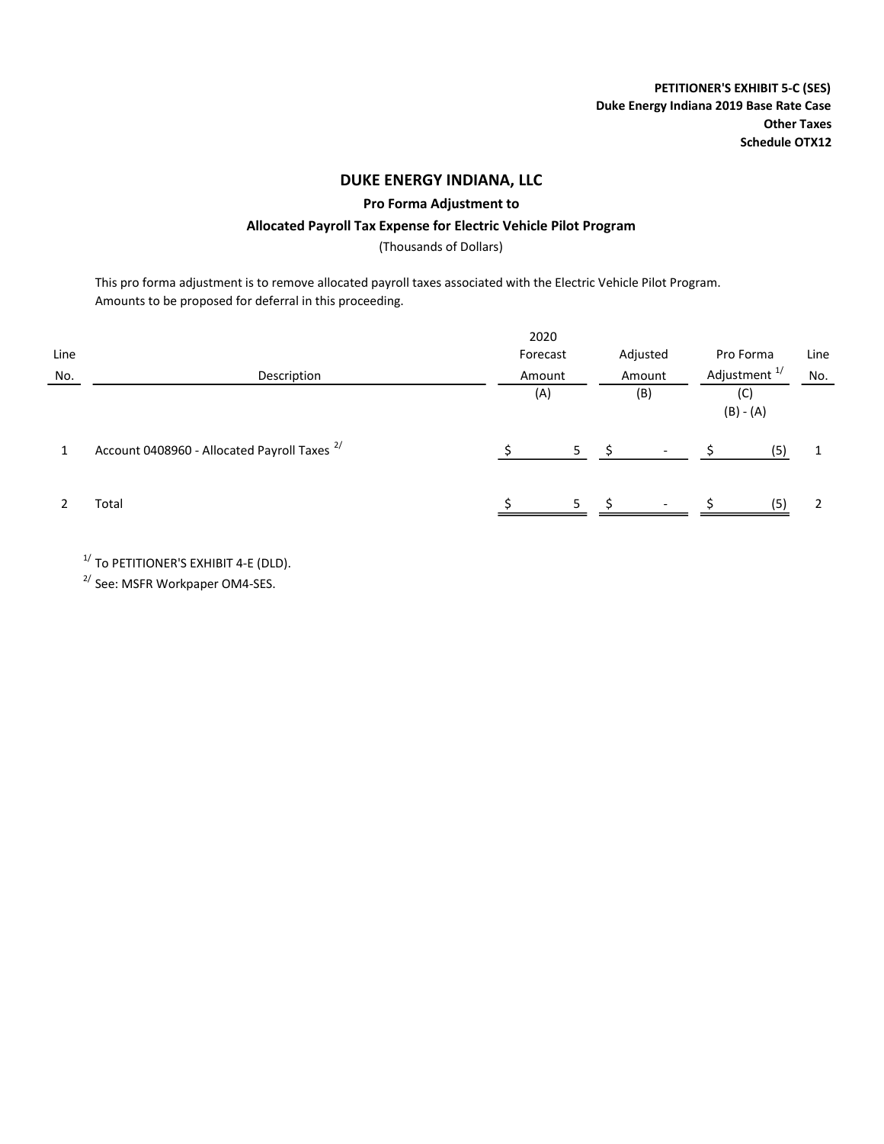Pro Forma Adjustment to

### Allocated Payroll Tax Expense for Electric Vehicle Pilot Program

(Thousands of Dollars)

This pro forma adjustment is to remove allocated payroll taxes associated with the Electric Vehicle Pilot Program. Amounts to be proposed for deferral in this proceeding.

| Line<br>No. | Description                                             | 2020<br>Forecast<br>Amount | Adjusted<br>Amount              | Pro Forma<br>Adjustment <sup>1/</sup> | Line<br>No. |  |
|-------------|---------------------------------------------------------|----------------------------|---------------------------------|---------------------------------------|-------------|--|
|             |                                                         | (A)                        | (B)                             | (C)<br>$(B) - (A)$                    |             |  |
|             | Account 0408960 - Allocated Payroll Taxes <sup>2/</sup> | 5.                         |                                 | (5)                                   |             |  |
|             | Total                                                   | 5                          | - Ś<br>$\overline{\phantom{a}}$ | (5)                                   |             |  |

 $1/$  To PETITIONER'S EXHIBIT 4-E (DLD).

2/ See: MSFR Workpaper OM4-SES.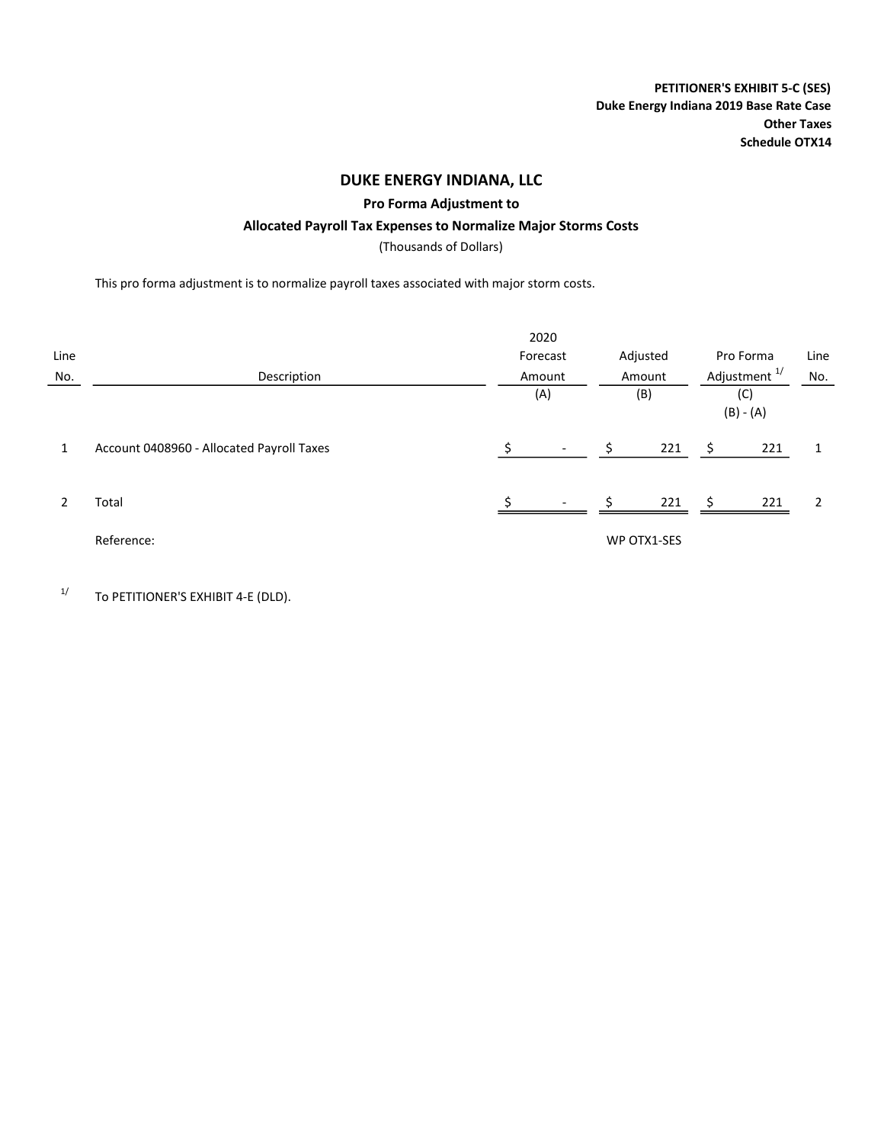PETITIONER'S EXHIBIT 5-C (SES) Duke Energy Indiana 2019 Base Rate Case Other Taxes Schedule OTX14

### DUKE ENERGY INDIANA, LLC

Pro Forma Adjustment to

### Allocated Payroll Tax Expenses to Normalize Major Storms Costs

(Thousands of Dollars)

This pro forma adjustment is to normalize payroll taxes associated with major storm costs.

|      |                                           |          | 2020                     |          |             |                          |                    |      |
|------|-------------------------------------------|----------|--------------------------|----------|-------------|--------------------------|--------------------|------|
| Line |                                           | Forecast |                          | Adjusted |             | Pro Forma                |                    | Line |
| No.  | Description                               |          | Amount                   |          | Amount      | Adjustment <sup>1/</sup> |                    | No.  |
|      |                                           |          | (A)                      |          | (B)         |                          | (C)<br>$(B) - (A)$ |      |
| 1    | Account 0408960 - Allocated Payroll Taxes |          | $\overline{\phantom{a}}$ | Ś        | 221         | -\$                      | 221                | 1    |
|      | Total                                     |          | $\overline{\phantom{a}}$ | ς.       | 221         | S.                       | 221                | 2    |
|      | Reference:                                |          |                          |          | WP OTX1-SES |                          |                    |      |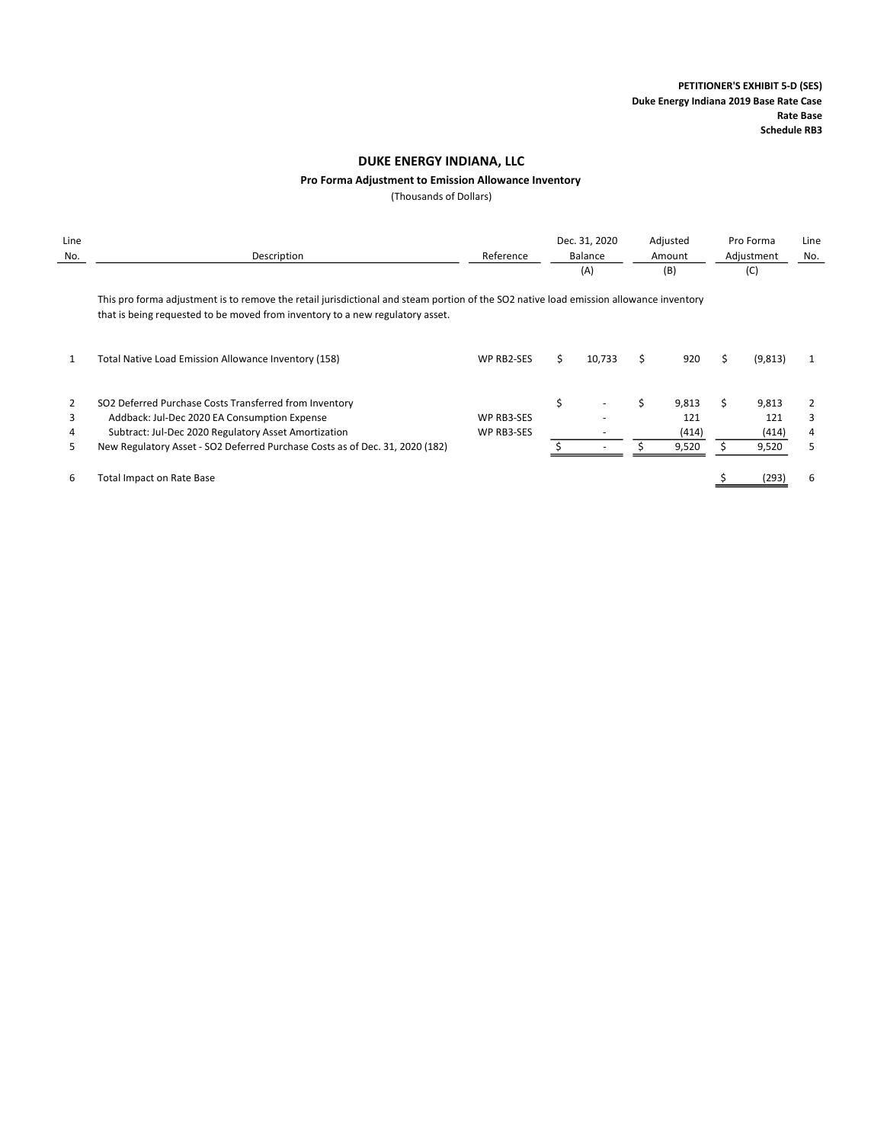#### Pro Forma Adjustment to Emission Allowance Inventory

(Thousands of Dollars)

| Line<br>No. | Description                                                                                                                                                                                                             | Reference         |    | Dec. 31, 2020<br>Balance<br>(A) |    | Adjusted<br>Amount<br>(B) |    | Pro Forma<br>Adjustment<br>(C) | Line<br>No. |
|-------------|-------------------------------------------------------------------------------------------------------------------------------------------------------------------------------------------------------------------------|-------------------|----|---------------------------------|----|---------------------------|----|--------------------------------|-------------|
|             | This pro forma adjustment is to remove the retail jurisdictional and steam portion of the SO2 native load emission allowance inventory<br>that is being requested to be moved from inventory to a new regulatory asset. |                   |    |                                 |    |                           |    |                                |             |
|             | Total Native Load Emission Allowance Inventory (158)                                                                                                                                                                    | <b>WP RB2-SES</b> | S. | 10,733                          | Ś. | 920                       | Š. | (9, 813)                       | 1           |
|             | SO2 Deferred Purchase Costs Transferred from Inventory                                                                                                                                                                  |                   | \$ |                                 |    | 9,813                     |    | 9,813                          | 2           |
|             | Addback: Jul-Dec 2020 EA Consumption Expense                                                                                                                                                                            | WP RB3-SES        |    |                                 |    | 121                       |    | 121                            | 3           |
|             | Subtract: Jul-Dec 2020 Regulatory Asset Amortization                                                                                                                                                                    | WP RB3-SES        |    |                                 |    | (414)                     |    | (414)                          | 4           |
| 5           | New Regulatory Asset - SO2 Deferred Purchase Costs as of Dec. 31, 2020 (182)                                                                                                                                            |                   |    |                                 |    | 9,520                     |    | 9,520                          | 5           |
| 6           | <b>Total Impact on Rate Base</b>                                                                                                                                                                                        |                   |    |                                 |    |                           |    | (293)                          | 6           |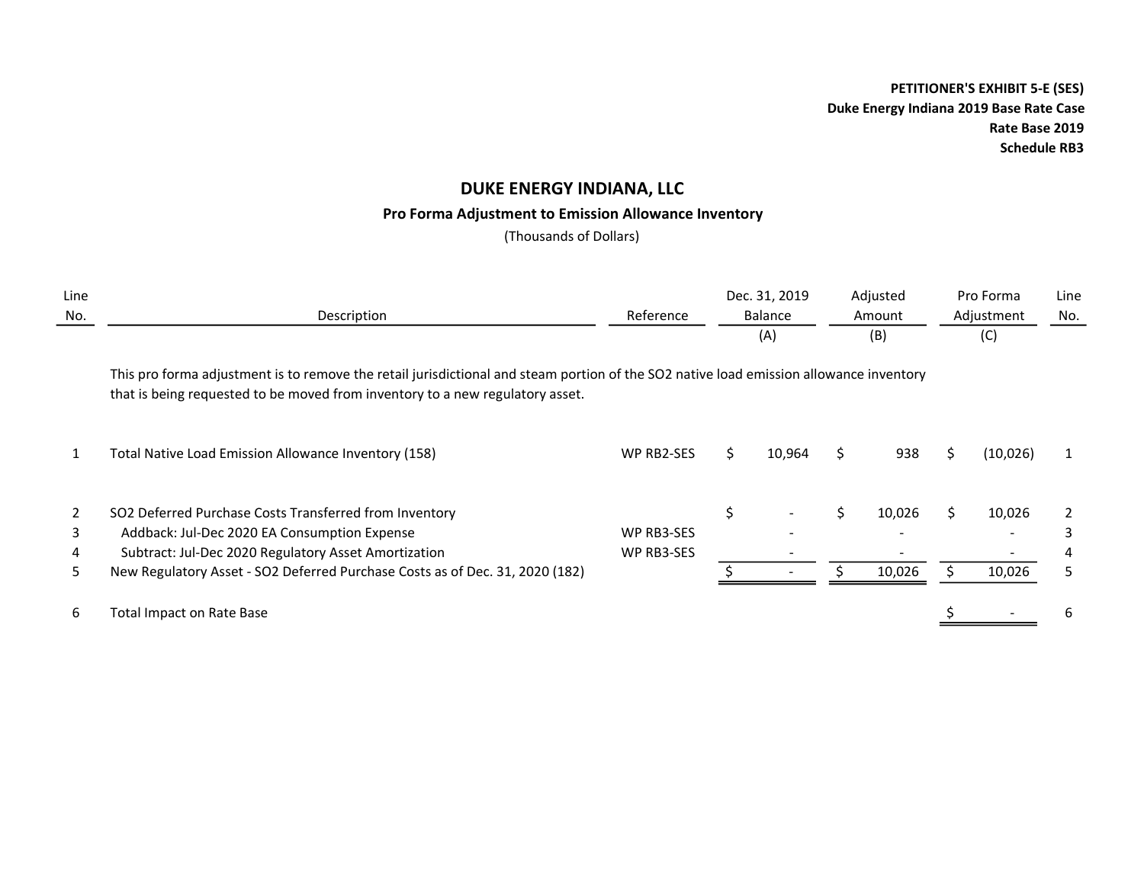## Pro Forma Adjustment to Emission Allowance Inventory

(Thousands of Dollars)

| Line<br>No. | Description                                                                                                                                                                                                             | Reference  |    | Dec. 31, 2019<br>Balance<br>(A) |   | Adjusted<br>Amount<br>(B) |   | Pro Forma<br>Adjustment<br>(C) | Line<br>No. |
|-------------|-------------------------------------------------------------------------------------------------------------------------------------------------------------------------------------------------------------------------|------------|----|---------------------------------|---|---------------------------|---|--------------------------------|-------------|
|             | This pro forma adjustment is to remove the retail jurisdictional and steam portion of the SO2 native load emission allowance inventory<br>that is being requested to be moved from inventory to a new regulatory asset. |            |    |                                 |   |                           |   |                                |             |
|             | Total Native Load Emission Allowance Inventory (158)                                                                                                                                                                    | WP RB2-SES | S  | 10,964                          | S | 938                       | ς | (10, 026)                      |             |
| 2           | SO2 Deferred Purchase Costs Transferred from Inventory                                                                                                                                                                  |            | \$ | $\overline{\phantom{a}}$        |   | 10,026                    |   | 10,026                         |             |
|             | Addback: Jul-Dec 2020 EA Consumption Expense                                                                                                                                                                            | WP RB3-SES |    |                                 |   |                           |   |                                |             |
| 4           | Subtract: Jul-Dec 2020 Regulatory Asset Amortization                                                                                                                                                                    | WP RB3-SES |    |                                 |   |                           |   |                                |             |
| 5           | New Regulatory Asset - SO2 Deferred Purchase Costs as of Dec. 31, 2020 (182)                                                                                                                                            |            |    |                                 |   | 10,026                    |   | 10,026                         | 5           |
| 6           | Total Impact on Rate Base                                                                                                                                                                                               |            |    |                                 |   |                           |   |                                | 6           |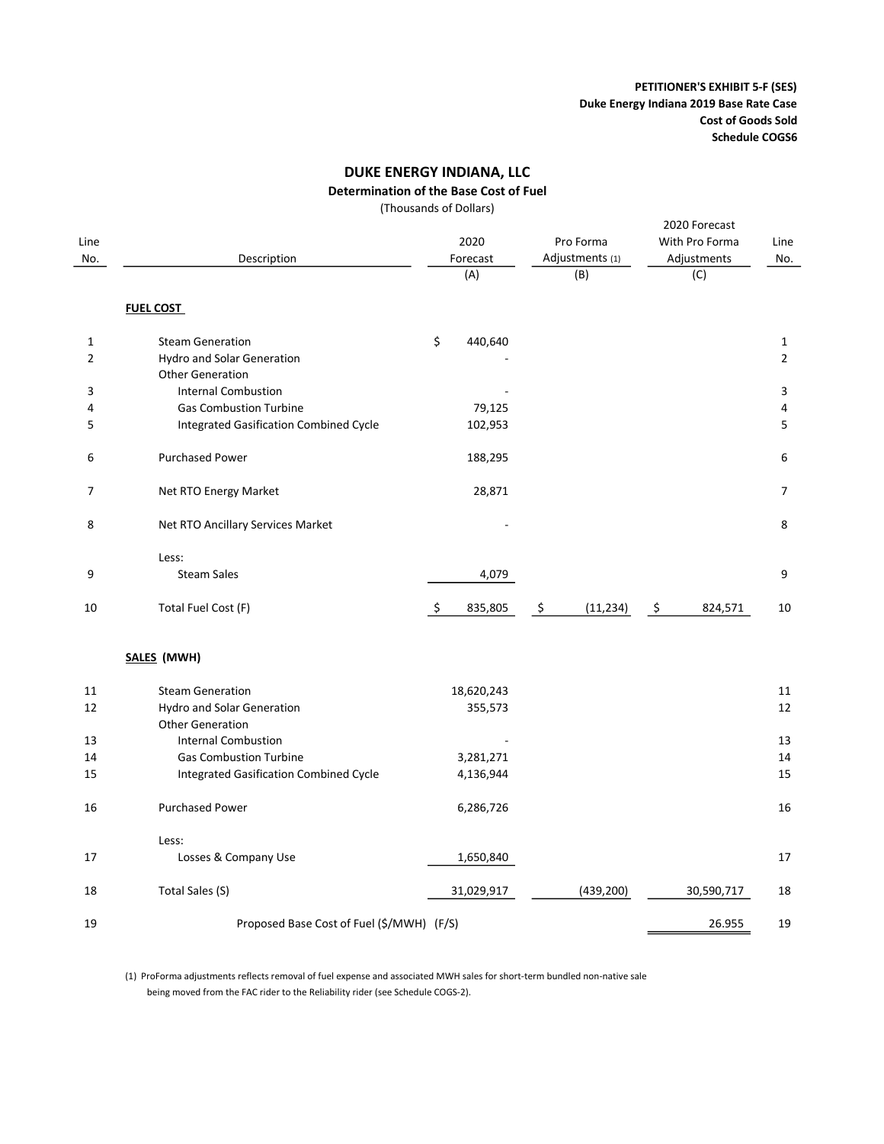#### Determination of the Base Cost of Fuel

(Thousands of Dollars)

| Line<br>No.    | Description                                   | 2020<br>Forecast<br>(A) | Pro Forma<br>Adjustments (1)<br>(B) | 2020 Forecast<br>With Pro Forma<br>Adjustments<br>(C) | Line<br>No.    |
|----------------|-----------------------------------------------|-------------------------|-------------------------------------|-------------------------------------------------------|----------------|
|                | <b>FUEL COST</b>                              |                         |                                     |                                                       |                |
| $\mathbf{1}$   | <b>Steam Generation</b>                       | \$<br>440,640           |                                     |                                                       | 1              |
| $\overline{2}$ | <b>Hydro and Solar Generation</b>             |                         |                                     |                                                       | $\overline{2}$ |
|                | <b>Other Generation</b>                       |                         |                                     |                                                       |                |
| 3              | <b>Internal Combustion</b>                    |                         |                                     |                                                       | 3              |
| 4              | <b>Gas Combustion Turbine</b>                 | 79,125                  |                                     |                                                       | 4              |
| 5              | <b>Integrated Gasification Combined Cycle</b> | 102,953                 |                                     |                                                       | 5              |
|                |                                               |                         |                                     |                                                       |                |
| 6              | <b>Purchased Power</b>                        | 188,295                 |                                     |                                                       | 6              |
| $\overline{7}$ | Net RTO Energy Market                         | 28,871                  |                                     |                                                       | 7              |
| 8              | Net RTO Ancillary Services Market             |                         |                                     |                                                       | 8              |
|                | Less:                                         |                         |                                     |                                                       |                |
| 9              | <b>Steam Sales</b>                            | 4,079                   |                                     |                                                       | 9              |
| 10             | Total Fuel Cost (F)                           | \$<br>835,805           | \$<br>(11, 234)                     | \$<br>824,571                                         | 10             |
|                | SALES (MWH)                                   |                         |                                     |                                                       |                |
| 11             | <b>Steam Generation</b>                       | 18,620,243              |                                     |                                                       | 11             |
| 12             | <b>Hydro and Solar Generation</b>             | 355,573                 |                                     |                                                       | 12             |
|                | <b>Other Generation</b>                       |                         |                                     |                                                       |                |
| 13             | <b>Internal Combustion</b>                    |                         |                                     |                                                       | 13             |
| 14             | <b>Gas Combustion Turbine</b>                 | 3,281,271               |                                     |                                                       | 14             |
| 15             | <b>Integrated Gasification Combined Cycle</b> | 4,136,944               |                                     |                                                       | 15             |
| 16             | <b>Purchased Power</b>                        | 6,286,726               |                                     |                                                       | 16             |
|                | Less:                                         |                         |                                     |                                                       |                |
| 17             | Losses & Company Use                          | 1,650,840               |                                     |                                                       | 17             |
| 18             | Total Sales (S)                               | 31,029,917              | (439, 200)                          | 30,590,717                                            | 18             |
| 19             | Proposed Base Cost of Fuel (\$/MWH) (F/S)     |                         |                                     | 26.955                                                | 19             |

(1) ProForma adjustments reflects removal of fuel expense and associated MWH sales for short-term bundled non-native sale being moved from the FAC rider to the Reliability rider (see Schedule COGS-2).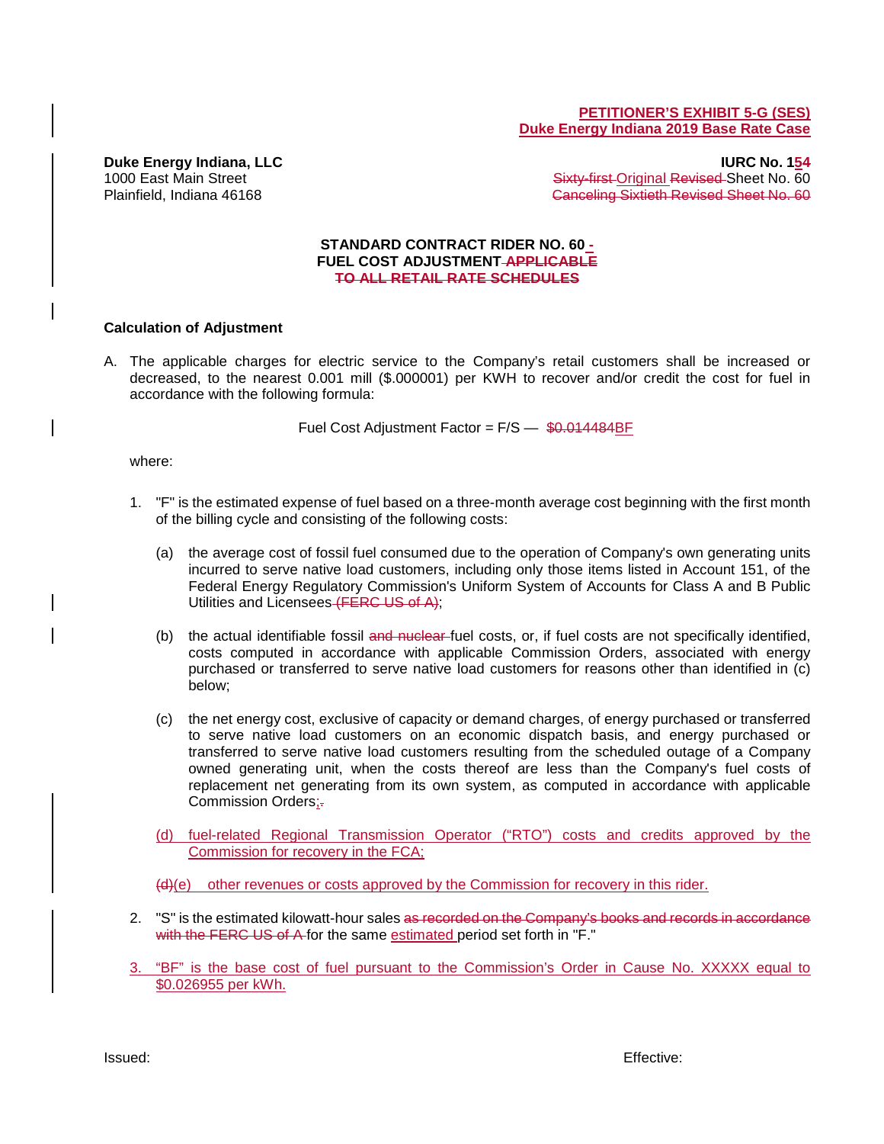#### **PETITIONER'S EXHIBIT 5-G (SES) Duke Energy Indiana 2019 Base Rate Case**

**Duke Energy Indiana, LLC IURC No. 154** 1000 East Main Street Sheet Sheet Sheet Sheet Sheet No. 60 Plainfield, Indiana 46168 Canceling Sixtieth Revised Sheet No. 60

#### **STANDARD CONTRACT RIDER NO. 60 - FUEL COST ADJUSTMENT APPLICABLE TO ALL RETAIL RATE SCHEDULES**

### **Calculation of Adjustment**

A. The applicable charges for electric service to the Company's retail customers shall be increased or decreased, to the nearest 0.001 mill (\$.000001) per KWH to recover and/or credit the cost for fuel in accordance with the following formula:

Fuel Cost Adjustment Factor = F/S - \$0.014484BF

where:

- 1. "F" is the estimated expense of fuel based on a three-month average cost beginning with the first month of the billing cycle and consisting of the following costs:
	- (a) the average cost of fossil fuel consumed due to the operation of Company's own generating units incurred to serve native load customers, including only those items listed in Account 151, of the Federal Energy Regulatory Commission's Uniform System of Accounts for Class A and B Public Utilities and Licensees (FERC US of A);
	- (b) the actual identifiable fossil and nuclear fuel costs, or, if fuel costs are not specifically identified, costs computed in accordance with applicable Commission Orders, associated with energy purchased or transferred to serve native load customers for reasons other than identified in (c) below;
	- (c) the net energy cost, exclusive of capacity or demand charges, of energy purchased or transferred to serve native load customers on an economic dispatch basis, and energy purchased or transferred to serve native load customers resulting from the scheduled outage of a Company owned generating unit, when the costs thereof are less than the Company's fuel costs of replacement net generating from its own system, as computed in accordance with applicable Commission Orders:
	- (d) fuel-related Regional Transmission Operator ("RTO") costs and credits approved by the Commission for recovery in the FCA;

(d)(e) other revenues or costs approved by the Commission for recovery in this rider.

- 2. "S" is the estimated kilowatt-hour sales as recorded on the Company's books and records in accordance with the FERC US of A for the same estimated period set forth in "F."
- 3. "BF" is the base cost of fuel pursuant to the Commission's Order in Cause No. XXXXX equal to \$0.026955 per kWh.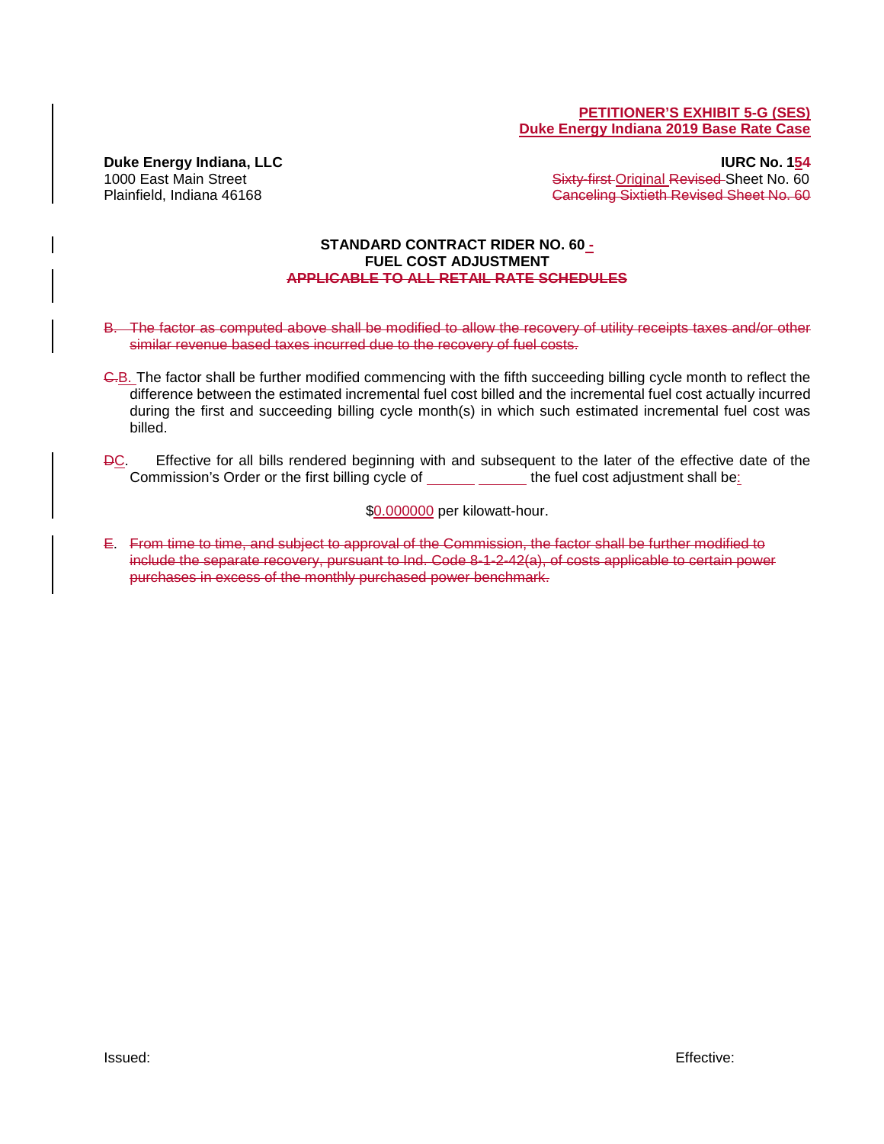#### **PETITIONER'S EXHIBIT 5-G (SES) Duke Energy Indiana 2019 Base Rate Case**

**Duke Energy Indiana, LLC IURC No. 154** 1000 East Main Street Sheet Sheet Sheet Sheet Sheet No. 60 Plainfield, Indiana 46168 Canceling Sixtieth Revised Sheet No. 60

#### **STANDARD CONTRACT RIDER NO. 60 - FUEL COST ADJUSTMENT APPLICABLE TO ALL RETAIL RATE SCHEDULES**

- B. The factor as computed above shall be modified to allow the recovery of utility receipts taxes and/or other similar revenue based taxes incurred due to the recovery of fuel costs.
- C.B. The factor shall be further modified commencing with the fifth succeeding billing cycle month to reflect the difference between the estimated incremental fuel cost billed and the incremental fuel cost actually incurred during the first and succeeding billing cycle month(s) in which such estimated incremental fuel cost was billed.
- DC. Effective for all bills rendered beginning with and subsequent to the later of the effective date of the Commission's Order or the first billing cycle of the fuel cost adjustment shall be:

\$0.000000 per kilowatt-hour.

E. From time to time, and subject to approval of the Commission, the factor shall be further modified to include the separate recovery, pursuant to Ind. Code 8-1-2-42(a), of costs applicable to certain power purchases in excess of the monthly purchased power benchmark.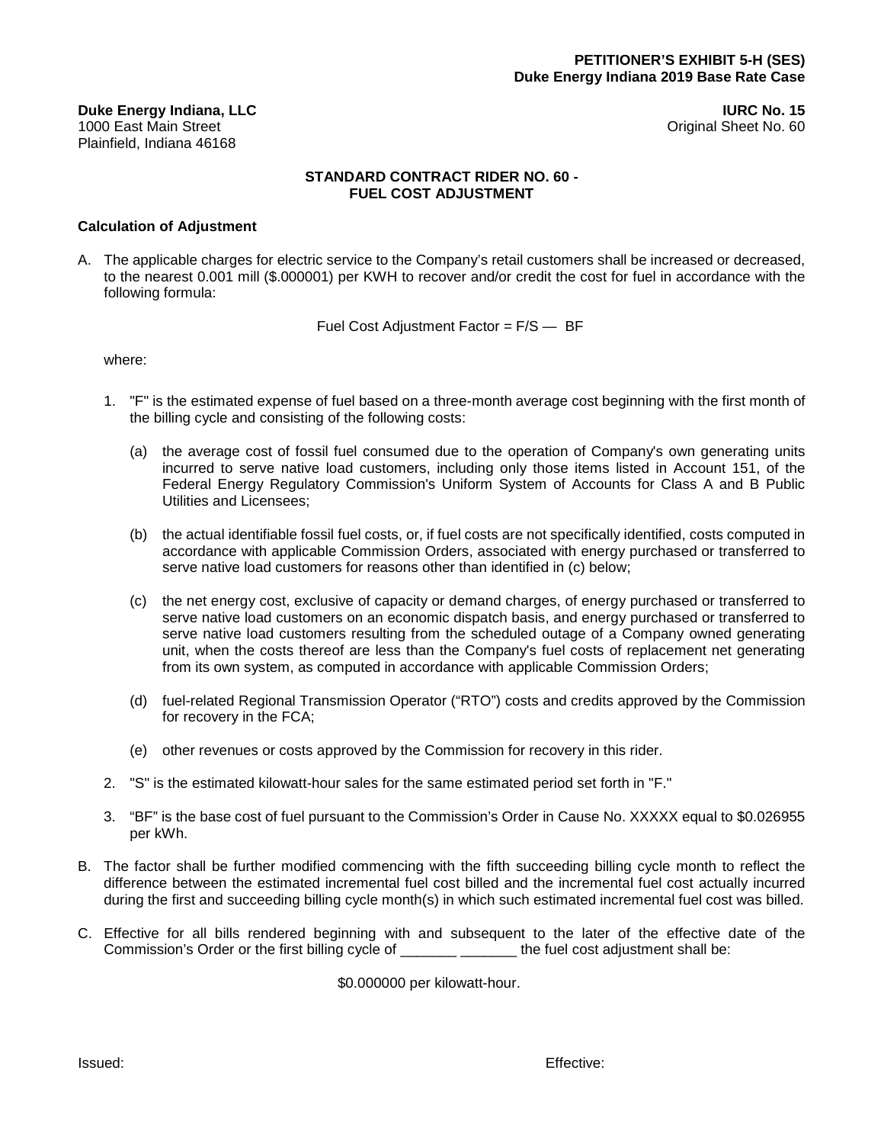**Duke Energy Indiana, LLC IURC No. 15** Plainfield, Indiana 46168

Original Sheet No. 60

### **STANDARD CONTRACT RIDER NO. 60 - FUEL COST ADJUSTMENT**

### **Calculation of Adjustment**

A. The applicable charges for electric service to the Company's retail customers shall be increased or decreased, to the nearest 0.001 mill (\$.000001) per KWH to recover and/or credit the cost for fuel in accordance with the following formula:

Fuel Cost Adjustment Factor = F/S — BF

where:

- 1. "F" is the estimated expense of fuel based on a three-month average cost beginning with the first month of the billing cycle and consisting of the following costs:
	- (a) the average cost of fossil fuel consumed due to the operation of Company's own generating units incurred to serve native load customers, including only those items listed in Account 151, of the Federal Energy Regulatory Commission's Uniform System of Accounts for Class A and B Public Utilities and Licensees;
	- (b) the actual identifiable fossil fuel costs, or, if fuel costs are not specifically identified, costs computed in accordance with applicable Commission Orders, associated with energy purchased or transferred to serve native load customers for reasons other than identified in (c) below;
	- (c) the net energy cost, exclusive of capacity or demand charges, of energy purchased or transferred to serve native load customers on an economic dispatch basis, and energy purchased or transferred to serve native load customers resulting from the scheduled outage of a Company owned generating unit, when the costs thereof are less than the Company's fuel costs of replacement net generating from its own system, as computed in accordance with applicable Commission Orders;
	- (d) fuel-related Regional Transmission Operator ("RTO") costs and credits approved by the Commission for recovery in the FCA;
	- (e) other revenues or costs approved by the Commission for recovery in this rider.
- 2. "S" is the estimated kilowatt-hour sales for the same estimated period set forth in "F."
- 3. "BF" is the base cost of fuel pursuant to the Commission's Order in Cause No. XXXXX equal to \$0.026955 per kWh.
- B. The factor shall be further modified commencing with the fifth succeeding billing cycle month to reflect the difference between the estimated incremental fuel cost billed and the incremental fuel cost actually incurred during the first and succeeding billing cycle month(s) in which such estimated incremental fuel cost was billed.
- C. Effective for all bills rendered beginning with and subsequent to the later of the effective date of the Commission's Order or the first billing cycle of \_\_\_\_\_\_\_\_\_\_\_\_\_\_\_\_\_\_\_\_\_ the fuel cost adjustment shall be:

\$0.000000 per kilowatt-hour.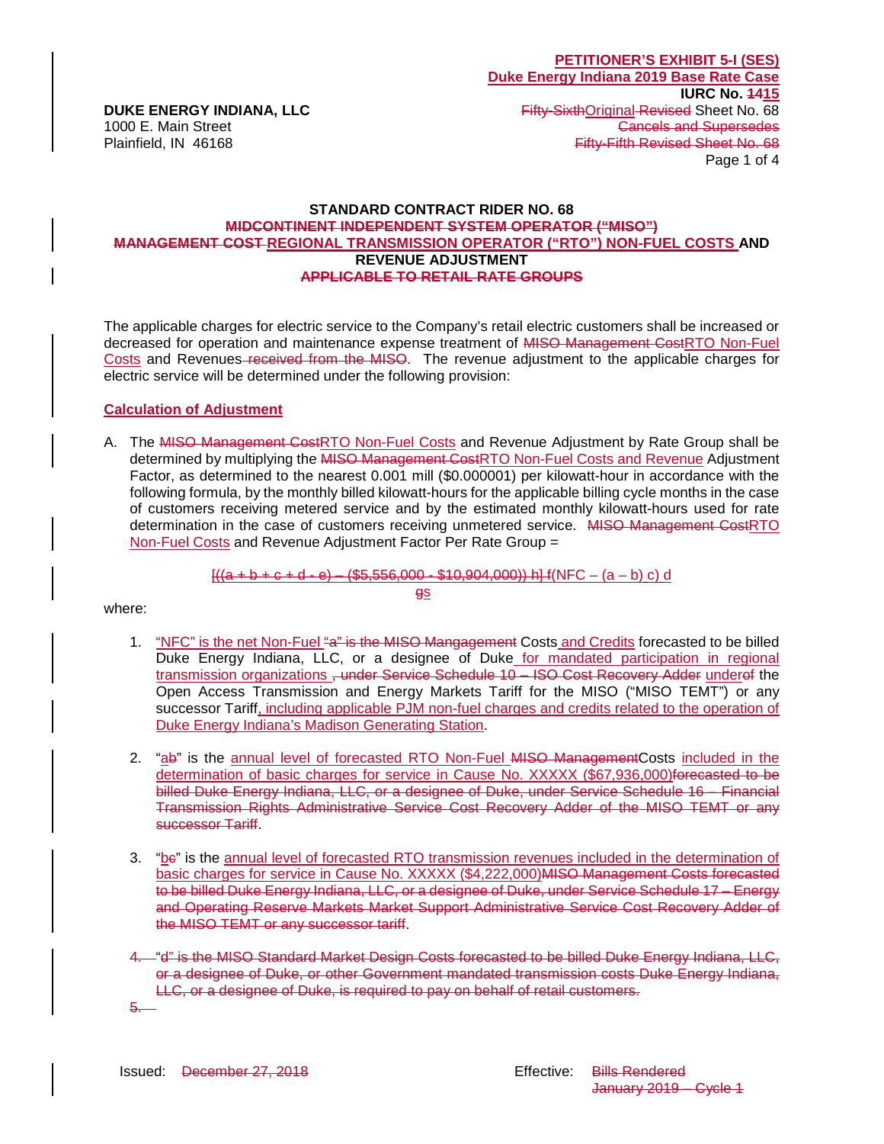### **STANDARD CONTRACT RIDER NO. 68 MIDCONTINENT INDEPENDENT SYSTEM OPERATOR ("MISO") MANAGEMENT COST REGIONAL TRANSMISSION OPERATOR ("RTO") NON-FUEL COSTS AND REVENUE ADJUSTMENT APPLICABLE TO RETAIL RATE GROUPS**

The applicable charges for electric service to the Company's retail electric customers shall be increased or decreased for operation and maintenance expense treatment of MISO Management CostRTO Non-Fuel Costs and Revenues-received from the MISO. The revenue adjustment to the applicable charges for electric service will be determined under the following provision:

### **Calculation of Adjustment**

A. The MISO Management CostRTO Non-Fuel Costs and Revenue Adjustment by Rate Group shall be determined by multiplying the MISO Management CostRTO Non-Fuel Costs and Revenue Adjustment Factor, as determined to the nearest 0.001 mill (\$0.000001) per kilowatt-hour in accordance with the following formula, by the monthly billed kilowatt-hours for the applicable billing cycle months in the case of customers receiving metered service and by the estimated monthly kilowatt-hours used for rate determination in the case of customers receiving unmetered service. MISO Management CostRTO Non-Fuel Costs and Revenue Adjustment Factor Per Rate Group =

> $[((a + b + c + d - e) - (\$5,556,000 - \$10,904,000))]$  h]  $f(NFC - (a - b) c) d$ gs

where:

- 1. "NFC" is the net Non-Fuel "a" is the MISO Mangagement Costs and Credits forecasted to be billed Duke Energy Indiana, LLC, or a designee of Duke for mandated participation in regional transmission organizations, under Service Schedule 10 - ISO Cost Recovery Adder underef the Open Access Transmission and Energy Markets Tariff for the MISO ("MISO TEMT") or any successor Tariff, including applicable PJM non-fuel charges and credits related to the operation of Duke Energy Indiana's Madison Generating Station.
- 2. "ab" is the annual level of forecasted RTO Non-Fuel MISO Management Costs included in the determination of basic charges for service in Cause No. XXXXX (\$67,936,000)forecasted to be billed Duke Energy Indiana, LLC, or a designee of Duke, under Service Schedule 16 – Financial Transmission Rights Administrative Service Cost Recovery Adder of the MISO TEMT or any successor Tariff.
- 3. "bc" is the annual level of forecasted RTO transmission revenues included in the determination of basic charges for service in Cause No. XXXXX (\$4,222,000)MISO Management Costs forecasted to be billed Duke Energy Indiana, LLC, or a designee of Duke, under Service Schedule 17 – Energy and Operating Reserve Markets Market Support Administrative Service Cost Recovery Adder of the MISO TEMT or any successor tariff.
- 4. "d" is the MISO Standard Market Design Costs forecasted to be billed Duke Energy Indiana, LLC, or a designee of Duke, or other Government mandated transmission costs Duke Energy Indiana, LLC, or a designee of Duke, is required to pay on behalf of retail customers.

5.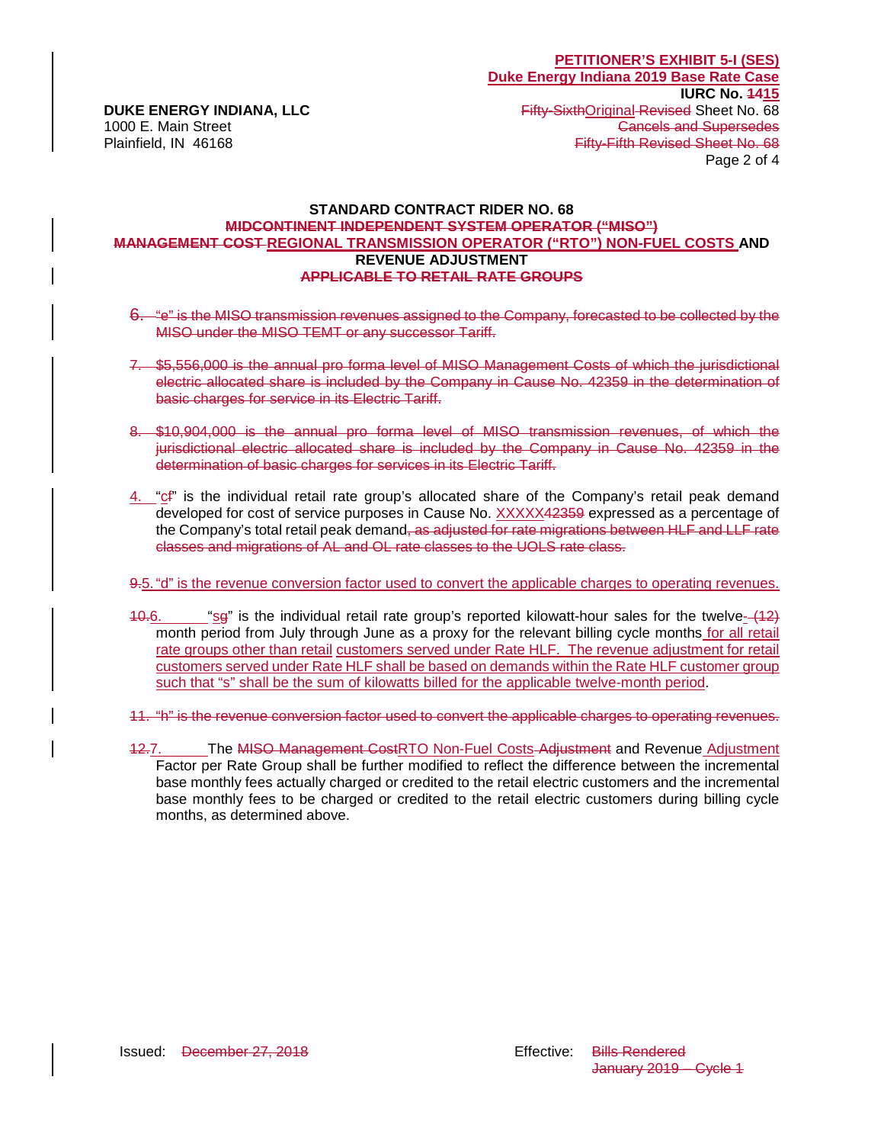### **STANDARD CONTRACT RIDER NO. 68 MIDCONTINENT INDEPENDENT SYSTEM OPERATOR ("MISO") MANAGEMENT COST REGIONAL TRANSMISSION OPERATOR ("RTO") NON-FUEL COSTS AND REVENUE ADJUSTMENT APPLICABLE TO RETAIL RATE GROUPS**

- 6. "e" is the MISO transmission revenues assigned to the Company, forecasted to be collected by the MISO under the MISO TEMT or any successor Tariff.
- 7. \$5,556,000 is the annual pro forma level of MISO Management Costs of which the jurisdictional electric allocated share is included by the Company in Cause No. 42359 in the determination of basic charges for service in its Electric Tariff.
- 8. \$10,904,000 is the annual pro forma level of MISO transmission revenues, of which the jurisdictional electric allocated share is included by the Company in Cause No. 42359 in the determination of basic charges for services in its Electric Tariff.
- 4. "cf" is the individual retail rate group's allocated share of the Company's retail peak demand developed for cost of service purposes in Cause No. XXXXX42359 expressed as a percentage of the Company's total retail peak demand<del>, as adjusted for rate migrations between HLF and LLF rate</del> classes and migrations of AL and OL rate classes to the UOLS rate class.

#### 9.5. "d" is the revenue conversion factor used to convert the applicable charges to operating revenues.

- $10.6$ . "sg" is the individual retail rate group's reported kilowatt-hour sales for the twelve- $(12)$ month period from July through June as a proxy for the relevant billing cycle months for all retail rate groups other than retail customers served under Rate HLF. The revenue adjustment for retail customers served under Rate HLF shall be based on demands within the Rate HLF customer group such that "s" shall be the sum of kilowatts billed for the applicable twelve-month period.
- 11. "h" is the revenue conversion factor used to convert the applicable charges to operating revenues.
- 12.7. The MISO Management CostRTO Non-Fuel Costs-Adjustment and Revenue Adjustment Factor per Rate Group shall be further modified to reflect the difference between the incremental base monthly fees actually charged or credited to the retail electric customers and the incremental base monthly fees to be charged or credited to the retail electric customers during billing cycle months, as determined above.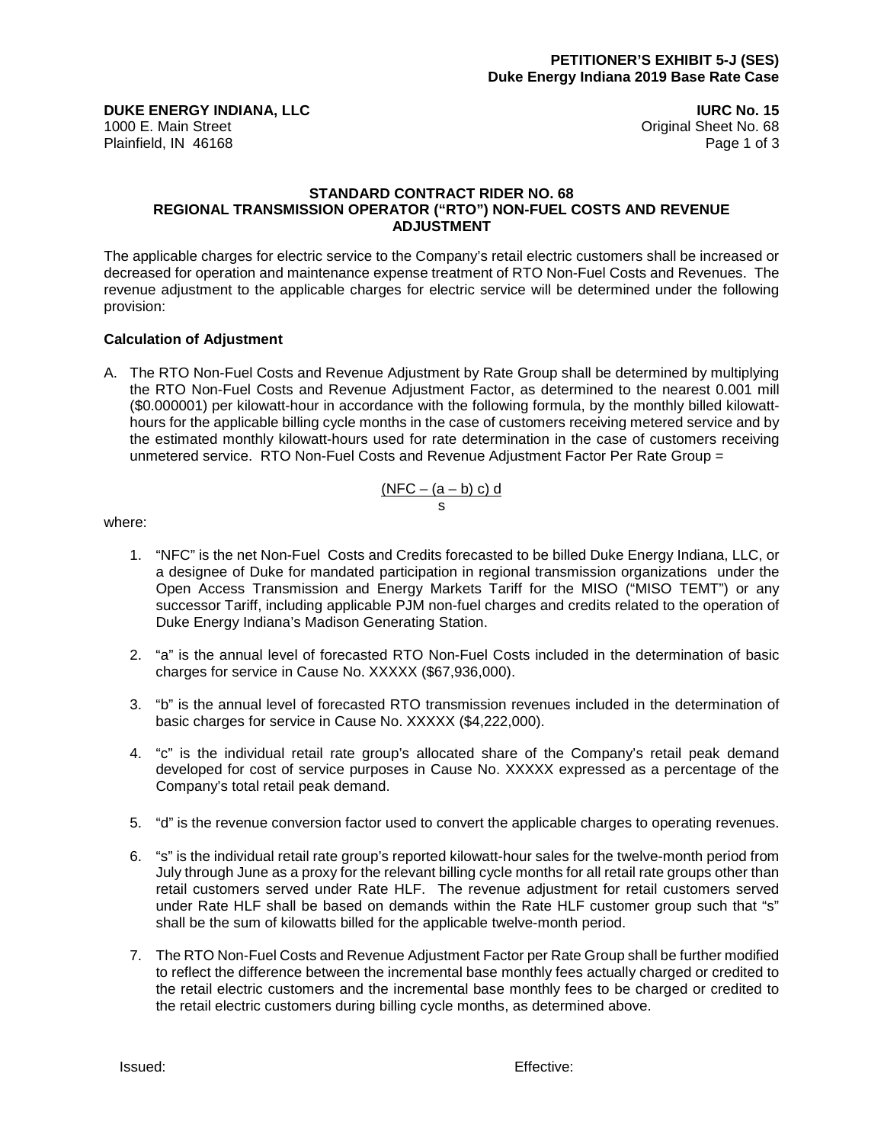**DUKE ENERGY INDIANA, LLC IURC No. 15** 1000 E. Main Street **Drawing Street Community** Community Community Community Community Community Community Community Community Community Community Community Community Community Community Community Community Community Commu

Plainfield, IN 46168 Page 1 of 3

### **STANDARD CONTRACT RIDER NO. 68 REGIONAL TRANSMISSION OPERATOR ("RTO") NON-FUEL COSTS AND REVENUE ADJUSTMENT**

The applicable charges for electric service to the Company's retail electric customers shall be increased or decreased for operation and maintenance expense treatment of RTO Non-Fuel Costs and Revenues. The revenue adjustment to the applicable charges for electric service will be determined under the following provision:

### **Calculation of Adjustment**

A. The RTO Non-Fuel Costs and Revenue Adjustment by Rate Group shall be determined by multiplying the RTO Non-Fuel Costs and Revenue Adjustment Factor, as determined to the nearest 0.001 mill (\$0.000001) per kilowatt-hour in accordance with the following formula, by the monthly billed kilowatthours for the applicable billing cycle months in the case of customers receiving metered service and by the estimated monthly kilowatt-hours used for rate determination in the case of customers receiving unmetered service. RTO Non-Fuel Costs and Revenue Adjustment Factor Per Rate Group =

$$
\frac{(NFC - (a - b) c) d}{s}
$$

where:

- 1. "NFC" is the net Non-Fuel Costs and Credits forecasted to be billed Duke Energy Indiana, LLC, or a designee of Duke for mandated participation in regional transmission organizations under the Open Access Transmission and Energy Markets Tariff for the MISO ("MISO TEMT") or any successor Tariff, including applicable PJM non-fuel charges and credits related to the operation of Duke Energy Indiana's Madison Generating Station.
- 2. "a" is the annual level of forecasted RTO Non-Fuel Costs included in the determination of basic charges for service in Cause No. XXXXX (\$67,936,000).
- 3. "b" is the annual level of forecasted RTO transmission revenues included in the determination of basic charges for service in Cause No. XXXXX (\$4,222,000).
- 4. "c" is the individual retail rate group's allocated share of the Company's retail peak demand developed for cost of service purposes in Cause No. XXXXX expressed as a percentage of the Company's total retail peak demand.
- 5. "d" is the revenue conversion factor used to convert the applicable charges to operating revenues.
- 6. "s" is the individual retail rate group's reported kilowatt-hour sales for the twelve-month period from July through June as a proxy for the relevant billing cycle months for all retail rate groups other than retail customers served under Rate HLF. The revenue adjustment for retail customers served under Rate HLF shall be based on demands within the Rate HLF customer group such that "s" shall be the sum of kilowatts billed for the applicable twelve-month period.
- 7. The RTO Non-Fuel Costs and Revenue Adjustment Factor per Rate Group shall be further modified to reflect the difference between the incremental base monthly fees actually charged or credited to the retail electric customers and the incremental base monthly fees to be charged or credited to the retail electric customers during billing cycle months, as determined above.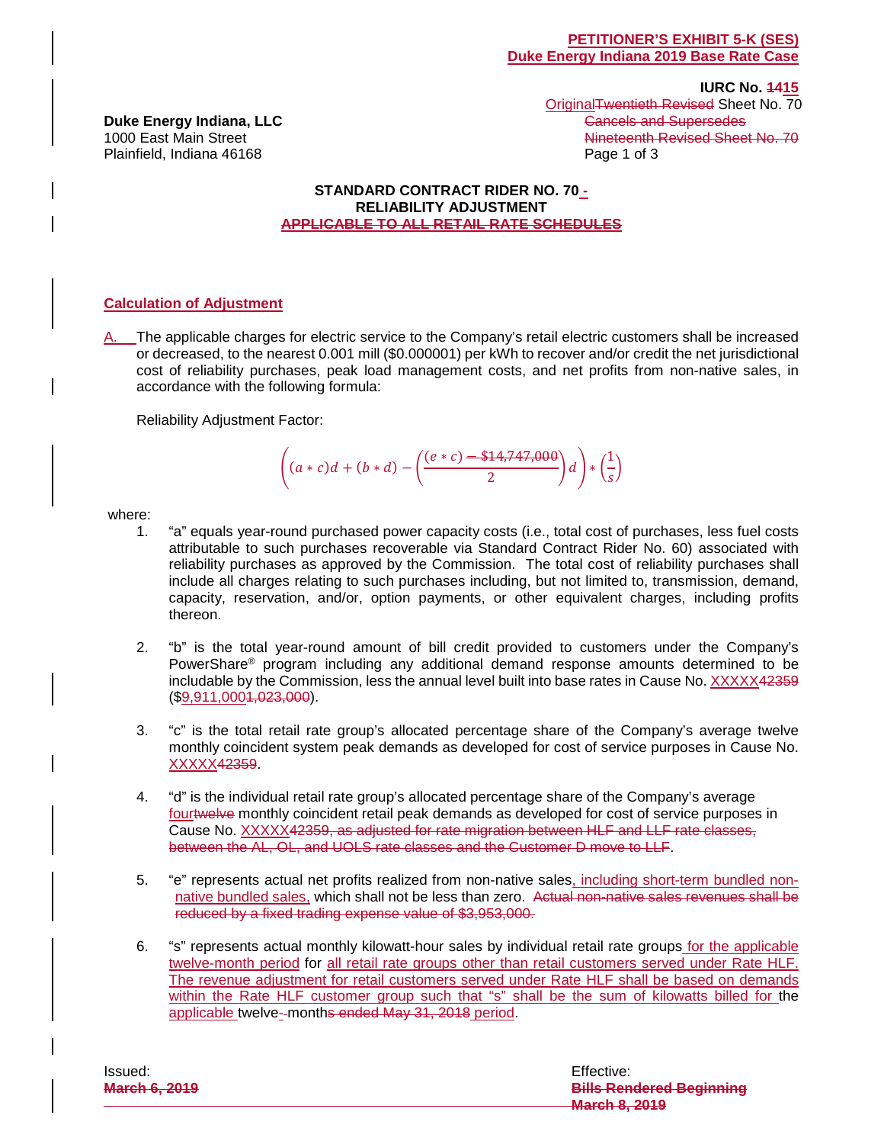**Duke Energy Indiana, LLC**<br>1000 East Main Street Plainfield, Indiana 46168 Page 1 of 3

 **IURC No. 1415** OriginalTwentieth Revised Sheet No. 70<br>Cancels and Supersedes Nineteenth Revised Sheet No. 70

### **STANDARD CONTRACT RIDER NO. 70 - RELIABILITY ADJUSTMENT APPLICABLE TO ALL RETAIL RATE SCHEDULES**

### **Calculation of Adjustment**

A. The applicable charges for electric service to the Company's retail electric customers shall be increased or decreased, to the nearest 0.001 mill (\$0.000001) per kWh to recover and/or credit the net jurisdictional cost of reliability purchases, peak load management costs, and net profits from non-native sales, in accordance with the following formula:

Reliability Adjustment Factor:

$$
\left( (a*c)d + (b*d) - \left( \frac{(e*c) - \${14,747,000}}{2} \right)d \right) * \left( \frac{1}{s} \right)
$$

where:

- 1. "a" equals year-round purchased power capacity costs (i.e., total cost of purchases, less fuel costs attributable to such purchases recoverable via Standard Contract Rider No. 60) associated with reliability purchases as approved by the Commission. The total cost of reliability purchases shall include all charges relating to such purchases including, but not limited to, transmission, demand, capacity, reservation, and/or, option payments, or other equivalent charges, including profits thereon.
- 2. "b" is the total year-round amount of bill credit provided to customers under the Company's PowerShare® program including any additional demand response amounts determined to be includable by the Commission, less the annual level built into base rates in Cause No. XXXXX42359  $($9,911,0001,023,000)$ .
- 3. "c" is the total retail rate group's allocated percentage share of the Company's average twelve monthly coincident system peak demands as developed for cost of service purposes in Cause No. XXXXX42359.
- 4. "d" is the individual retail rate group's allocated percentage share of the Company's average fourtwelve monthly coincident retail peak demands as developed for cost of service purposes in Cause No. XXXXX42359, as adjusted for rate migration between HLF and LLF rate classes, between the AL, OL, and UOLS rate classes and the Customer D move to LLF.
- 5. "e" represents actual net profits realized from non-native sales, including short-term bundled nonnative bundled sales, which shall not be less than zero. Actual non-native sales revenues shall be reduced by a fixed trading expense value of \$3,953,000.
- 6. "s" represents actual monthly kilowatt-hour sales by individual retail rate groups for the applicable twelve-month period for all retail rate groups other than retail customers served under Rate HLF. The revenue adjustment for retail customers served under Rate HLF shall be based on demands within the Rate HLF customer group such that "s" shall be the sum of kilowatts billed for the applicable twelve-months ended May 31, 2018 period.

| lssued:              | Effective:                      |
|----------------------|---------------------------------|
| <b>March 6, 2019</b> | <b>Bills Rendered Beginning</b> |
|                      | March & 2010<br>MURIUM VI AV IV |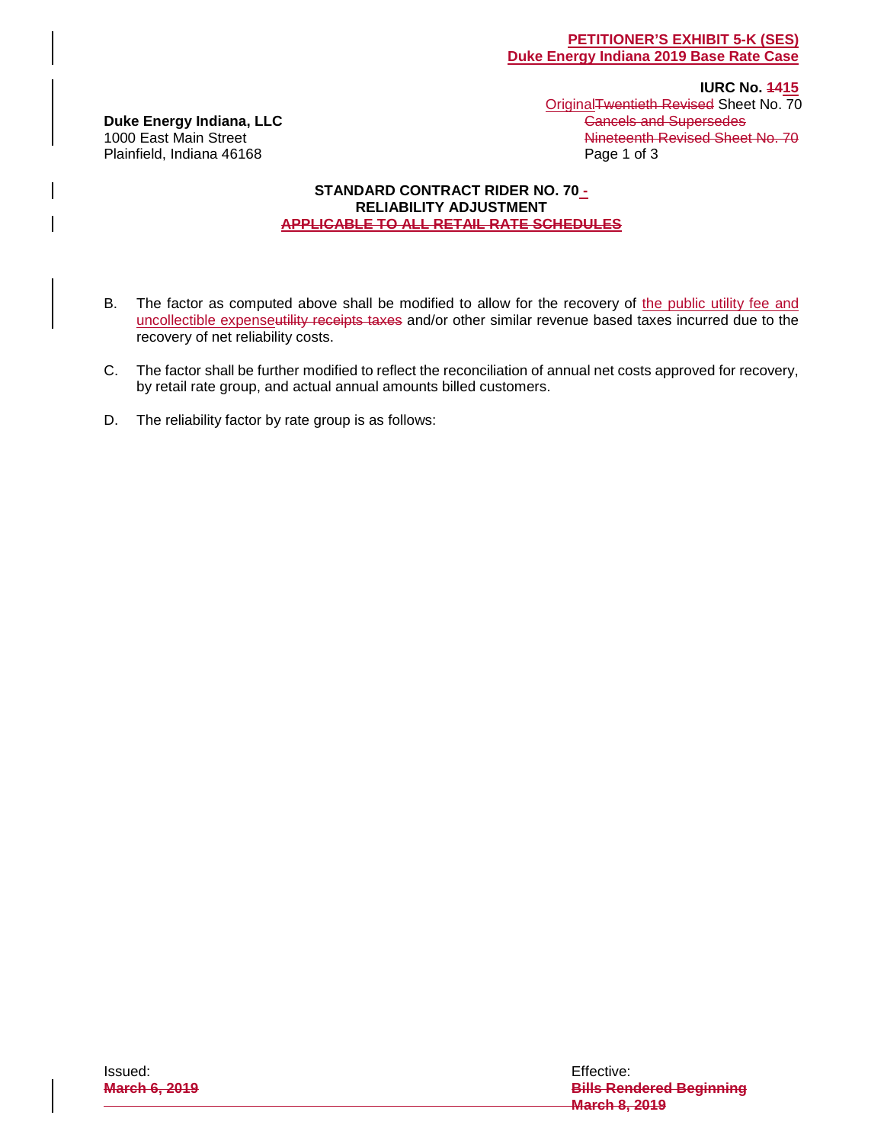**Duke Energy Indiana, LLC**<br>1000 East Main Street Plainfield, Indiana 46168 Page 1 of 3

**IURC No. 4415** OriginalTwentieth Revised Sheet No. 70<br>Cancels and Supersedes Nineteenth Revised Sheet No. 70

### **STANDARD CONTRACT RIDER NO. 70 - RELIABILITY ADJUSTMENT APPLICABLE TO ALL RETAIL RATE SCHEDULES**

- B. The factor as computed above shall be modified to allow for the recovery of the public utility fee and uncollectible expenseutility receipts taxes and/or other similar revenue based taxes incurred due to the recovery of net reliability costs.
- C. The factor shall be further modified to reflect the reconciliation of annual net costs approved for recovery, by retail rate group, and actual annual amounts billed customers.
- D. The reliability factor by rate group is as follows: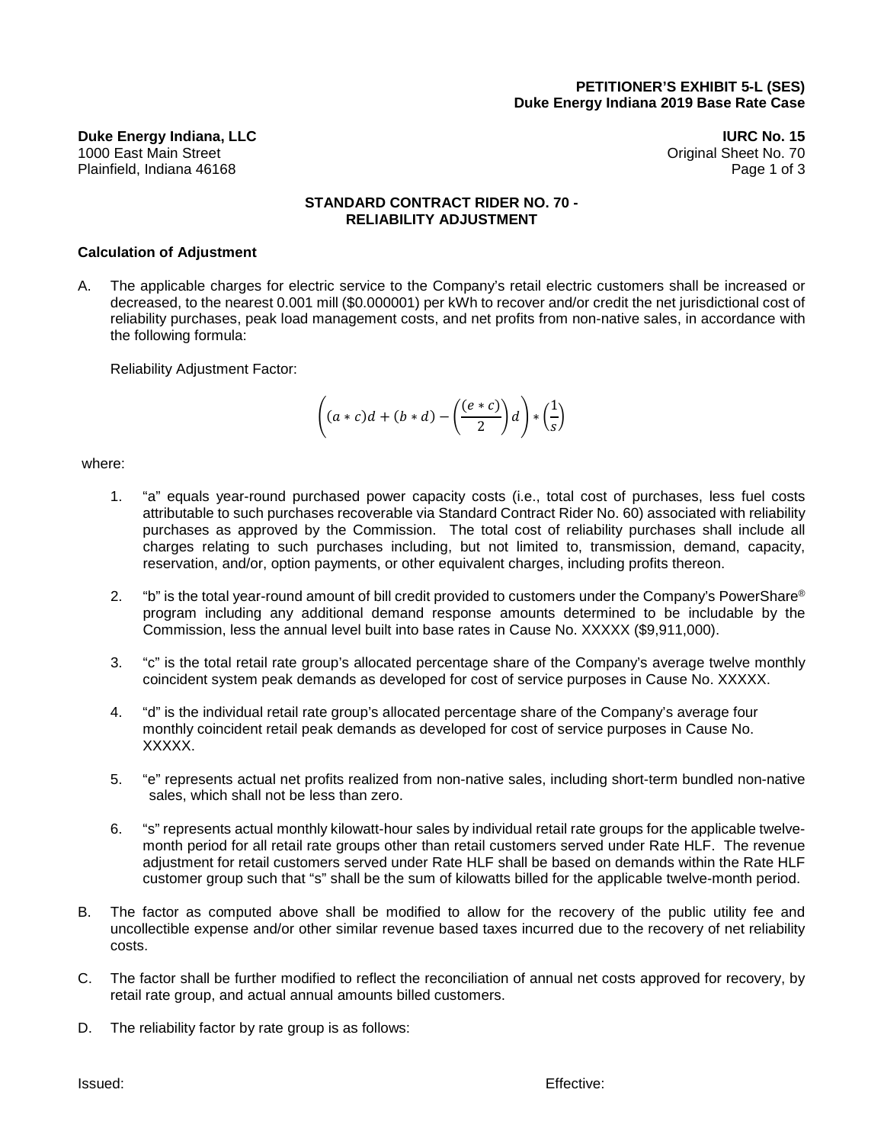**Duke Energy Indiana, LLC IURC No. 15** 1000 East Main Street Original Sheet No. 70 Plainfield, Indiana 46168 Page 1 of 3

### **STANDARD CONTRACT RIDER NO. 70 - RELIABILITY ADJUSTMENT**

### **Calculation of Adjustment**

A. The applicable charges for electric service to the Company's retail electric customers shall be increased or decreased, to the nearest 0.001 mill (\$0.000001) per kWh to recover and/or credit the net jurisdictional cost of reliability purchases, peak load management costs, and net profits from non-native sales, in accordance with the following formula:

Reliability Adjustment Factor:

$$
\left((a*c)d + (b*d) - \left(\frac{(e*c)}{2}\right)d\right)*\left(\frac{1}{s}\right)
$$

### where:

- 1. "a" equals year-round purchased power capacity costs (i.e., total cost of purchases, less fuel costs attributable to such purchases recoverable via Standard Contract Rider No. 60) associated with reliability purchases as approved by the Commission. The total cost of reliability purchases shall include all charges relating to such purchases including, but not limited to, transmission, demand, capacity, reservation, and/or, option payments, or other equivalent charges, including profits thereon.
- 2. "b" is the total year-round amount of bill credit provided to customers under the Company's PowerShare® program including any additional demand response amounts determined to be includable by the Commission, less the annual level built into base rates in Cause No. XXXXX (\$9,911,000).
- 3. "c" is the total retail rate group's allocated percentage share of the Company's average twelve monthly coincident system peak demands as developed for cost of service purposes in Cause No. XXXXX.
- 4. "d" is the individual retail rate group's allocated percentage share of the Company's average four monthly coincident retail peak demands as developed for cost of service purposes in Cause No. XXXXX.
- 5. "e" represents actual net profits realized from non-native sales, including short-term bundled non-native sales, which shall not be less than zero.
- 6. "s" represents actual monthly kilowatt-hour sales by individual retail rate groups for the applicable twelvemonth period for all retail rate groups other than retail customers served under Rate HLF. The revenue adjustment for retail customers served under Rate HLF shall be based on demands within the Rate HLF customer group such that "s" shall be the sum of kilowatts billed for the applicable twelve-month period.
- B. The factor as computed above shall be modified to allow for the recovery of the public utility fee and uncollectible expense and/or other similar revenue based taxes incurred due to the recovery of net reliability costs.
- C. The factor shall be further modified to reflect the reconciliation of annual net costs approved for recovery, by retail rate group, and actual annual amounts billed customers.
- D. The reliability factor by rate group is as follows: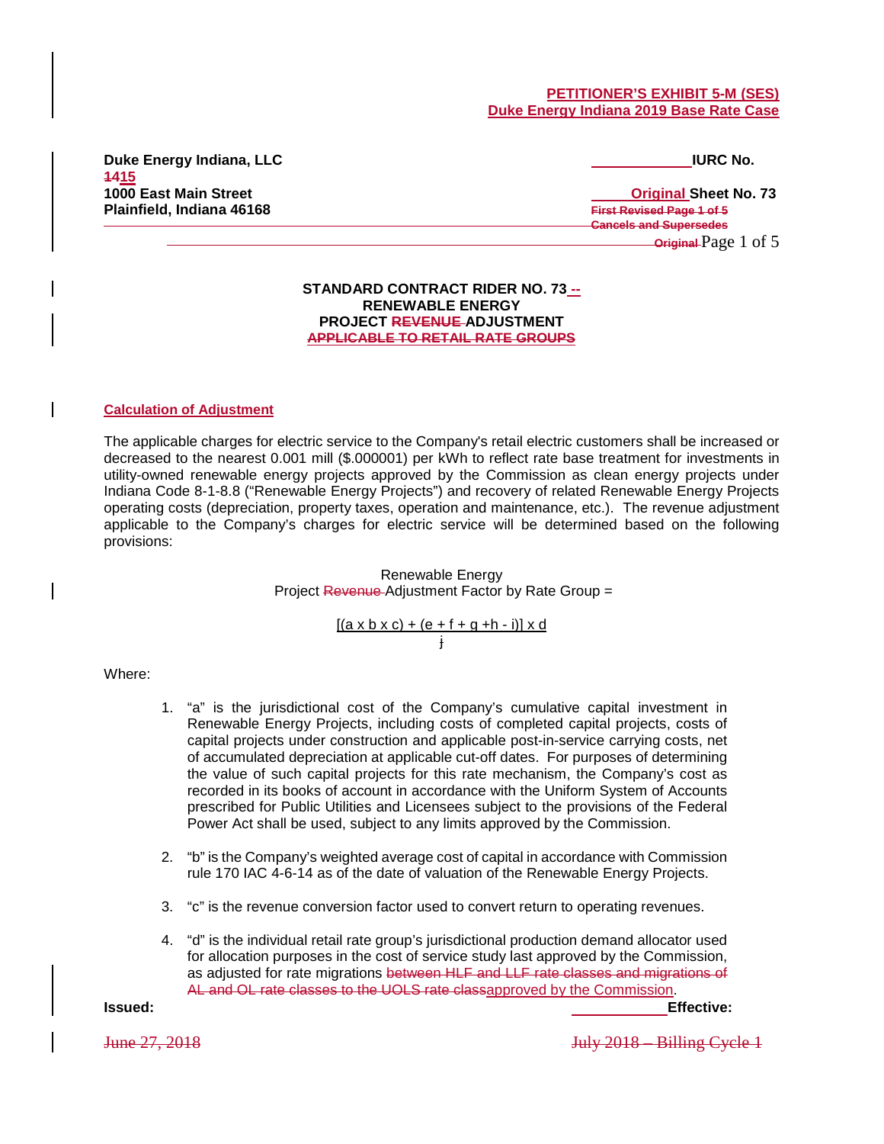### **PETITIONER'S EXHIBIT 5-M (SES) Duke Energy Indiana 2019 Base Rate Case**

**Duke Energy Indiana, LLC IURC No. 1415 1000 East Main Street Contract Contract Contract Contract Contract Contract Contract Contract Contract Contract Contract Contract Contract Contract Contract Contract Contract Contract Contract Contract Contract Contract C Plainfield, Indiana 46168 First Revised Page 1 of 5**

# **Cancels and Supersedes Original** Page 1 of 5

### **STANDARD CONTRACT RIDER NO. 73 -- RENEWABLE ENERGY PROJECT REVENUE ADJUSTMENT APPLICABLE TO RETAIL RATE GROUPS**

### **Calculation of Adjustment**

The applicable charges for electric service to the Company's retail electric customers shall be increased or decreased to the nearest 0.001 mill (\$.000001) per kWh to reflect rate base treatment for investments in utility-owned renewable energy projects approved by the Commission as clean energy projects under Indiana Code 8-1-8.8 ("Renewable Energy Projects") and recovery of related Renewable Energy Projects operating costs (depreciation, property taxes, operation and maintenance, etc.). The revenue adjustment applicable to the Company's charges for electric service will be determined based on the following provisions:

> Renewable Energy Project Revenue Adjustment Factor by Rate Group =

> > [(a x b x c) + (e + f + g +h - i)] x d j

### Where:

- 1. "a" is the jurisdictional cost of the Company's cumulative capital investment in Renewable Energy Projects, including costs of completed capital projects, costs of capital projects under construction and applicable post-in-service carrying costs, net of accumulated depreciation at applicable cut-off dates. For purposes of determining the value of such capital projects for this rate mechanism, the Company's cost as recorded in its books of account in accordance with the Uniform System of Accounts prescribed for Public Utilities and Licensees subject to the provisions of the Federal Power Act shall be used, subject to any limits approved by the Commission.
- 2. "b" is the Company's weighted average cost of capital in accordance with Commission rule 170 IAC 4-6-14 as of the date of valuation of the Renewable Energy Projects.
- 3. "c" is the revenue conversion factor used to convert return to operating revenues.
- 4. "d" is the individual retail rate group's jurisdictional production demand allocator used for allocation purposes in the cost of service study last approved by the Commission, as adjusted for rate migrations between HLF and LLF rate classes and migrations of AL and OL rate classes to the UOLS rate classapproved by the Commission.

**Issued: Effective:** 

June 27, 2018 July 2018 – Billing Cycle 1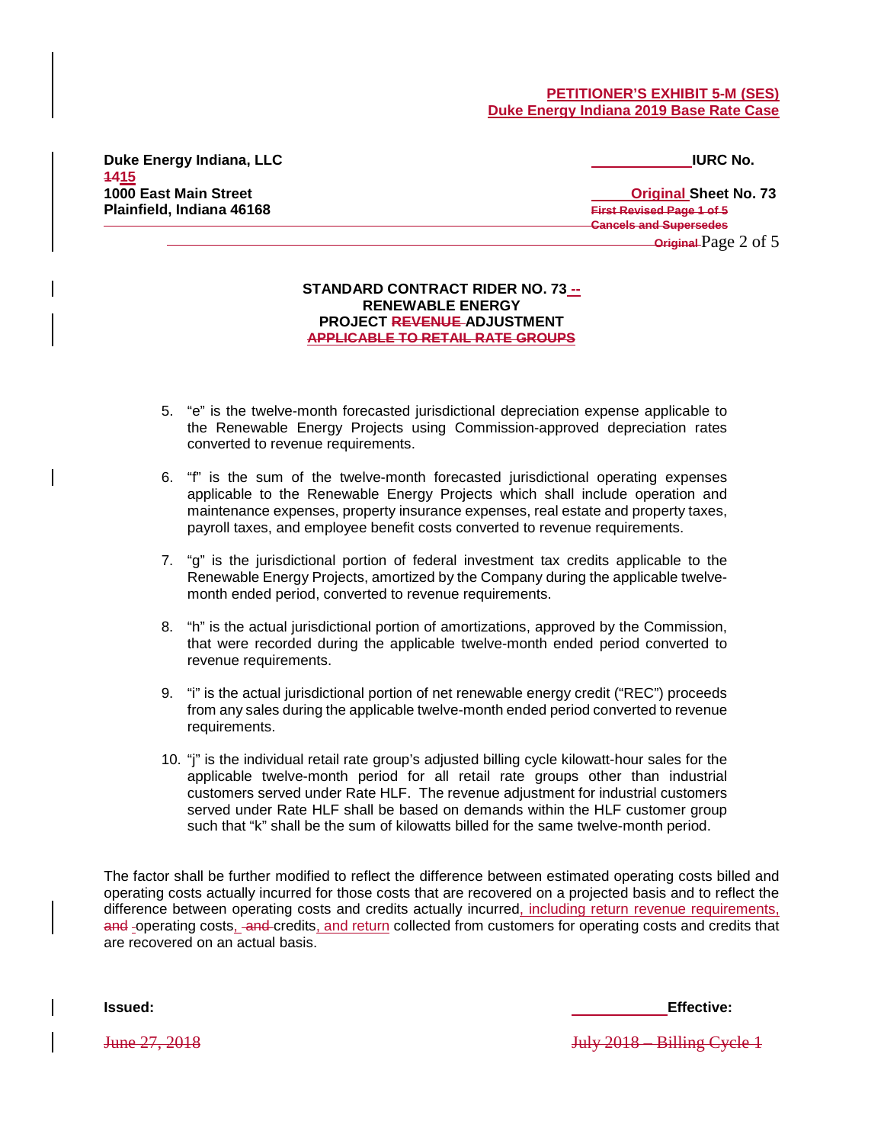### **PETITIONER'S EXHIBIT 5-M (SES) Duke Energy Indiana 2019 Base Rate Case**

**Duke Energy Indiana, LLC IURC No. 1415 Plainfield, Indiana 46168 First Revised Page 1 of 5**

# **1000 East Main Street Original Sheet No. 73 Cancels and Supersedes Original** Page 2 of 5

### **STANDARD CONTRACT RIDER NO. 73 -- RENEWABLE ENERGY PROJECT REVENUE ADJUSTMENT APPLICABLE TO RETAIL RATE GROUPS**

- 5. "e" is the twelve-month forecasted jurisdictional depreciation expense applicable to the Renewable Energy Projects using Commission-approved depreciation rates converted to revenue requirements.
- 6. "f" is the sum of the twelve-month forecasted jurisdictional operating expenses applicable to the Renewable Energy Projects which shall include operation and maintenance expenses, property insurance expenses, real estate and property taxes, payroll taxes, and employee benefit costs converted to revenue requirements.
- 7. "g" is the jurisdictional portion of federal investment tax credits applicable to the Renewable Energy Projects, amortized by the Company during the applicable twelvemonth ended period, converted to revenue requirements.
- 8. "h" is the actual jurisdictional portion of amortizations, approved by the Commission, that were recorded during the applicable twelve-month ended period converted to revenue requirements.
- 9. "i" is the actual jurisdictional portion of net renewable energy credit ("REC") proceeds from any sales during the applicable twelve-month ended period converted to revenue requirements.
- 10. "j" is the individual retail rate group's adjusted billing cycle kilowatt-hour sales for the applicable twelve-month period for all retail rate groups other than industrial customers served under Rate HLF. The revenue adjustment for industrial customers served under Rate HLF shall be based on demands within the HLF customer group such that "k" shall be the sum of kilowatts billed for the same twelve-month period.

The factor shall be further modified to reflect the difference between estimated operating costs billed and operating costs actually incurred for those costs that are recovered on a projected basis and to reflect the difference between operating costs and credits actually incurred, including return revenue requirements, and -operating costs, -and-credits, and return collected from customers for operating costs and credits that are recovered on an actual basis.

**Issued: Effective:** 

June 27, 2018 July 2018 – Billing Cycle 1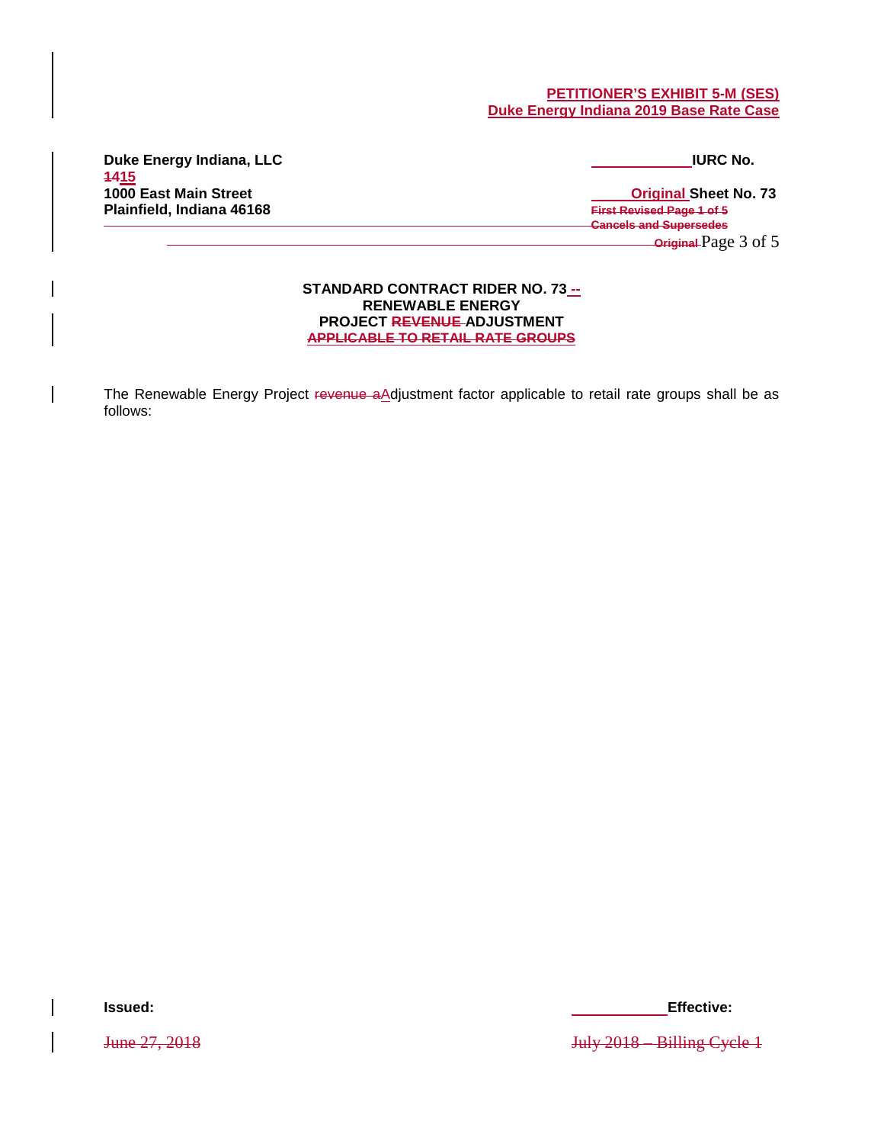### **PETITIONER'S EXHIBIT 5-M (SES) Duke Energy Indiana 2019 Base Rate Case**

**Duke Energy Indiana, LLC IURC No. 1415 Plainfield, Indiana 46168 First Revised Page 1 of 5**

**1000 East Main Street Contract Contract Contract Contract Contract Contract Contract Contract Contract Contract Contract Contract Contract Contract Contract Contract Contract Contract Contract Contract Contract Contract C Cancels and Supersedes Original** Page 3 of 5

> **STANDARD CONTRACT RIDER NO. 73 -- RENEWABLE ENERGY PROJECT REVENUE ADJUSTMENT APPLICABLE TO RETAIL RATE GROUPS**

The Renewable Energy Project revenue aAdjustment factor applicable to retail rate groups shall be as follows:

**Issued: Effective:** 

June 27, 2018 July 2018 – Billing Cycle 1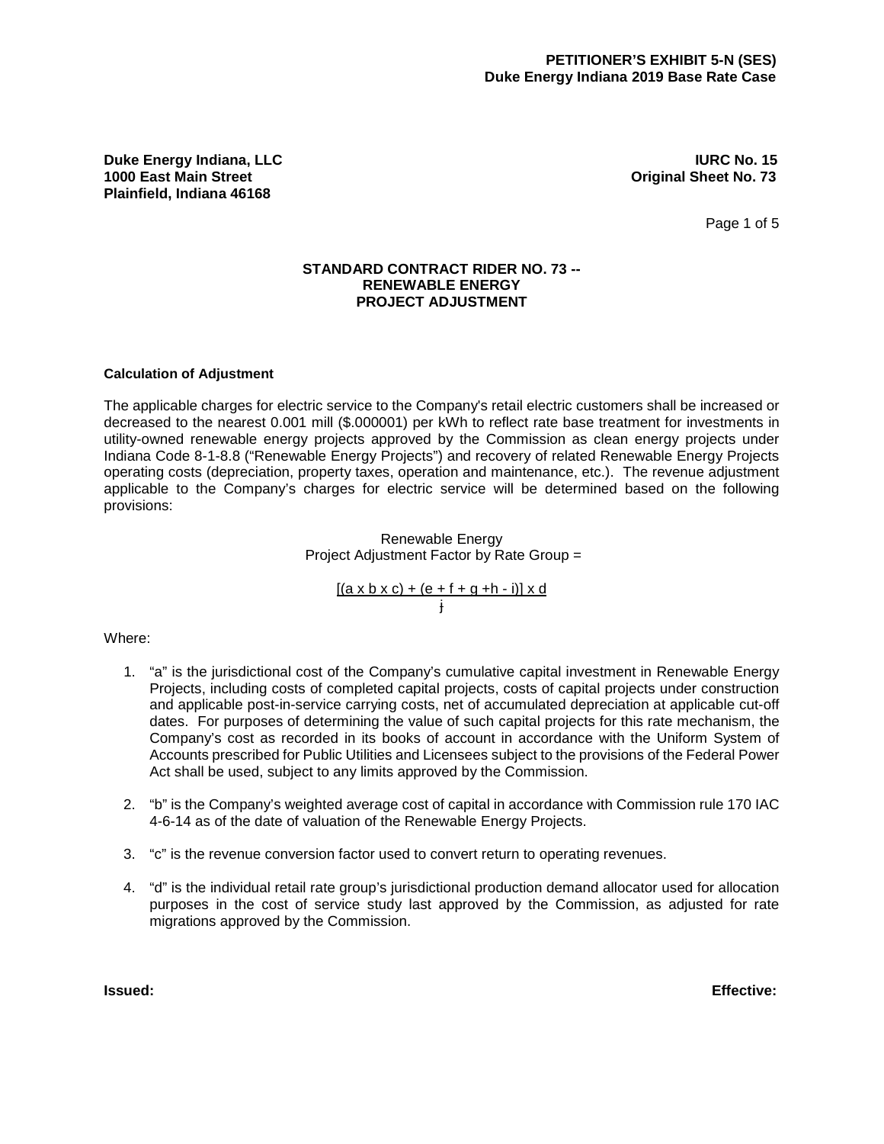**Duke Energy Indiana, LLC IURC No. 15 Plainfield, Indiana 46168**

**0riginal Sheet No. 73** 

Page 1 of 5

### **STANDARD CONTRACT RIDER NO. 73 -- RENEWABLE ENERGY PROJECT ADJUSTMENT**

### **Calculation of Adjustment**

The applicable charges for electric service to the Company's retail electric customers shall be increased or decreased to the nearest 0.001 mill (\$.000001) per kWh to reflect rate base treatment for investments in utility-owned renewable energy projects approved by the Commission as clean energy projects under Indiana Code 8-1-8.8 ("Renewable Energy Projects") and recovery of related Renewable Energy Projects operating costs (depreciation, property taxes, operation and maintenance, etc.). The revenue adjustment applicable to the Company's charges for electric service will be determined based on the following provisions:

### Renewable Energy Project Adjustment Factor by Rate Group =

[(a x b x c) + (e + f + g +h - i)] x d j

### Where:

- 1. "a" is the jurisdictional cost of the Company's cumulative capital investment in Renewable Energy Projects, including costs of completed capital projects, costs of capital projects under construction and applicable post-in-service carrying costs, net of accumulated depreciation at applicable cut-off dates. For purposes of determining the value of such capital projects for this rate mechanism, the Company's cost as recorded in its books of account in accordance with the Uniform System of Accounts prescribed for Public Utilities and Licensees subject to the provisions of the Federal Power Act shall be used, subject to any limits approved by the Commission.
- 2. "b" is the Company's weighted average cost of capital in accordance with Commission rule 170 IAC 4-6-14 as of the date of valuation of the Renewable Energy Projects.
- 3. "c" is the revenue conversion factor used to convert return to operating revenues.
- 4. "d" is the individual retail rate group's jurisdictional production demand allocator used for allocation purposes in the cost of service study last approved by the Commission, as adjusted for rate migrations approved by the Commission.

**Issued: Effective:**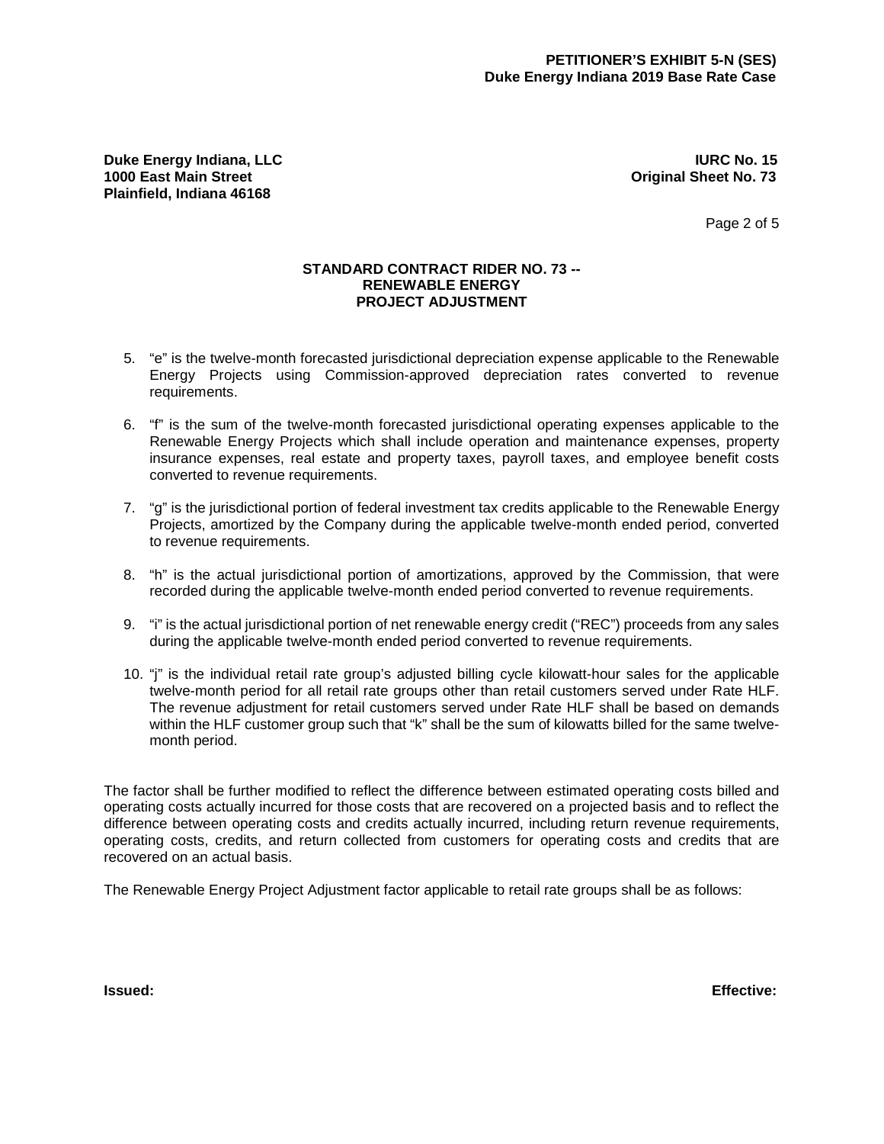**Duke Energy Indiana, LLC IURC No. 15 Plainfield, Indiana 46168**

**Original Sheet No. 73** 

Page 2 of 5

### **STANDARD CONTRACT RIDER NO. 73 -- RENEWABLE ENERGY PROJECT ADJUSTMENT**

- 5. "e" is the twelve-month forecasted jurisdictional depreciation expense applicable to the Renewable Energy Projects using Commission-approved depreciation rates converted to revenue requirements.
- 6. "f" is the sum of the twelve-month forecasted jurisdictional operating expenses applicable to the Renewable Energy Projects which shall include operation and maintenance expenses, property insurance expenses, real estate and property taxes, payroll taxes, and employee benefit costs converted to revenue requirements.
- 7. "g" is the jurisdictional portion of federal investment tax credits applicable to the Renewable Energy Projects, amortized by the Company during the applicable twelve-month ended period, converted to revenue requirements.
- 8. "h" is the actual jurisdictional portion of amortizations, approved by the Commission, that were recorded during the applicable twelve-month ended period converted to revenue requirements.
- 9. "i" is the actual jurisdictional portion of net renewable energy credit ("REC") proceeds from any sales during the applicable twelve-month ended period converted to revenue requirements.
- 10. "j" is the individual retail rate group's adjusted billing cycle kilowatt-hour sales for the applicable twelve-month period for all retail rate groups other than retail customers served under Rate HLF. The revenue adjustment for retail customers served under Rate HLF shall be based on demands within the HLF customer group such that "k" shall be the sum of kilowatts billed for the same twelvemonth period.

The factor shall be further modified to reflect the difference between estimated operating costs billed and operating costs actually incurred for those costs that are recovered on a projected basis and to reflect the difference between operating costs and credits actually incurred, including return revenue requirements, operating costs, credits, and return collected from customers for operating costs and credits that are recovered on an actual basis.

The Renewable Energy Project Adjustment factor applicable to retail rate groups shall be as follows:

**Issued: Effective:**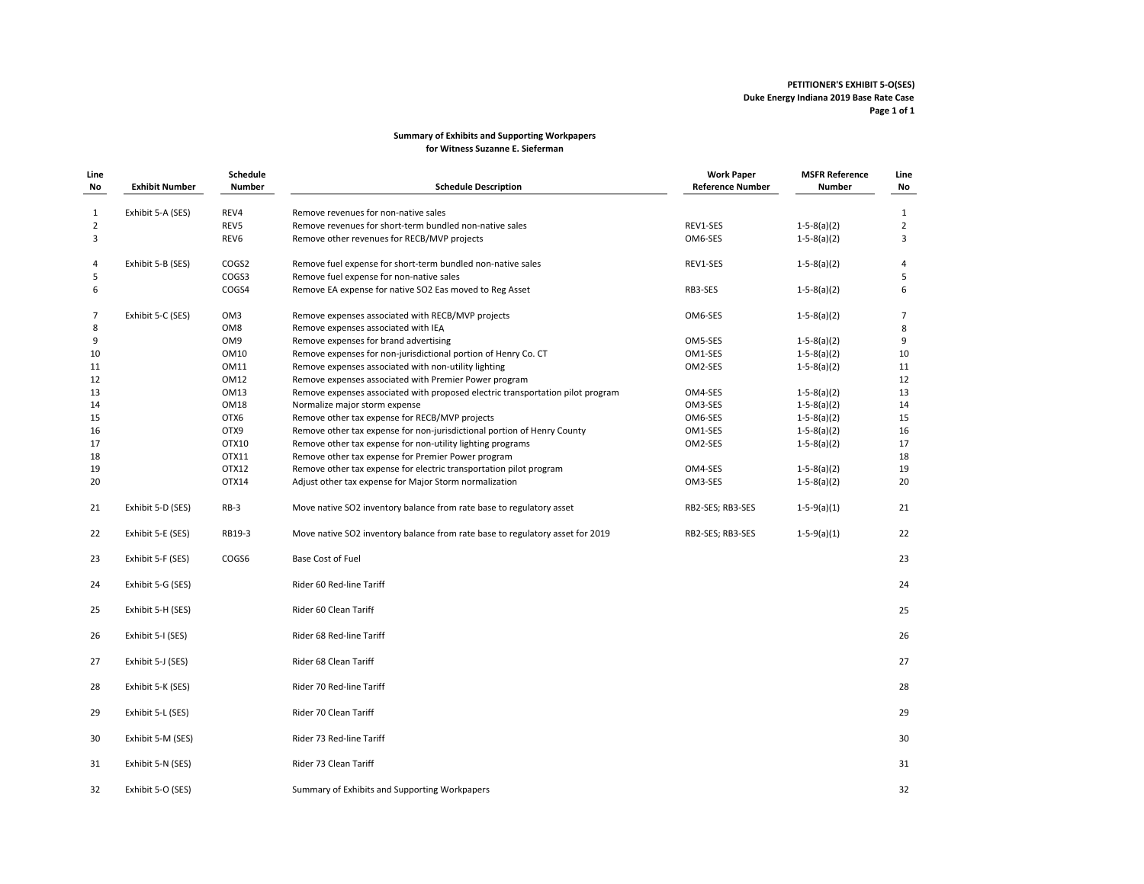#### **PETITIONER'S EXHIBIT 5‐O(SES) Duke Energy Indiana 2019 Base Rate Case Page 1 of 1**

#### **Summary of Exhibits and Supporting Workpapers for Witness Suzanne E. Sieferman**

| Line<br>No        | <b>Exhibit Number</b> | Schedule<br><b>Number</b> | <b>Schedule Description</b>                                                    | <b>Work Paper</b><br><b>Reference Number</b> | <b>MSFR Reference</b><br><b>Number</b> | Line<br>No     |
|-------------------|-----------------------|---------------------------|--------------------------------------------------------------------------------|----------------------------------------------|----------------------------------------|----------------|
|                   | Exhibit 5-A (SES)     | REV4                      | Remove revenues for non-native sales                                           |                                              |                                        | $\mathbf{1}$   |
| $\mathbf{1}$<br>2 |                       | REV5                      | Remove revenues for short-term bundled non-native sales                        | REV1-SES                                     | $1-5-8(a)(2)$                          | $\overline{2}$ |
| 3                 |                       | REV6                      | Remove other revenues for RECB/MVP projects                                    | OM6-SES                                      | $1-5-8(a)(2)$                          | 3              |
|                   |                       |                           |                                                                                |                                              |                                        |                |
| 4                 | Exhibit 5-B (SES)     | COGS2                     | Remove fuel expense for short-term bundled non-native sales                    | REV1-SES                                     | $1-5-8(a)(2)$                          | 4              |
| 5                 |                       | COGS3                     | Remove fuel expense for non-native sales                                       |                                              |                                        | 5              |
| 6                 |                       | COGS4                     | Remove EA expense for native SO2 Eas moved to Reg Asset                        | RB3-SES                                      | $1-5-8(a)(2)$                          | 6              |
| $\overline{7}$    | Exhibit 5-C (SES)     | OM <sub>3</sub>           | Remove expenses associated with RECB/MVP projects                              | OM6-SES                                      | $1-5-8(a)(2)$                          | $\overline{7}$ |
| 8                 |                       | OM8                       | Remove expenses associated with IEA                                            |                                              |                                        | 8              |
| 9                 |                       | OM9                       | Remove expenses for brand advertising                                          | OM5-SES                                      | $1-5-8(a)(2)$                          | 9              |
| 10                |                       | OM10                      | Remove expenses for non-jurisdictional portion of Henry Co. CT                 | OM1-SES                                      | $1-5-8(a)(2)$                          | 10             |
| 11                |                       | <b>OM11</b>               | Remove expenses associated with non-utility lighting                           | OM2-SES                                      | $1-5-8(a)(2)$                          | 11             |
| 12                |                       | OM12                      | Remove expenses associated with Premier Power program                          |                                              |                                        | 12             |
| 13                |                       | OM13                      | Remove expenses associated with proposed electric transportation pilot program | OM4-SES                                      | $1-5-8(a)(2)$                          | 13             |
| 14                |                       | OM18                      | Normalize major storm expense                                                  | OM3-SES                                      | $1-5-8(a)(2)$                          | 14             |
| 15                |                       | OTX6                      | Remove other tax expense for RECB/MVP projects                                 | OM6-SES                                      | $1-5-8(a)(2)$                          | 15             |
| 16                |                       | OTX9                      | Remove other tax expense for non-jurisdictional portion of Henry County        | OM1-SES                                      | $1-5-8(a)(2)$                          | 16             |
| 17                |                       | OTX10                     | Remove other tax expense for non-utility lighting programs                     | OM2-SES                                      | $1-5-8(a)(2)$                          | 17             |
| 18                |                       | OTX11                     | Remove other tax expense for Premier Power program                             |                                              |                                        | 18             |
| 19                |                       | OTX12                     | Remove other tax expense for electric transportation pilot program             | OM4-SES                                      | $1-5-8(a)(2)$                          | 19             |
| 20                |                       | OTX14                     | Adjust other tax expense for Major Storm normalization                         | OM3-SES                                      | $1-5-8(a)(2)$                          | 20             |
| 21                | Exhibit 5-D (SES)     | $RB-3$                    | Move native SO2 inventory balance from rate base to regulatory asset           | RB2-SES; RB3-SES                             | $1-5-9(a)(1)$                          | 21             |
| 22                | Exhibit 5-E (SES)     | RB19-3                    | Move native SO2 inventory balance from rate base to regulatory asset for 2019  | RB2-SES; RB3-SES                             | $1-5-9(a)(1)$                          | 22             |
| 23                | Exhibit 5-F (SES)     | COGS6                     | Base Cost of Fuel                                                              |                                              |                                        | 23             |
| 24                | Exhibit 5-G (SES)     |                           | Rider 60 Red-line Tariff                                                       |                                              |                                        | 24             |
| 25                | Exhibit 5-H (SES)     |                           | Rider 60 Clean Tariff                                                          |                                              |                                        | 25             |
| 26                | Exhibit 5-I (SES)     |                           | Rider 68 Red-line Tariff                                                       |                                              |                                        | 26             |
| 27                | Exhibit 5-J (SES)     |                           | Rider 68 Clean Tariff                                                          |                                              |                                        | 27             |
| 28                | Exhibit 5-K (SES)     |                           | Rider 70 Red-line Tariff                                                       |                                              |                                        | 28             |
| 29                | Exhibit 5-L (SES)     |                           | Rider 70 Clean Tariff                                                          |                                              |                                        | 29             |
| 30                | Exhibit 5-M (SES)     |                           | Rider 73 Red-line Tariff                                                       |                                              |                                        | 30             |
| 31                | Exhibit 5-N (SES)     |                           | Rider 73 Clean Tariff                                                          |                                              |                                        | 31             |
|                   |                       |                           |                                                                                |                                              |                                        |                |
| 32                | Exhibit 5-O (SES)     |                           | Summary of Exhibits and Supporting Workpapers                                  |                                              |                                        | 32             |